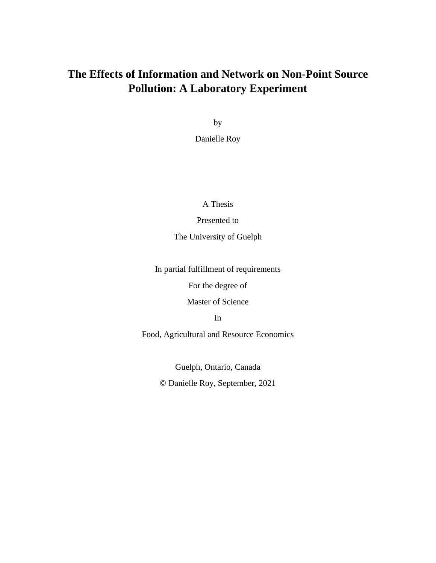# **The Effects of Information and Network on Non-Point Source Pollution: A Laboratory Experiment**

by

Danielle Roy

A Thesis

Presented to

The University of Guelph

In partial fulfillment of requirements

For the degree of

Master of Science

In

Food, Agricultural and Resource Economics

Guelph, Ontario, Canada © Danielle Roy, September, 2021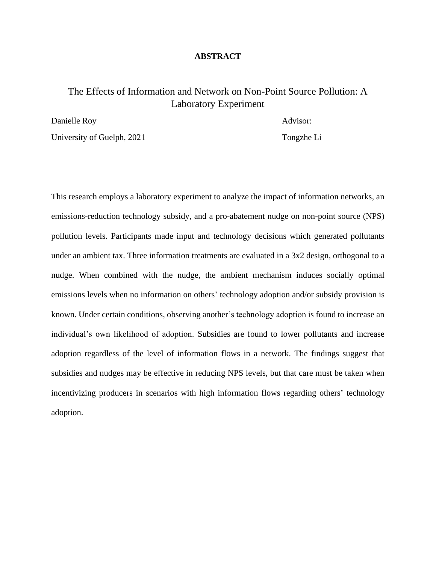### **ABSTRACT**

## The Effects of Information and Network on Non-Point Source Pollution: A Laboratory Experiment

Danielle Roy Advisor: University of Guelph, 2021 Tongzhe Li

This research employs a laboratory experiment to analyze the impact of information networks, an emissions-reduction technology subsidy, and a pro-abatement nudge on non-point source (NPS) pollution levels. Participants made input and technology decisions which generated pollutants under an ambient tax. Three information treatments are evaluated in a 3x2 design, orthogonal to a nudge. When combined with the nudge, the ambient mechanism induces socially optimal emissions levels when no information on others' technology adoption and/or subsidy provision is known. Under certain conditions, observing another's technology adoption is found to increase an individual's own likelihood of adoption. Subsidies are found to lower pollutants and increase adoption regardless of the level of information flows in a network. The findings suggest that subsidies and nudges may be effective in reducing NPS levels, but that care must be taken when incentivizing producers in scenarios with high information flows regarding others' technology adoption.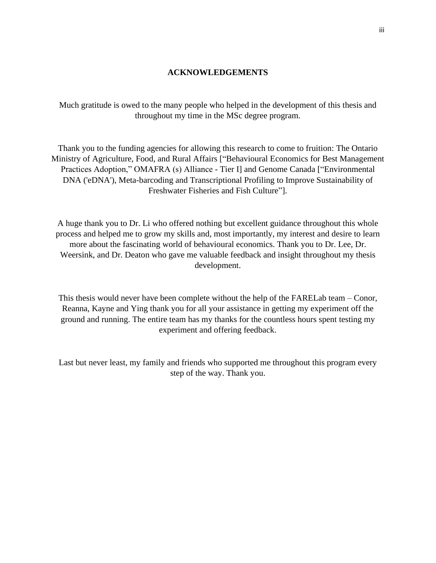#### **ACKNOWLEDGEMENTS**

Much gratitude is owed to the many people who helped in the development of this thesis and throughout my time in the MSc degree program.

Thank you to the funding agencies for allowing this research to come to fruition: The Ontario Ministry of Agriculture, Food, and Rural Affairs ["Behavioural Economics for Best Management Practices Adoption," OMAFRA (s) Alliance - Tier I] and Genome Canada ["Environmental DNA ('eDNA'), Meta-barcoding and Transcriptional Profiling to Improve Sustainability of Freshwater Fisheries and Fish Culture"].

A huge thank you to Dr. Li who offered nothing but excellent guidance throughout this whole process and helped me to grow my skills and, most importantly, my interest and desire to learn more about the fascinating world of behavioural economics. Thank you to Dr. Lee, Dr. Weersink, and Dr. Deaton who gave me valuable feedback and insight throughout my thesis development.

This thesis would never have been complete without the help of the FARELab team – Conor, Reanna, Kayne and Ying thank you for all your assistance in getting my experiment off the ground and running. The entire team has my thanks for the countless hours spent testing my experiment and offering feedback.

Last but never least, my family and friends who supported me throughout this program every step of the way. Thank you.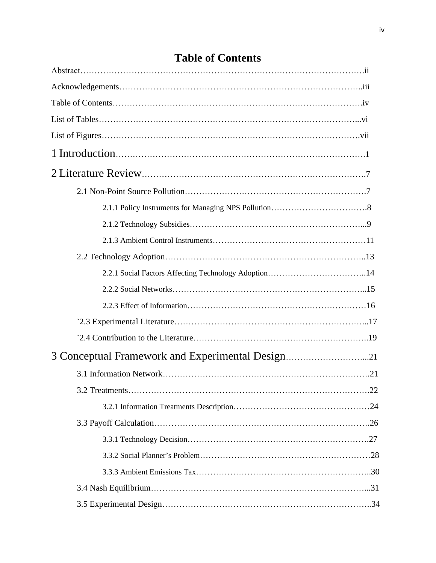# **Table of Contents**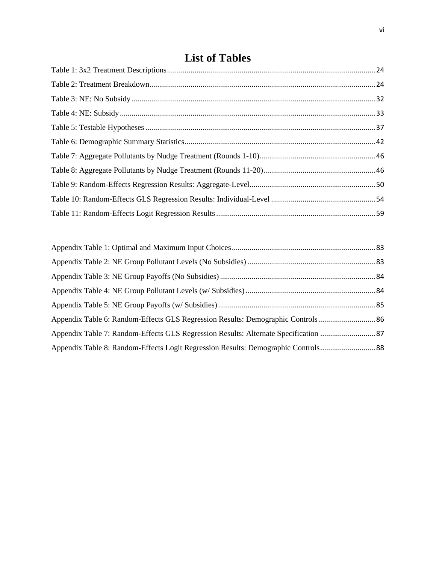# **List of Tables**

| Appendix Table 8: Random-Effects Logit Regression Results: Demographic Controls88 |  |
|-----------------------------------------------------------------------------------|--|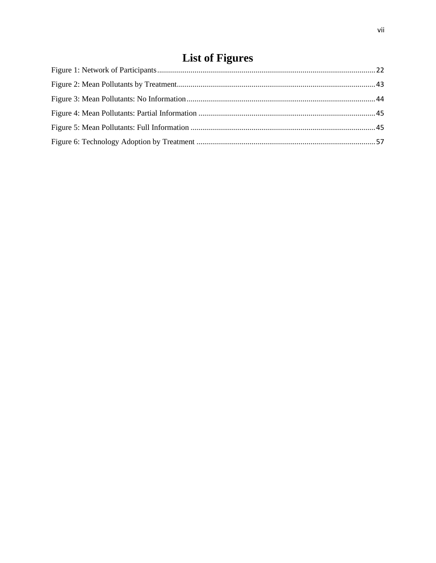# **List of Figures**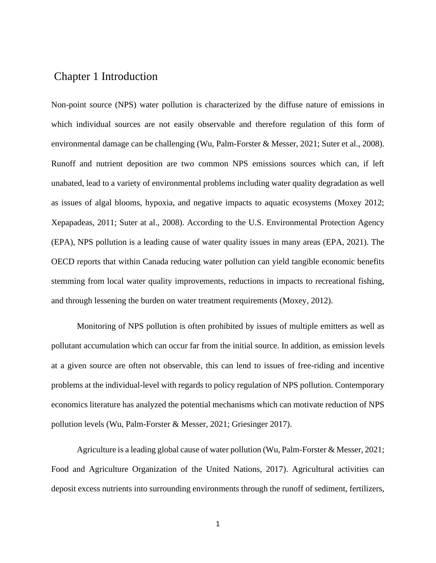## Chapter 1 Introduction

Non-point source (NPS) water pollution is characterized by the diffuse nature of emissions in which individual sources are not easily observable and therefore regulation of this form of environmental damage can be challenging (Wu, Palm-Forster & Messer, 2021; Suter et al., 2008). Runoff and nutrient deposition are two common NPS emissions sources which can, if left unabated, lead to a variety of environmental problems including water quality degradation as well as issues of algal blooms, hypoxia, and negative impacts to aquatic ecosystems (Moxey 2012; Xepapadeas, 2011; Suter at al., 2008). According to the U.S. Environmental Protection Agency (EPA), NPS pollution is a leading cause of water quality issues in many areas (EPA, 2021). The OECD reports that within Canada reducing water pollution can yield tangible economic benefits stemming from local water quality improvements, reductions in impacts to recreational fishing, and through lessening the burden on water treatment requirements (Moxey, 2012).

Monitoring of NPS pollution is often prohibited by issues of multiple emitters as well as pollutant accumulation which can occur far from the initial source. In addition, as emission levels at a given source are often not observable, this can lend to issues of free-riding and incentive problems at the individual-level with regards to policy regulation of NPS pollution. Contemporary economics literature has analyzed the potential mechanisms which can motivate reduction of NPS pollution levels (Wu, Palm-Forster & Messer, 2021; Griesinger 2017).

Agriculture is a leading global cause of water pollution (Wu, Palm-Forster & Messer, 2021; Food and Agriculture Organization of the United Nations, 2017). Agricultural activities can deposit excess nutrients into surrounding environments through the runoff of sediment, fertilizers,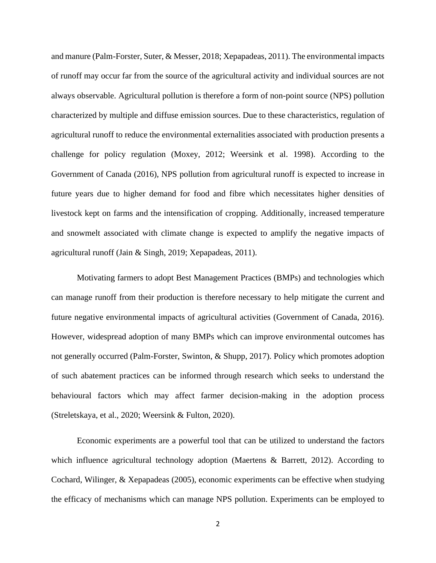and manure (Palm-Forster, Suter, & Messer, 2018; Xepapadeas, 2011). The environmental impacts of runoff may occur far from the source of the agricultural activity and individual sources are not always observable. Agricultural pollution is therefore a form of non-point source (NPS) pollution characterized by multiple and diffuse emission sources. Due to these characteristics, regulation of agricultural runoff to reduce the environmental externalities associated with production presents a challenge for policy regulation (Moxey, 2012; Weersink et al. 1998). According to the Government of Canada (2016), NPS pollution from agricultural runoff is expected to increase in future years due to higher demand for food and fibre which necessitates higher densities of livestock kept on farms and the intensification of cropping. Additionally, increased temperature and snowmelt associated with climate change is expected to amplify the negative impacts of agricultural runoff (Jain & Singh, 2019; Xepapadeas, 2011).

Motivating farmers to adopt Best Management Practices (BMPs) and technologies which can manage runoff from their production is therefore necessary to help mitigate the current and future negative environmental impacts of agricultural activities (Government of Canada, 2016). However, widespread adoption of many BMPs which can improve environmental outcomes has not generally occurred (Palm-Forster, Swinton, & Shupp, 2017). Policy which promotes adoption of such abatement practices can be informed through research which seeks to understand the behavioural factors which may affect farmer decision-making in the adoption process (Streletskaya, et al., 2020; Weersink & Fulton, 2020).

Economic experiments are a powerful tool that can be utilized to understand the factors which influence agricultural technology adoption (Maertens & Barrett, 2012). According to Cochard, Wilinger, & Xepapadeas (2005), economic experiments can be effective when studying the efficacy of mechanisms which can manage NPS pollution. Experiments can be employed to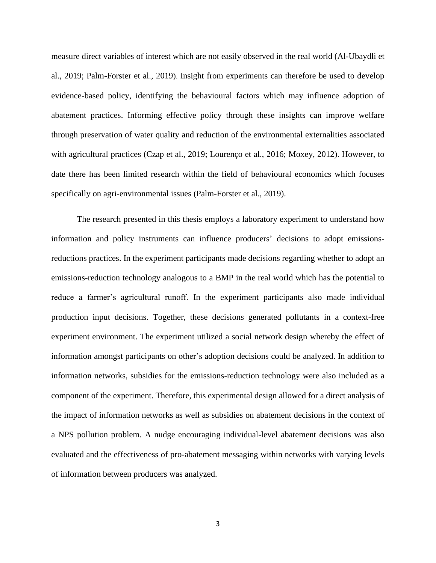measure direct variables of interest which are not easily observed in the real world (Al-Ubaydli et al., 2019; Palm-Forster et al., 2019). Insight from experiments can therefore be used to develop evidence-based policy, identifying the behavioural factors which may influence adoption of abatement practices. Informing effective policy through these insights can improve welfare through preservation of water quality and reduction of the environmental externalities associated with agricultural practices (Czap et al., 2019; Lourenço et al., 2016; Moxey, 2012). However, to date there has been limited research within the field of behavioural economics which focuses specifically on agri-environmental issues (Palm-Forster et al., 2019).

The research presented in this thesis employs a laboratory experiment to understand how information and policy instruments can influence producers' decisions to adopt emissionsreductions practices. In the experiment participants made decisions regarding whether to adopt an emissions-reduction technology analogous to a BMP in the real world which has the potential to reduce a farmer's agricultural runoff. In the experiment participants also made individual production input decisions. Together, these decisions generated pollutants in a context-free experiment environment. The experiment utilized a social network design whereby the effect of information amongst participants on other's adoption decisions could be analyzed. In addition to information networks, subsidies for the emissions-reduction technology were also included as a component of the experiment. Therefore, this experimental design allowed for a direct analysis of the impact of information networks as well as subsidies on abatement decisions in the context of a NPS pollution problem. A nudge encouraging individual-level abatement decisions was also evaluated and the effectiveness of pro-abatement messaging within networks with varying levels of information between producers was analyzed.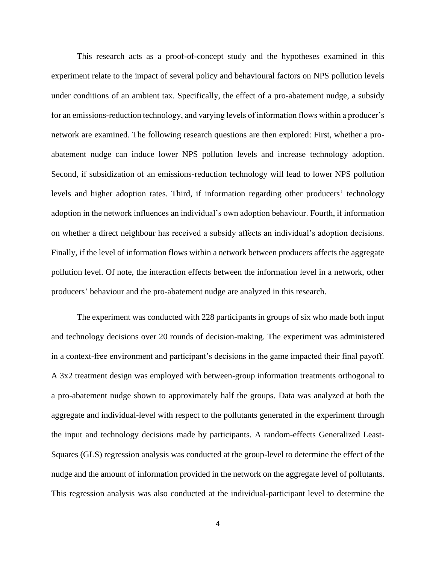This research acts as a proof-of-concept study and the hypotheses examined in this experiment relate to the impact of several policy and behavioural factors on NPS pollution levels under conditions of an ambient tax. Specifically, the effect of a pro-abatement nudge, a subsidy for an emissions-reduction technology, and varying levels of information flows within a producer's network are examined. The following research questions are then explored: First, whether a proabatement nudge can induce lower NPS pollution levels and increase technology adoption. Second, if subsidization of an emissions-reduction technology will lead to lower NPS pollution levels and higher adoption rates. Third, if information regarding other producers' technology adoption in the network influences an individual's own adoption behaviour. Fourth, if information on whether a direct neighbour has received a subsidy affects an individual's adoption decisions. Finally, if the level of information flows within a network between producers affects the aggregate pollution level. Of note, the interaction effects between the information level in a network, other producers' behaviour and the pro-abatement nudge are analyzed in this research.

The experiment was conducted with 228 participants in groups of six who made both input and technology decisions over 20 rounds of decision-making. The experiment was administered in a context-free environment and participant's decisions in the game impacted their final payoff. A 3x2 treatment design was employed with between-group information treatments orthogonal to a pro-abatement nudge shown to approximately half the groups. Data was analyzed at both the aggregate and individual-level with respect to the pollutants generated in the experiment through the input and technology decisions made by participants. A random-effects Generalized Least-Squares (GLS) regression analysis was conducted at the group-level to determine the effect of the nudge and the amount of information provided in the network on the aggregate level of pollutants. This regression analysis was also conducted at the individual-participant level to determine the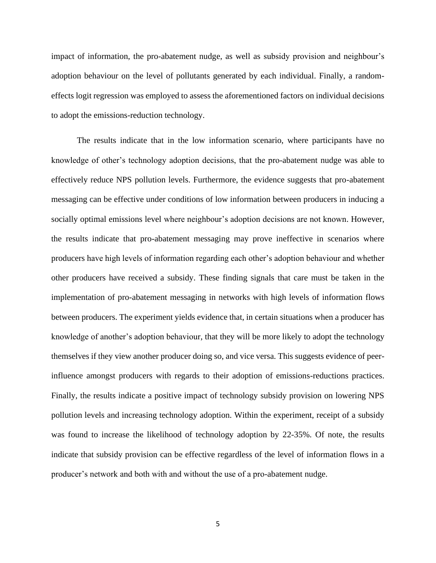impact of information, the pro-abatement nudge, as well as subsidy provision and neighbour's adoption behaviour on the level of pollutants generated by each individual. Finally, a randomeffects logit regression was employed to assess the aforementioned factors on individual decisions to adopt the emissions-reduction technology.

The results indicate that in the low information scenario, where participants have no knowledge of other's technology adoption decisions, that the pro-abatement nudge was able to effectively reduce NPS pollution levels. Furthermore, the evidence suggests that pro-abatement messaging can be effective under conditions of low information between producers in inducing a socially optimal emissions level where neighbour's adoption decisions are not known. However, the results indicate that pro-abatement messaging may prove ineffective in scenarios where producers have high levels of information regarding each other's adoption behaviour and whether other producers have received a subsidy. These finding signals that care must be taken in the implementation of pro-abatement messaging in networks with high levels of information flows between producers. The experiment yields evidence that, in certain situations when a producer has knowledge of another's adoption behaviour, that they will be more likely to adopt the technology themselves if they view another producer doing so, and vice versa. This suggests evidence of peerinfluence amongst producers with regards to their adoption of emissions-reductions practices. Finally, the results indicate a positive impact of technology subsidy provision on lowering NPS pollution levels and increasing technology adoption. Within the experiment, receipt of a subsidy was found to increase the likelihood of technology adoption by 22-35%. Of note, the results indicate that subsidy provision can be effective regardless of the level of information flows in a producer's network and both with and without the use of a pro-abatement nudge.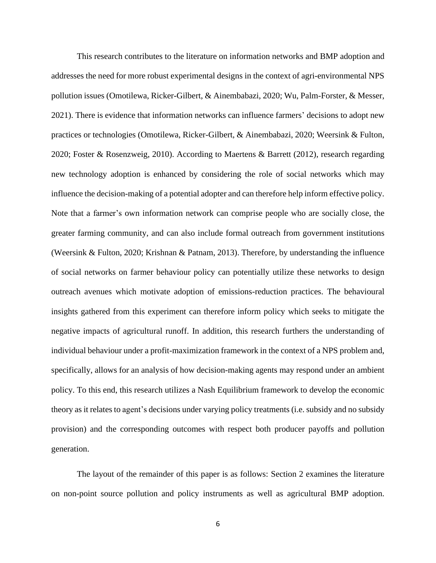This research contributes to the literature on information networks and BMP adoption and addresses the need for more robust experimental designs in the context of agri-environmental NPS pollution issues (Omotilewa, Ricker-Gilbert, & Ainembabazi, 2020; Wu, Palm-Forster, & Messer, 2021). There is evidence that information networks can influence farmers' decisions to adopt new practices or technologies (Omotilewa, Ricker-Gilbert, & Ainembabazi, 2020; Weersink & Fulton, 2020; Foster & Rosenzweig, 2010). According to Maertens & Barrett (2012), research regarding new technology adoption is enhanced by considering the role of social networks which may influence the decision-making of a potential adopter and can therefore help inform effective policy. Note that a farmer's own information network can comprise people who are socially close, the greater farming community, and can also include formal outreach from government institutions (Weersink & Fulton, 2020; Krishnan & Patnam, 2013). Therefore, by understanding the influence of social networks on farmer behaviour policy can potentially utilize these networks to design outreach avenues which motivate adoption of emissions-reduction practices. The behavioural insights gathered from this experiment can therefore inform policy which seeks to mitigate the negative impacts of agricultural runoff. In addition, this research furthers the understanding of individual behaviour under a profit-maximization framework in the context of a NPS problem and, specifically, allows for an analysis of how decision-making agents may respond under an ambient policy. To this end, this research utilizes a Nash Equilibrium framework to develop the economic theory as it relates to agent's decisions under varying policy treatments (i.e. subsidy and no subsidy provision) and the corresponding outcomes with respect both producer payoffs and pollution generation.

The layout of the remainder of this paper is as follows: Section 2 examines the literature on non-point source pollution and policy instruments as well as agricultural BMP adoption.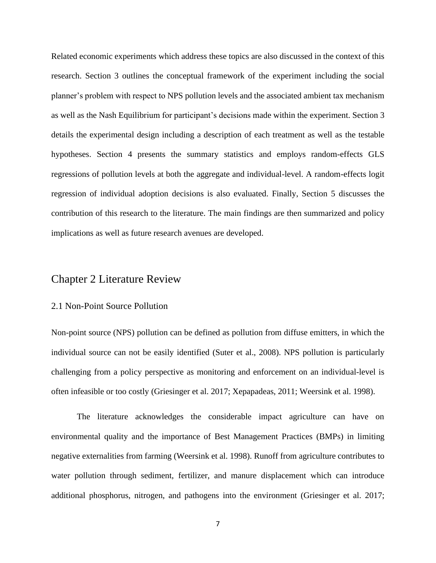Related economic experiments which address these topics are also discussed in the context of this research. Section 3 outlines the conceptual framework of the experiment including the social planner's problem with respect to NPS pollution levels and the associated ambient tax mechanism as well as the Nash Equilibrium for participant's decisions made within the experiment. Section 3 details the experimental design including a description of each treatment as well as the testable hypotheses. Section 4 presents the summary statistics and employs random-effects GLS regressions of pollution levels at both the aggregate and individual-level. A random-effects logit regression of individual adoption decisions is also evaluated. Finally, Section 5 discusses the contribution of this research to the literature. The main findings are then summarized and policy implications as well as future research avenues are developed.

## Chapter 2 Literature Review

## 2.1 Non-Point Source Pollution

Non-point source (NPS) pollution can be defined as pollution from diffuse emitters, in which the individual source can not be easily identified (Suter et al., 2008). NPS pollution is particularly challenging from a policy perspective as monitoring and enforcement on an individual-level is often infeasible or too costly (Griesinger et al. 2017; Xepapadeas, 2011; Weersink et al. 1998).

The literature acknowledges the considerable impact agriculture can have on environmental quality and the importance of Best Management Practices (BMPs) in limiting negative externalities from farming (Weersink et al. 1998). Runoff from agriculture contributes to water pollution through sediment, fertilizer, and manure displacement which can introduce additional phosphorus, nitrogen, and pathogens into the environment (Griesinger et al. 2017;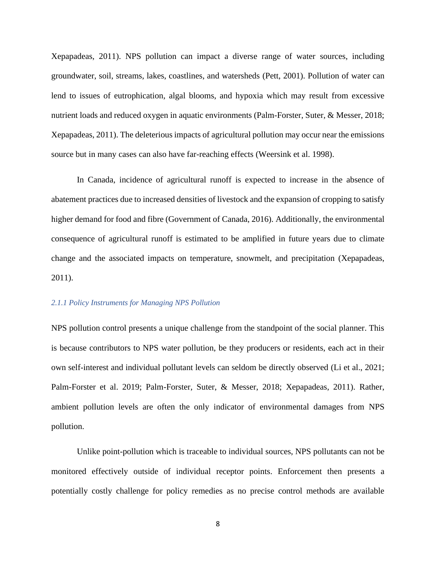Xepapadeas, 2011). NPS pollution can impact a diverse range of water sources, including groundwater, soil, streams, lakes, coastlines, and watersheds (Pett, 2001). Pollution of water can lend to issues of eutrophication, algal blooms, and hypoxia which may result from excessive nutrient loads and reduced oxygen in aquatic environments (Palm-Forster, Suter, & Messer, 2018; Xepapadeas, 2011). The deleterious impacts of agricultural pollution may occur near the emissions source but in many cases can also have far-reaching effects (Weersink et al. 1998).

In Canada, incidence of agricultural runoff is expected to increase in the absence of abatement practices due to increased densities of livestock and the expansion of cropping to satisfy higher demand for food and fibre (Government of Canada, 2016). Additionally, the environmental consequence of agricultural runoff is estimated to be amplified in future years due to climate change and the associated impacts on temperature, snowmelt, and precipitation (Xepapadeas, 2011).

### *2.1.1 Policy Instruments for Managing NPS Pollution*

NPS pollution control presents a unique challenge from the standpoint of the social planner. This is because contributors to NPS water pollution, be they producers or residents, each act in their own self-interest and individual pollutant levels can seldom be directly observed (Li et al., 2021; Palm-Forster et al. 2019; Palm-Forster, Suter, & Messer, 2018; Xepapadeas, 2011). Rather, ambient pollution levels are often the only indicator of environmental damages from NPS pollution.

Unlike point-pollution which is traceable to individual sources, NPS pollutants can not be monitored effectively outside of individual receptor points. Enforcement then presents a potentially costly challenge for policy remedies as no precise control methods are available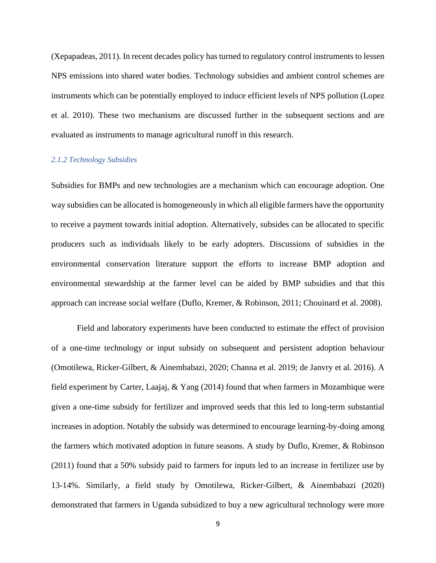(Xepapadeas, 2011). In recent decades policy has turned to regulatory control instruments to lessen NPS emissions into shared water bodies. Technology subsidies and ambient control schemes are instruments which can be potentially employed to induce efficient levels of NPS pollution (Lopez et al. 2010). These two mechanisms are discussed further in the subsequent sections and are evaluated as instruments to manage agricultural runoff in this research.

### *2.1.2 Technology Subsidies*

Subsidies for BMPs and new technologies are a mechanism which can encourage adoption. One way subsidies can be allocated is homogeneously in which all eligible farmers have the opportunity to receive a payment towards initial adoption. Alternatively, subsides can be allocated to specific producers such as individuals likely to be early adopters. Discussions of subsidies in the environmental conservation literature support the efforts to increase BMP adoption and environmental stewardship at the farmer level can be aided by BMP subsidies and that this approach can increase social welfare (Duflo, Kremer, & Robinson, 2011; Chouinard et al. 2008).

Field and laboratory experiments have been conducted to estimate the effect of provision of a one-time technology or input subsidy on subsequent and persistent adoption behaviour (Omotilewa, Ricker-Gilbert, & Ainembabazi, 2020; Channa et al. 2019; de Janvry et al. 2016). A field experiment by Carter, Laajaj, & Yang (2014) found that when farmers in Mozambique were given a one-time subsidy for fertilizer and improved seeds that this led to long-term substantial increases in adoption. Notably the subsidy was determined to encourage learning-by-doing among the farmers which motivated adoption in future seasons. A study by Duflo, Kremer, & Robinson (2011) found that a 50% subsidy paid to farmers for inputs led to an increase in fertilizer use by 13-14%. Similarly, a field study by Omotilewa, Ricker-Gilbert, & Ainembabazi (2020) demonstrated that farmers in Uganda subsidized to buy a new agricultural technology were more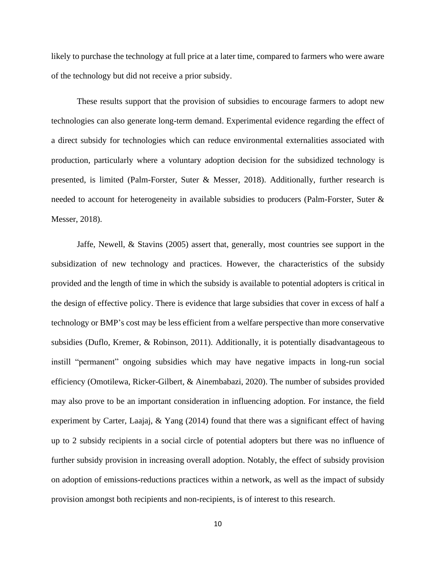likely to purchase the technology at full price at a later time, compared to farmers who were aware of the technology but did not receive a prior subsidy.

These results support that the provision of subsidies to encourage farmers to adopt new technologies can also generate long-term demand. Experimental evidence regarding the effect of a direct subsidy for technologies which can reduce environmental externalities associated with production, particularly where a voluntary adoption decision for the subsidized technology is presented, is limited (Palm-Forster, Suter & Messer, 2018). Additionally, further research is needed to account for heterogeneity in available subsidies to producers (Palm-Forster, Suter & Messer, 2018).

Jaffe, Newell, & Stavins (2005) assert that, generally, most countries see support in the subsidization of new technology and practices. However, the characteristics of the subsidy provided and the length of time in which the subsidy is available to potential adopters is critical in the design of effective policy. There is evidence that large subsidies that cover in excess of half a technology or BMP's cost may be less efficient from a welfare perspective than more conservative subsidies (Duflo, Kremer, & Robinson, 2011). Additionally, it is potentially disadvantageous to instill "permanent" ongoing subsidies which may have negative impacts in long-run social efficiency (Omotilewa, Ricker-Gilbert, & Ainembabazi, 2020). The number of subsides provided may also prove to be an important consideration in influencing adoption. For instance, the field experiment by Carter, Laajaj, & Yang (2014) found that there was a significant effect of having up to 2 subsidy recipients in a social circle of potential adopters but there was no influence of further subsidy provision in increasing overall adoption. Notably, the effect of subsidy provision on adoption of emissions-reductions practices within a network, as well as the impact of subsidy provision amongst both recipients and non-recipients, is of interest to this research.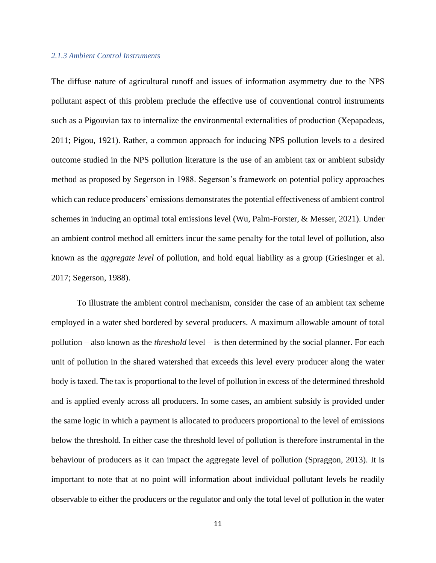#### *2.1.3 Ambient Control Instruments*

The diffuse nature of agricultural runoff and issues of information asymmetry due to the NPS pollutant aspect of this problem preclude the effective use of conventional control instruments such as a Pigouvian tax to internalize the environmental externalities of production (Xepapadeas, 2011; Pigou, 1921). Rather, a common approach for inducing NPS pollution levels to a desired outcome studied in the NPS pollution literature is the use of an ambient tax or ambient subsidy method as proposed by Segerson in 1988. Segerson's framework on potential policy approaches which can reduce producers' emissions demonstrates the potential effectiveness of ambient control schemes in inducing an optimal total emissions level (Wu, Palm-Forster, & Messer, 2021). Under an ambient control method all emitters incur the same penalty for the total level of pollution, also known as the *aggregate level* of pollution, and hold equal liability as a group (Griesinger et al. 2017; Segerson, 1988).

To illustrate the ambient control mechanism, consider the case of an ambient tax scheme employed in a water shed bordered by several producers. A maximum allowable amount of total pollution – also known as the *threshold* level – is then determined by the social planner. For each unit of pollution in the shared watershed that exceeds this level every producer along the water body is taxed. The tax is proportional to the level of pollution in excess of the determined threshold and is applied evenly across all producers. In some cases, an ambient subsidy is provided under the same logic in which a payment is allocated to producers proportional to the level of emissions below the threshold. In either case the threshold level of pollution is therefore instrumental in the behaviour of producers as it can impact the aggregate level of pollution (Spraggon, 2013). It is important to note that at no point will information about individual pollutant levels be readily observable to either the producers or the regulator and only the total level of pollution in the water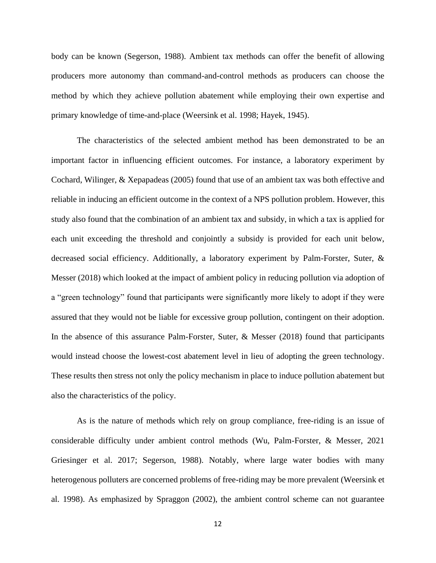body can be known (Segerson, 1988). Ambient tax methods can offer the benefit of allowing producers more autonomy than command-and-control methods as producers can choose the method by which they achieve pollution abatement while employing their own expertise and primary knowledge of time-and-place (Weersink et al. 1998; Hayek, 1945).

The characteristics of the selected ambient method has been demonstrated to be an important factor in influencing efficient outcomes. For instance, a laboratory experiment by Cochard, Wilinger, & Xepapadeas (2005) found that use of an ambient tax was both effective and reliable in inducing an efficient outcome in the context of a NPS pollution problem. However, this study also found that the combination of an ambient tax and subsidy, in which a tax is applied for each unit exceeding the threshold and conjointly a subsidy is provided for each unit below, decreased social efficiency. Additionally, a laboratory experiment by Palm-Forster, Suter, & Messer (2018) which looked at the impact of ambient policy in reducing pollution via adoption of a "green technology" found that participants were significantly more likely to adopt if they were assured that they would not be liable for excessive group pollution, contingent on their adoption. In the absence of this assurance Palm-Forster, Suter, & Messer (2018) found that participants would instead choose the lowest-cost abatement level in lieu of adopting the green technology. These results then stress not only the policy mechanism in place to induce pollution abatement but also the characteristics of the policy.

As is the nature of methods which rely on group compliance, free-riding is an issue of considerable difficulty under ambient control methods (Wu, Palm-Forster, & Messer, 2021 Griesinger et al. 2017; Segerson, 1988). Notably, where large water bodies with many heterogenous polluters are concerned problems of free-riding may be more prevalent (Weersink et al. 1998). As emphasized by Spraggon (2002), the ambient control scheme can not guarantee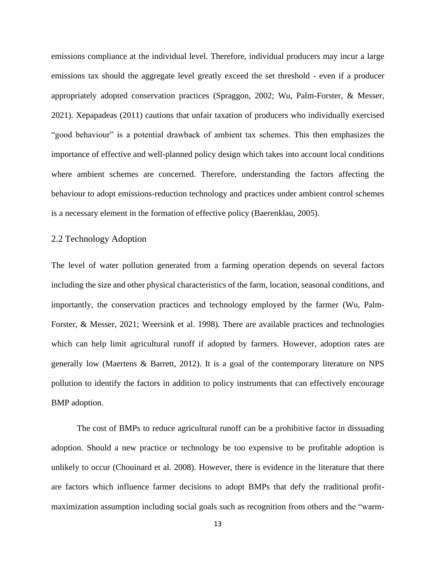emissions compliance at the individual level. Therefore, individual producers may incur a large emissions tax should the aggregate level greatly exceed the set threshold - even if a producer appropriately adopted conservation practices (Spraggon, 2002; Wu, Palm-Forster, & Messer, 2021). Xepapadeas (2011) cautions that unfair taxation of producers who individually exercised "good behaviour" is a potential drawback of ambient tax schemes. This then emphasizes the importance of effective and well-planned policy design which takes into account local conditions where ambient schemes are concerned. Therefore, understanding the factors affecting the behaviour to adopt emissions-reduction technology and practices under ambient control schemes is a necessary element in the formation of effective policy (Baerenklau, 2005).

## 2.2 Technology Adoption

The level of water pollution generated from a farming operation depends on several factors including the size and other physical characteristics of the farm, location, seasonal conditions, and importantly, the conservation practices and technology employed by the farmer (Wu, Palm-Forster, & Messer, 2021; Weersink et al. 1998). There are available practices and technologies which can help limit agricultural runoff if adopted by farmers. However, adoption rates are generally low (Maertens & Barrett, 2012). It is a goal of the contemporary literature on NPS pollution to identify the factors in addition to policy instruments that can effectively encourage BMP adoption.

The cost of BMPs to reduce agricultural runoff can be a prohibitive factor in dissuading adoption. Should a new practice or technology be too expensive to be profitable adoption is unlikely to occur (Chouinard et al. 2008). However, there is evidence in the literature that there are factors which influence farmer decisions to adopt BMPs that defy the traditional profitmaximization assumption including social goals such as recognition from others and the "warm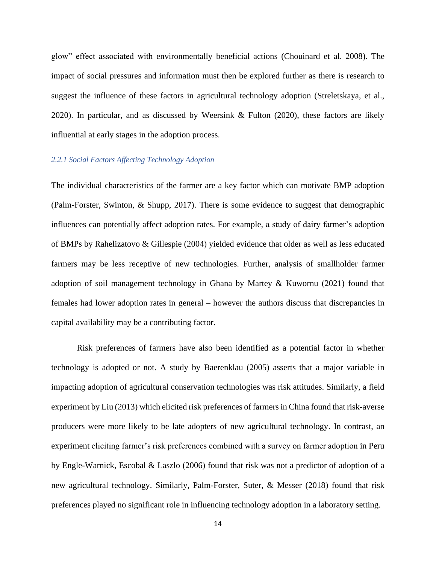glow" effect associated with environmentally beneficial actions (Chouinard et al. 2008). The impact of social pressures and information must then be explored further as there is research to suggest the influence of these factors in agricultural technology adoption (Streletskaya, et al., 2020). In particular, and as discussed by Weersink & Fulton (2020), these factors are likely influential at early stages in the adoption process.

#### *2.2.1 Social Factors Affecting Technology Adoption*

The individual characteristics of the farmer are a key factor which can motivate BMP adoption (Palm-Forster, Swinton, & Shupp, 2017). There is some evidence to suggest that demographic influences can potentially affect adoption rates. For example, a study of dairy farmer's adoption of BMPs by Rahelizatovo & Gillespie (2004) yielded evidence that older as well as less educated farmers may be less receptive of new technologies. Further, analysis of smallholder farmer adoption of soil management technology in Ghana by Martey & Kuwornu (2021) found that females had lower adoption rates in general – however the authors discuss that discrepancies in capital availability may be a contributing factor.

Risk preferences of farmers have also been identified as a potential factor in whether technology is adopted or not. A study by Baerenklau (2005) asserts that a major variable in impacting adoption of agricultural conservation technologies was risk attitudes. Similarly, a field experiment by Liu (2013) which elicited risk preferences of farmers in China found that risk-averse producers were more likely to be late adopters of new agricultural technology. In contrast, an experiment eliciting farmer's risk preferences combined with a survey on farmer adoption in Peru by Engle-Warnick, Escobal & Laszlo (2006) found that risk was not a predictor of adoption of a new agricultural technology. Similarly, Palm-Forster, Suter, & Messer (2018) found that risk preferences played no significant role in influencing technology adoption in a laboratory setting.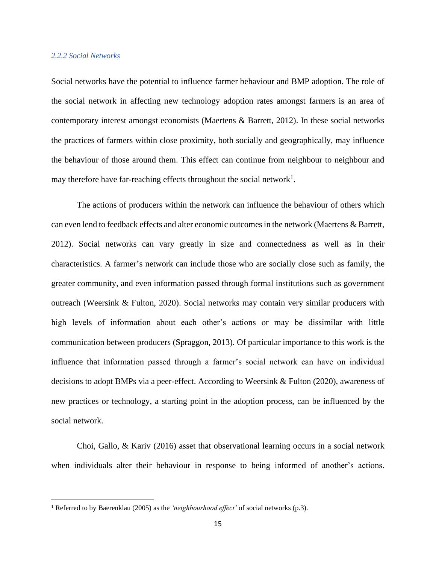#### *2.2.2 Social Networks*

Social networks have the potential to influence farmer behaviour and BMP adoption. The role of the social network in affecting new technology adoption rates amongst farmers is an area of contemporary interest amongst economists (Maertens & Barrett, 2012). In these social networks the practices of farmers within close proximity, both socially and geographically, may influence the behaviour of those around them. This effect can continue from neighbour to neighbour and may therefore have far-reaching effects throughout the social network<sup>1</sup>.

The actions of producers within the network can influence the behaviour of others which can even lend to feedback effects and alter economic outcomes in the network (Maertens & Barrett, 2012). Social networks can vary greatly in size and connectedness as well as in their characteristics. A farmer's network can include those who are socially close such as family, the greater community, and even information passed through formal institutions such as government outreach (Weersink & Fulton, 2020). Social networks may contain very similar producers with high levels of information about each other's actions or may be dissimilar with little communication between producers (Spraggon, 2013). Of particular importance to this work is the influence that information passed through a farmer's social network can have on individual decisions to adopt BMPs via a peer-effect. According to Weersink & Fulton (2020), awareness of new practices or technology, a starting point in the adoption process, can be influenced by the social network.

Choi, Gallo, & Kariv (2016) asset that observational learning occurs in a social network when individuals alter their behaviour in response to being informed of another's actions.

<sup>1</sup> Referred to by Baerenklau (2005) as the *'neighbourhood effect'* of social networks (p.3).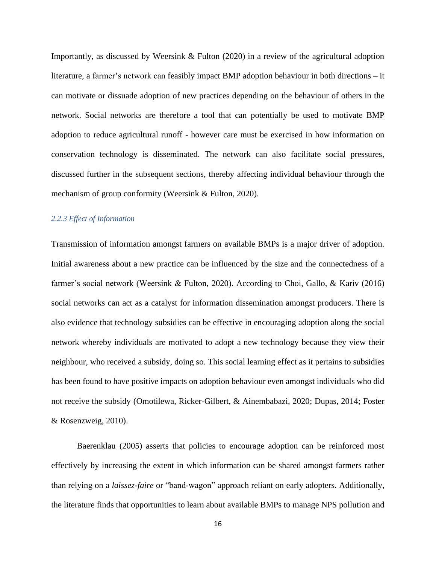Importantly, as discussed by Weersink & Fulton (2020) in a review of the agricultural adoption literature, a farmer's network can feasibly impact BMP adoption behaviour in both directions – it can motivate or dissuade adoption of new practices depending on the behaviour of others in the network. Social networks are therefore a tool that can potentially be used to motivate BMP adoption to reduce agricultural runoff - however care must be exercised in how information on conservation technology is disseminated. The network can also facilitate social pressures, discussed further in the subsequent sections, thereby affecting individual behaviour through the mechanism of group conformity (Weersink & Fulton, 2020).

#### *2.2.3 Effect of Information*

Transmission of information amongst farmers on available BMPs is a major driver of adoption. Initial awareness about a new practice can be influenced by the size and the connectedness of a farmer's social network (Weersink & Fulton, 2020). According to Choi, Gallo, & Kariv (2016) social networks can act as a catalyst for information dissemination amongst producers. There is also evidence that technology subsidies can be effective in encouraging adoption along the social network whereby individuals are motivated to adopt a new technology because they view their neighbour, who received a subsidy, doing so. This social learning effect as it pertains to subsidies has been found to have positive impacts on adoption behaviour even amongst individuals who did not receive the subsidy (Omotilewa, Ricker-Gilbert, & Ainembabazi, 2020; Dupas, 2014; Foster & Rosenzweig, 2010).

Baerenklau (2005) asserts that policies to encourage adoption can be reinforced most effectively by increasing the extent in which information can be shared amongst farmers rather than relying on a *laissez-faire* or "band-wagon" approach reliant on early adopters. Additionally, the literature finds that opportunities to learn about available BMPs to manage NPS pollution and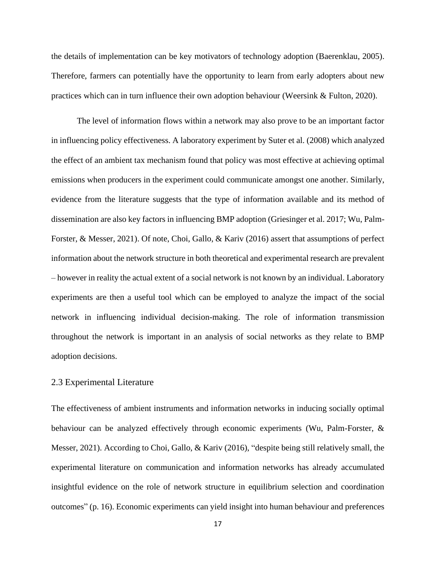the details of implementation can be key motivators of technology adoption (Baerenklau, 2005). Therefore, farmers can potentially have the opportunity to learn from early adopters about new practices which can in turn influence their own adoption behaviour (Weersink & Fulton, 2020).

The level of information flows within a network may also prove to be an important factor in influencing policy effectiveness. A laboratory experiment by Suter et al. (2008) which analyzed the effect of an ambient tax mechanism found that policy was most effective at achieving optimal emissions when producers in the experiment could communicate amongst one another. Similarly, evidence from the literature suggests that the type of information available and its method of dissemination are also key factors in influencing BMP adoption (Griesinger et al. 2017; Wu, Palm-Forster, & Messer, 2021). Of note, Choi, Gallo, & Kariv (2016) assert that assumptions of perfect information about the network structure in both theoretical and experimental research are prevalent – however in reality the actual extent of a social network is not known by an individual. Laboratory experiments are then a useful tool which can be employed to analyze the impact of the social network in influencing individual decision-making. The role of information transmission throughout the network is important in an analysis of social networks as they relate to BMP adoption decisions.

#### 2.3 Experimental Literature

The effectiveness of ambient instruments and information networks in inducing socially optimal behaviour can be analyzed effectively through economic experiments (Wu, Palm-Forster, & Messer, 2021). According to Choi, Gallo, & Kariv (2016), "despite being still relatively small, the experimental literature on communication and information networks has already accumulated insightful evidence on the role of network structure in equilibrium selection and coordination outcomes" (p. 16). Economic experiments can yield insight into human behaviour and preferences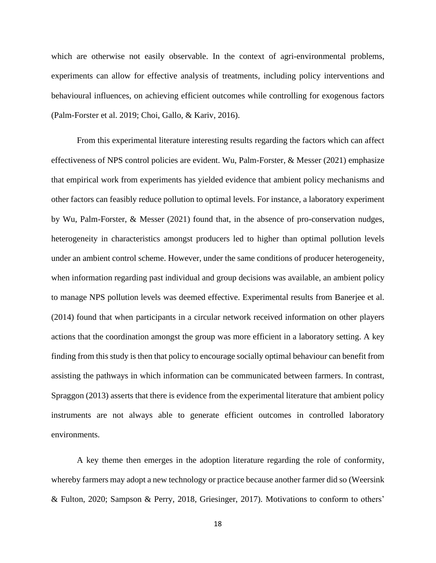which are otherwise not easily observable. In the context of agri-environmental problems, experiments can allow for effective analysis of treatments, including policy interventions and behavioural influences, on achieving efficient outcomes while controlling for exogenous factors (Palm-Forster et al. 2019; Choi, Gallo, & Kariv, 2016).

From this experimental literature interesting results regarding the factors which can affect effectiveness of NPS control policies are evident. Wu, Palm-Forster, & Messer (2021) emphasize that empirical work from experiments has yielded evidence that ambient policy mechanisms and other factors can feasibly reduce pollution to optimal levels. For instance, a laboratory experiment by Wu, Palm-Forster, & Messer (2021) found that, in the absence of pro-conservation nudges, heterogeneity in characteristics amongst producers led to higher than optimal pollution levels under an ambient control scheme. However, under the same conditions of producer heterogeneity, when information regarding past individual and group decisions was available, an ambient policy to manage NPS pollution levels was deemed effective. Experimental results from Banerjee et al. (2014) found that when participants in a circular network received information on other players actions that the coordination amongst the group was more efficient in a laboratory setting. A key finding from this study is then that policy to encourage socially optimal behaviour can benefit from assisting the pathways in which information can be communicated between farmers. In contrast, Spraggon (2013) asserts that there is evidence from the experimental literature that ambient policy instruments are not always able to generate efficient outcomes in controlled laboratory environments.

A key theme then emerges in the adoption literature regarding the role of conformity, whereby farmers may adopt a new technology or practice because another farmer did so (Weersink & Fulton, 2020; Sampson & Perry, 2018, Griesinger, 2017). Motivations to conform to others'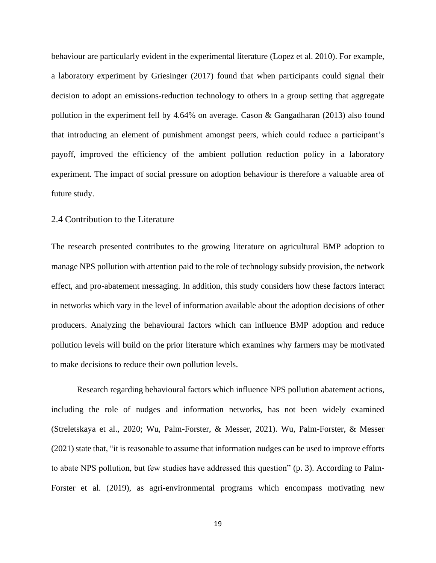behaviour are particularly evident in the experimental literature (Lopez et al. 2010). For example, a laboratory experiment by Griesinger (2017) found that when participants could signal their decision to adopt an emissions-reduction technology to others in a group setting that aggregate pollution in the experiment fell by 4.64% on average. Cason & Gangadharan (2013) also found that introducing an element of punishment amongst peers, which could reduce a participant's payoff, improved the efficiency of the ambient pollution reduction policy in a laboratory experiment. The impact of social pressure on adoption behaviour is therefore a valuable area of future study.

### 2.4 Contribution to the Literature

The research presented contributes to the growing literature on agricultural BMP adoption to manage NPS pollution with attention paid to the role of technology subsidy provision, the network effect, and pro-abatement messaging. In addition, this study considers how these factors interact in networks which vary in the level of information available about the adoption decisions of other producers. Analyzing the behavioural factors which can influence BMP adoption and reduce pollution levels will build on the prior literature which examines why farmers may be motivated to make decisions to reduce their own pollution levels.

Research regarding behavioural factors which influence NPS pollution abatement actions, including the role of nudges and information networks, has not been widely examined (Streletskaya et al., 2020; Wu, Palm-Forster, & Messer, 2021). Wu, Palm-Forster, & Messer (2021) state that, "it is reasonable to assume that information nudges can be used to improve efforts to abate NPS pollution, but few studies have addressed this question" (p. 3). According to Palm-Forster et al. (2019), as agri-environmental programs which encompass motivating new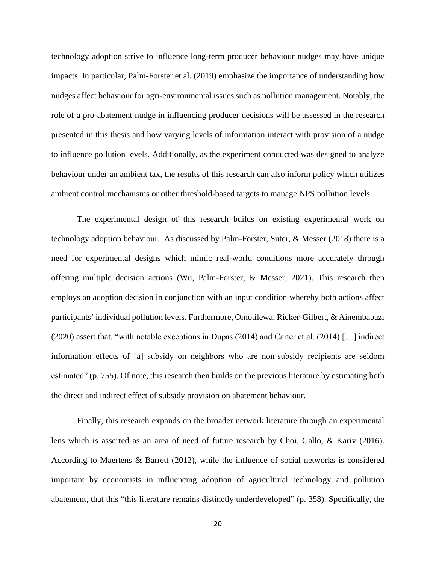technology adoption strive to influence long-term producer behaviour nudges may have unique impacts. In particular, Palm-Forster et al. (2019) emphasize the importance of understanding how nudges affect behaviour for agri-environmental issues such as pollution management. Notably, the role of a pro-abatement nudge in influencing producer decisions will be assessed in the research presented in this thesis and how varying levels of information interact with provision of a nudge to influence pollution levels. Additionally, as the experiment conducted was designed to analyze behaviour under an ambient tax, the results of this research can also inform policy which utilizes ambient control mechanisms or other threshold-based targets to manage NPS pollution levels.

The experimental design of this research builds on existing experimental work on technology adoption behaviour. As discussed by Palm-Forster, Suter, & Messer (2018) there is a need for experimental designs which mimic real-world conditions more accurately through offering multiple decision actions (Wu, Palm-Forster, & Messer, 2021). This research then employs an adoption decision in conjunction with an input condition whereby both actions affect participants' individual pollution levels. Furthermore, Omotilewa, Ricker-Gilbert, & Ainembabazi (2020) assert that, "with notable exceptions in Dupas (2014) and Carter et al. (2014) […] indirect information effects of [a] subsidy on neighbors who are non-subsidy recipients are seldom estimated" (p. 755). Of note, this research then builds on the previous literature by estimating both the direct and indirect effect of subsidy provision on abatement behaviour.

Finally, this research expands on the broader network literature through an experimental lens which is asserted as an area of need of future research by Choi, Gallo, & Kariv (2016). According to Maertens & Barrett (2012), while the influence of social networks is considered important by economists in influencing adoption of agricultural technology and pollution abatement, that this "this literature remains distinctly underdeveloped" (p. 358). Specifically, the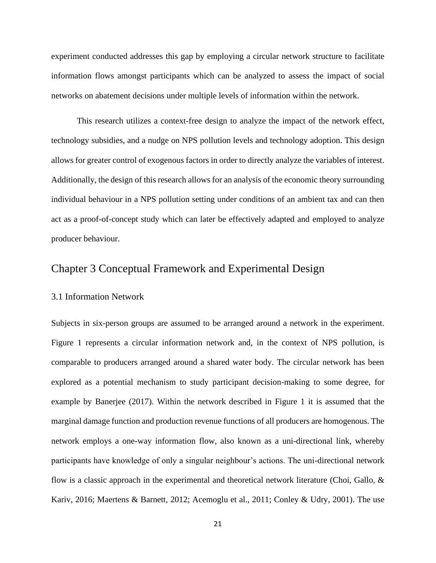experiment conducted addresses this gap by employing a circular network structure to facilitate information flows amongst participants which can be analyzed to assess the impact of social networks on abatement decisions under multiple levels of information within the network.

This research utilizes a context-free design to analyze the impact of the network effect, technology subsidies, and a nudge on NPS pollution levels and technology adoption. This design allows for greater control of exogenous factors in order to directly analyze the variables of interest. Additionally, the design of this research allows for an analysis of the economic theory surrounding individual behaviour in a NPS pollution setting under conditions of an ambient tax and can then act as a proof-of-concept study which can later be effectively adapted and employed to analyze producer behaviour.

# Chapter 3 Conceptual Framework and Experimental Design

#### 3.1 Information Network

Subjects in six-person groups are assumed to be arranged around a network in the experiment. Figure 1 represents a circular information network and, in the context of NPS pollution, is comparable to producers arranged around a shared water body. The circular network has been explored as a potential mechanism to study participant decision-making to some degree, for example by Banerjee (2017). Within the network described in Figure 1 it is assumed that the marginal damage function and production revenue functions of all producers are homogenous. The network employs a one-way information flow, also known as a uni-directional link, whereby participants have knowledge of only a singular neighbour's actions. The uni-directional network flow is a classic approach in the experimental and theoretical network literature (Choi, Gallo, & Kariv, 2016; Maertens & Barnett, 2012; Acemoglu et al., 2011; Conley & Udry, 2001). The use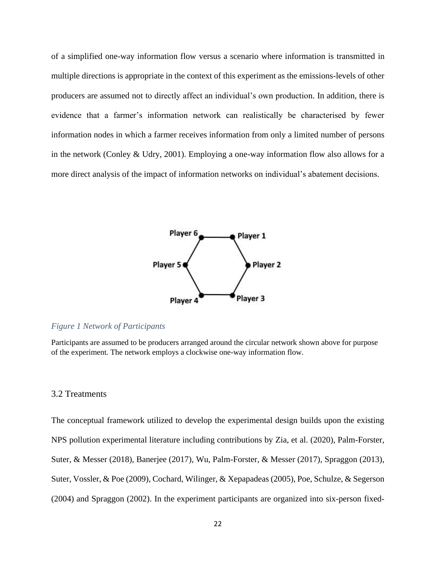of a simplified one-way information flow versus a scenario where information is transmitted in multiple directions is appropriate in the context of this experiment as the emissions-levels of other producers are assumed not to directly affect an individual's own production. In addition, there is evidence that a farmer's information network can realistically be characterised by fewer information nodes in which a farmer receives information from only a limited number of persons in the network (Conley & Udry, 2001). Employing a one-way information flow also allows for a more direct analysis of the impact of information networks on individual's abatement decisions.



#### <span id="page-28-0"></span>*Figure 1 Network of Participants*

Participants are assumed to be producers arranged around the circular network shown above for purpose of the experiment. The network employs a clockwise one-way information flow.

## 3.2 Treatments

The conceptual framework utilized to develop the experimental design builds upon the existing NPS pollution experimental literature including contributions by Zia, et al. (2020), Palm-Forster, Suter, & Messer (2018), Banerjee (2017), Wu, Palm-Forster, & Messer (2017), Spraggon (2013), Suter, Vossler, & Poe (2009), Cochard, Wilinger, & Xepapadeas (2005), Poe, Schulze, & Segerson (2004) and Spraggon (2002). In the experiment participants are organized into six-person fixed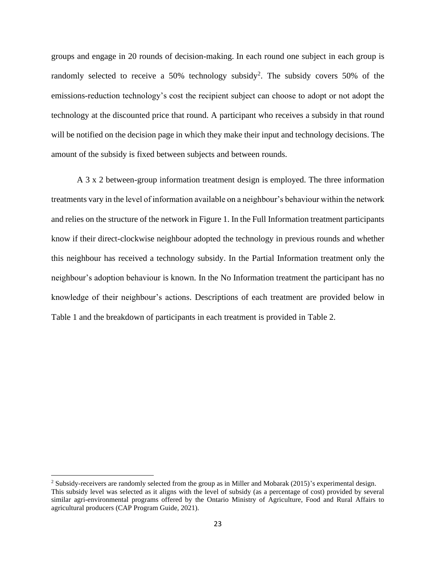groups and engage in 20 rounds of decision-making. In each round one subject in each group is randomly selected to receive a 50% technology subsidy<sup>2</sup>. The subsidy covers 50% of the emissions-reduction technology's cost the recipient subject can choose to adopt or not adopt the technology at the discounted price that round. A participant who receives a subsidy in that round will be notified on the decision page in which they make their input and technology decisions. The amount of the subsidy is fixed between subjects and between rounds.

A 3 x 2 between-group information treatment design is employed. The three information treatments vary in the level of information available on a neighbour's behaviour within the network and relies on the structure of the network in [Figure 1.](#page-28-0) In the Full Information treatment participants know if their direct-clockwise neighbour adopted the technology in previous rounds and whether this neighbour has received a technology subsidy. In the Partial Information treatment only the neighbour's adoption behaviour is known. In the No Information treatment the participant has no knowledge of their neighbour's actions. Descriptions of each treatment are provided below in Table 1 and the breakdown of participants in each treatment is provided in Table 2.

<sup>&</sup>lt;sup>2</sup> Subsidy-receivers are randomly selected from the group as in Miller and Mobarak (2015)'s experimental design. This subsidy level was selected as it aligns with the level of subsidy (as a percentage of cost) provided by several similar agri-environmental programs offered by the Ontario Ministry of Agriculture, Food and Rural Affairs to agricultural producers (CAP Program Guide, 2021).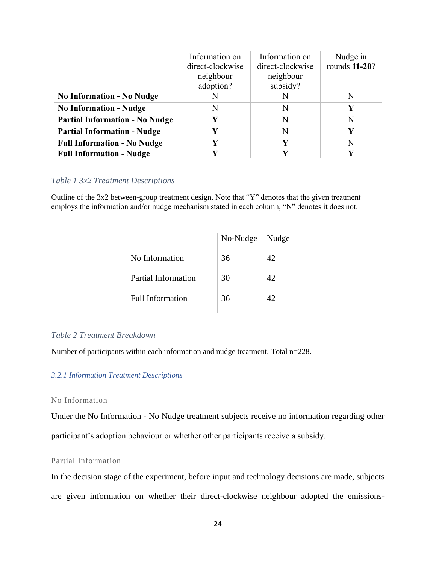|                                       | Information on   | Information on   | Nudge in      |
|---------------------------------------|------------------|------------------|---------------|
|                                       | direct-clockwise | direct-clockwise | rounds 11-20? |
|                                       | neighbour        | neighbour        |               |
|                                       | adoption?        | subsidy?         |               |
| <b>No Information - No Nudge</b>      |                  |                  | N             |
| <b>No Information - Nudge</b>         | N                | N                | Y             |
| <b>Partial Information - No Nudge</b> |                  | N                | Ñ             |
| <b>Partial Information - Nudge</b>    |                  | N                | Y             |
| <b>Full Information - No Nudge</b>    |                  |                  | N             |
| <b>Full Information - Nudge</b>       |                  |                  |               |

#### <span id="page-30-0"></span>*Table 1 3x2 Treatment Descriptions*

Outline of the 3x2 between-group treatment design. Note that "Y" denotes that the given treatment employs the information and/or nudge mechanism stated in each column, "N" denotes it does not.

|                         | No-Nudge | Nudge |
|-------------------------|----------|-------|
| No Information          | 36       | 42    |
| Partial Information     | 30       | 42    |
| <b>Full Information</b> | 36       | 42    |

#### <span id="page-30-1"></span>*Table 2 Treatment Breakdown*

Number of participants within each information and nudge treatment. Total n=228.

#### *3.2.1 Information Treatment Descriptions*

#### No Information

Under the No Information - No Nudge treatment subjects receive no information regarding other participant's adoption behaviour or whether other participants receive a subsidy.

#### Partial Information

In the decision stage of the experiment, before input and technology decisions are made, subjects are given information on whether their direct-clockwise neighbour adopted the emissions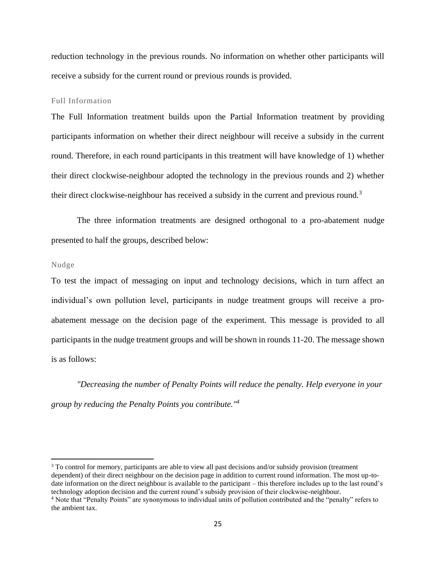reduction technology in the previous rounds. No information on whether other participants will receive a subsidy for the current round or previous rounds is provided.

#### Full Information

The Full Information treatment builds upon the Partial Information treatment by providing participants information on whether their direct neighbour will receive a subsidy in the current round. Therefore, in each round participants in this treatment will have knowledge of 1) whether their direct clockwise-neighbour adopted the technology in the previous rounds and 2) whether their direct clockwise-neighbour has received a subsidy in the current and previous round.<sup>3</sup>

The three information treatments are designed orthogonal to a pro-abatement nudge presented to half the groups, described below:

#### Nudge

To test the impact of messaging on input and technology decisions, which in turn affect an individual's own pollution level, participants in nudge treatment groups will receive a proabatement message on the decision page of the experiment. This message is provided to all participants in the nudge treatment groups and will be shown in rounds 11-20. The message shown is as follows:

*"Decreasing the number of Penalty Points will reduce the penalty. Help everyone in your group by reducing the Penalty Points you contribute."<sup>4</sup>*

<sup>3</sup> To control for memory, participants are able to view all past decisions and/or subsidy provision (treatment dependent) of their direct neighbour on the decision page in addition to current round information. The most up-todate information on the direct neighbour is available to the participant – this therefore includes up to the last round's technology adoption decision and the current round's subsidy provision of their clockwise-neighbour.

<sup>4</sup> Note that "Penalty Points" are synonymous to individual units of pollution contributed and the "penalty" refers to the ambient tax.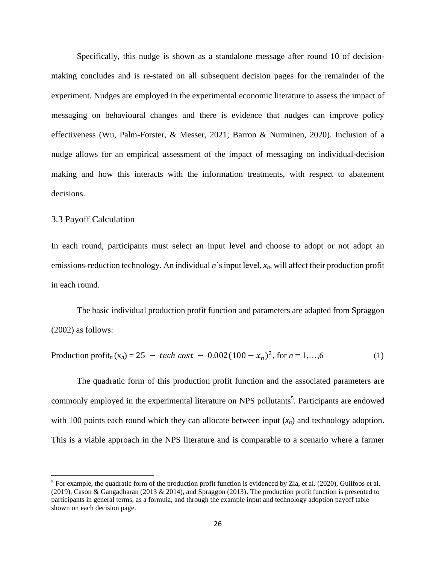Specifically, this nudge is shown as a standalone message after round 10 of decisionmaking concludes and is re-stated on all subsequent decision pages for the remainder of the experiment. Nudges are employed in the experimental economic literature to assess the impact of messaging on behavioural changes and there is evidence that nudges can improve policy effectiveness (Wu, Palm-Forster, & Messer, 2021; Barron & Nurminen, 2020). Inclusion of a nudge allows for an empirical assessment of the impact of messaging on individual-decision making and how this interacts with the information treatments, with respect to abatement decisions.

### 3.3 Payoff Calculation

In each round, participants must select an input level and choose to adopt or not adopt an emissions-reduction technology. An individual *n*'s input level, *xn*, will affect their production profit in each round.

The basic individual production profit function and parameters are adapted from Spraggon (2002) as follows:

Production profit<sub>n</sub> 
$$
(x_n) = 25 - \text{tech cost} - 0.002(100 - x_n)^2
$$
, for  $n = 1,...,6$  (1)

The quadratic form of this production profit function and the associated parameters are commonly employed in the experimental literature on NPS pollutants<sup>5</sup>. Participants are endowed with 100 points each round which they can allocate between input  $(x_n)$  and technology adoption. This is a viable approach in the NPS literature and is comparable to a scenario where a farmer

<sup>&</sup>lt;sup>5</sup> For example, the quadratic form of the production profit function is evidenced by Zia, et al. (2020), Guilfoos et al. (2019), Cason & Gangadharan (2013 & 2014), and Spraggon (2013). The production profit function is presented to participants in general terms, as a formula, and through the example input and technology adoption payoff table shown on each decision page.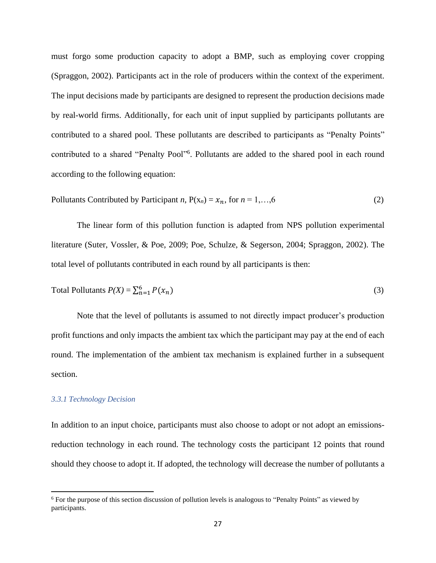must forgo some production capacity to adopt a BMP, such as employing cover cropping (Spraggon, 2002). Participants act in the role of producers within the context of the experiment. The input decisions made by participants are designed to represent the production decisions made by real-world firms. Additionally, for each unit of input supplied by participants pollutants are contributed to a shared pool. These pollutants are described to participants as "Penalty Points" contributed to a shared "Penalty Pool"<sup>6</sup>. Pollutants are added to the shared pool in each round according to the following equation:

$$
Pollutants \text{Continuted by Participant } n, P(x_n) = x_n, \text{ for } n = 1,...,6 \tag{2}
$$

The linear form of this pollution function is adapted from NPS pollution experimental literature (Suter, Vossler, & Poe, 2009; Poe, Schulze, & Segerson, 2004; Spraggon, 2002). The total level of pollutants contributed in each round by all participants is then:

Total Pollutants 
$$
P(X) = \sum_{n=1}^{6} P(x_n)
$$
 (3)

Note that the level of pollutants is assumed to not directly impact producer's production profit functions and only impacts the ambient tax which the participant may pay at the end of each round. The implementation of the ambient tax mechanism is explained further in a subsequent section.

### *3.3.1 Technology Decision*

In addition to an input choice, participants must also choose to adopt or not adopt an emissionsreduction technology in each round. The technology costs the participant 12 points that round should they choose to adopt it. If adopted, the technology will decrease the number of pollutants a

<sup>&</sup>lt;sup>6</sup> For the purpose of this section discussion of pollution levels is analogous to "Penalty Points" as viewed by participants.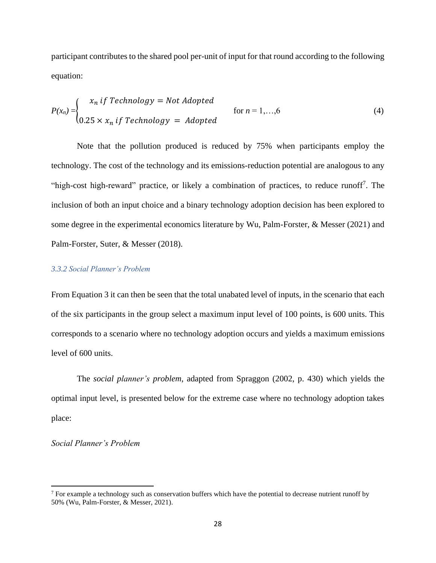participant contributes to the shared pool per-unit of input for that round according to the following equation:

$$
P(x_n) =\n\begin{cases}\n x_n \text{ if } \text{Technology} = \text{Not} \text{ adopted} \\
0.25 \times x_n \text{ if } \text{Technology} = \text{Adopted} \\
\end{cases}
$$
\n(4)

Note that the pollution produced is reduced by 75% when participants employ the technology. The cost of the technology and its emissions-reduction potential are analogous to any "high-cost high-reward" practice, or likely a combination of practices, to reduce runoff<sup>7</sup>. The inclusion of both an input choice and a binary technology adoption decision has been explored to some degree in the experimental economics literature by Wu, Palm-Forster, & Messer (2021) and Palm-Forster, Suter, & Messer (2018).

#### *3.3.2 Social Planner's Problem*

From Equation 3 it can then be seen that the total unabated level of inputs, in the scenario that each of the six participants in the group select a maximum input level of 100 points, is 600 units. This corresponds to a scenario where no technology adoption occurs and yields a maximum emissions level of 600 units.

The *social planner's problem*, adapted from Spraggon (2002, p. 430) which yields the optimal input level, is presented below for the extreme case where no technology adoption takes place:

*Social Planner's Problem* 

<sup>&</sup>lt;sup>7</sup> For example a technology such as conservation buffers which have the potential to decrease nutrient runoff by 50% (Wu, Palm-Forster, & Messer, 2021).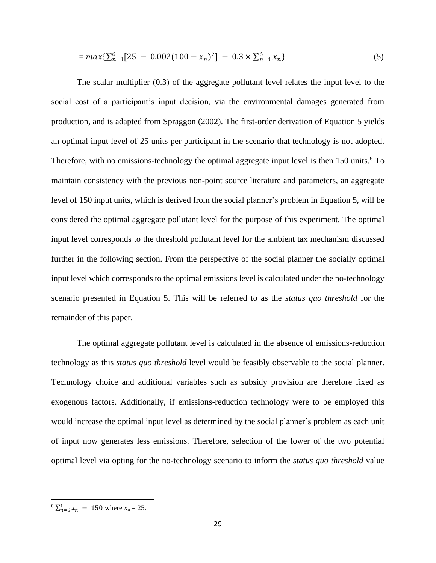$$
= max\left\{ \sum_{n=1}^{6} \left[ 25 - 0.002(100 - x_n)^2 \right] - 0.3 \times \sum_{n=1}^{6} x_n \right\}
$$
\n
$$
(5)
$$

The scalar multiplier (0.3) of the aggregate pollutant level relates the input level to the social cost of a participant's input decision, via the environmental damages generated from production, and is adapted from Spraggon (2002). The first-order derivation of Equation 5 yields an optimal input level of 25 units per participant in the scenario that technology is not adopted. Therefore, with no emissions-technology the optimal aggregate input level is then 150 units.<sup>8</sup> To maintain consistency with the previous non-point source literature and parameters, an aggregate level of 150 input units, which is derived from the social planner's problem in Equation 5, will be considered the optimal aggregate pollutant level for the purpose of this experiment. The optimal input level corresponds to the threshold pollutant level for the ambient tax mechanism discussed further in the following section. From the perspective of the social planner the socially optimal input level which corresponds to the optimal emissions level is calculated under the no-technology scenario presented in Equation 5. This will be referred to as the *status quo threshold* for the remainder of this paper.

The optimal aggregate pollutant level is calculated in the absence of emissions-reduction technology as this *status quo threshold* level would be feasibly observable to the social planner. Technology choice and additional variables such as subsidy provision are therefore fixed as exogenous factors. Additionally, if emissions-reduction technology were to be employed this would increase the optimal input level as determined by the social planner's problem as each unit of input now generates less emissions. Therefore, selection of the lower of the two potential optimal level via opting for the no-technology scenario to inform the *status quo threshold* value

 $8 \sum_{n=6}^{8} x_n = 150$  where  $x_n = 25$ .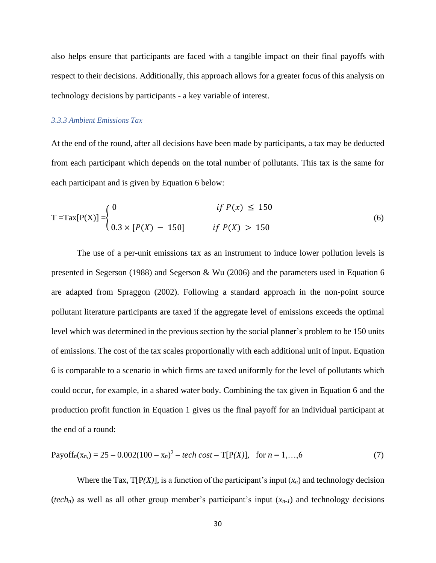also helps ensure that participants are faced with a tangible impact on their final payoffs with respect to their decisions. Additionally, this approach allows for a greater focus of this analysis on technology decisions by participants - a key variable of interest.

#### *3.3.3 Ambient Emissions Tax*

At the end of the round, after all decisions have been made by participants, a tax may be deducted from each participant which depends on the total number of pollutants. This tax is the same for each participant and is given by Equation 6 below:

$$
T = Tax[P(X)] = \begin{cases} 0 & \text{if } P(x) \le 150 \\ 0.3 \times [P(X) - 150] & \text{if } P(X) > 150 \end{cases}
$$
(6)

The use of a per-unit emissions tax as an instrument to induce lower pollution levels is presented in Segerson (1988) and Segerson & Wu (2006) and the parameters used in Equation 6 are adapted from Spraggon (2002). Following a standard approach in the non-point source pollutant literature participants are taxed if the aggregate level of emissions exceeds the optimal level which was determined in the previous section by the social planner's problem to be 150 units of emissions. The cost of the tax scales proportionally with each additional unit of input. Equation 6 is comparable to a scenario in which firms are taxed uniformly for the level of pollutants which could occur, for example, in a shared water body. Combining the tax given in Equation 6 and the production profit function in Equation 1 gives us the final payoff for an individual participant at the end of a round:

Payoff<sub>n</sub>(
$$
x_n
$$
) = 25 – 0.002(100 –  $x_n$ )<sup>2</sup> – *tech cost* – T[P(*X*)], for  $n = 1,...,6$  (7)

Where the Tax,  $T[P(X)]$ , is a function of the participant's input  $(x_n)$  and technology decision *(tech<sub>n</sub>)* as well as all other group member's participant's input  $(x_{n-1})$  and technology decisions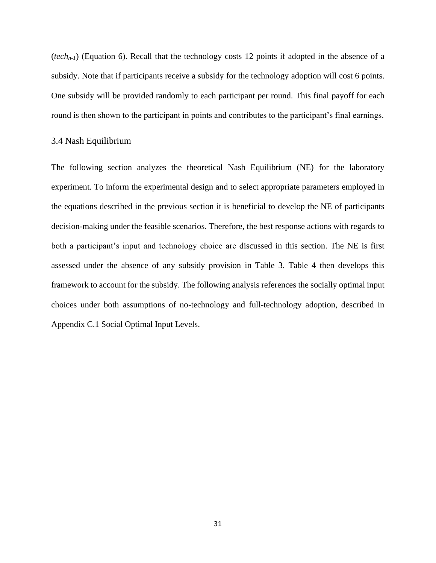(*techn-1*) (Equation 6). Recall that the technology costs 12 points if adopted in the absence of a subsidy. Note that if participants receive a subsidy for the technology adoption will cost 6 points. One subsidy will be provided randomly to each participant per round. This final payoff for each round is then shown to the participant in points and contributes to the participant's final earnings.

## 3.4 Nash Equilibrium

The following section analyzes the theoretical Nash Equilibrium (NE) for the laboratory experiment. To inform the experimental design and to select appropriate parameters employed in the equations described in the previous section it is beneficial to develop the NE of participants decision-making under the feasible scenarios. Therefore, the best response actions with regards to both a participant's input and technology choice are discussed in this section. The NE is first assessed under the absence of any subsidy provision in Table 3. Table 4 then develops this framework to account for the subsidy. The following analysis references the socially optimal input choices under both assumptions of no-technology and full-technology adoption, described in [Appendix C.1 Social Optimal Input Levels.](#page-88-0)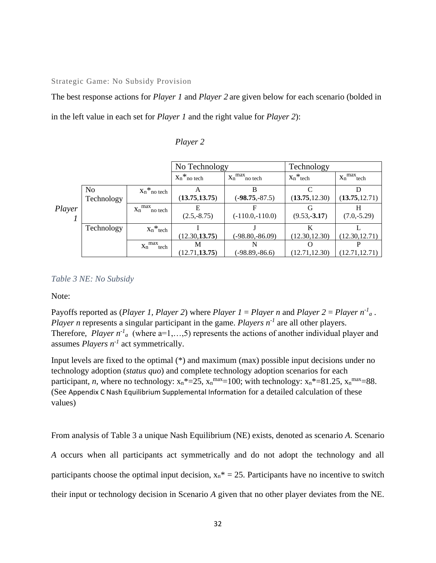Strategic Game: No Subsidy Provision

The best response actions for *Player 1* and *Player 2* are given below for each scenario (bolded in in the left value in each set for *Player 1* and the right value for *Player 2*):

| V<br>IJ. |  |
|----------|--|
|----------|--|

|        |                            |                        | No Technology   |                     | Technology     |                |
|--------|----------------------------|------------------------|-----------------|---------------------|----------------|----------------|
|        |                            |                        | $X_n^*$ no tech | $X_n^{max}$ no tech | $X_n^*$ tech   | $X_n^{max}$    |
|        | N <sub>o</sub>             | $X_n^*$ no tech        |                 | в                   |                |                |
|        | Technology                 |                        | (13.75, 13.75)  | $(-98.75,-87.5)$    | (13.75, 12.30) | (13.75, 12.71) |
| Player |                            | $x_n^{max}$<br>no tech |                 | F                   | G              |                |
|        |                            |                        | $(2.5,-8.75)$   | $(-110.0,-110.0)$   | $(9.53,-3.17)$ | $(7.0,-5.29)$  |
|        | $X_n^*$ tech<br>Technology |                        |                 |                     | K              |                |
|        |                            |                        | (12.30, 13.75)  | $(-98.80,-86.09)$   | (12.30, 12.30) | (12.30, 12.71) |
|        |                            | $x_n^{max}$<br>tech    | M               | N                   |                |                |
|        |                            |                        | (12.71, 13.75)  | $(-98.89,-86.6)$    | (12.71, 12.30) | (12.71, 12.71) |

## *Table 3 NE: No Subsidy*

Note:

Payoffs reported as (*Player 1, Player 2*) where *Player 1* = *Player n* and *Player 2* = *Player n<sup>-1</sup><sub>a</sub>*. *Player n* represents a singular participant in the game. *Players n-1* are all other players. Therefore, *Player*  $n^{-1}$ <sub>*a*</sub> (where  $a=1,...,5$ ) represents the actions of another individual player and assumes *Players n-1* act symmetrically.

Input levels are fixed to the optimal (\*) and maximum (max) possible input decisions under no technology adoption (*status quo*) and complete technology adoption scenarios for each participant, *n*, where no technology:  $x_n^*=25$ ,  $x_n^{\text{max}}=100$ ; with technology:  $x_n^*=81.25$ ,  $x_n^{\text{max}}=88$ . (See Appendix C [Nash Equilibrium Supplemental Information](#page-88-1) for a detailed calculation of these values)

From analysis of Table 3 a unique Nash Equilibrium (NE) exists, denoted as scenario *A*. Scenario *A* occurs when all participants act symmetrically and do not adopt the technology and all participants choose the optimal input decision,  $x_n^* = 25$ . Participants have no incentive to switch their input or technology decision in Scenario *A* given that no other player deviates from the NE.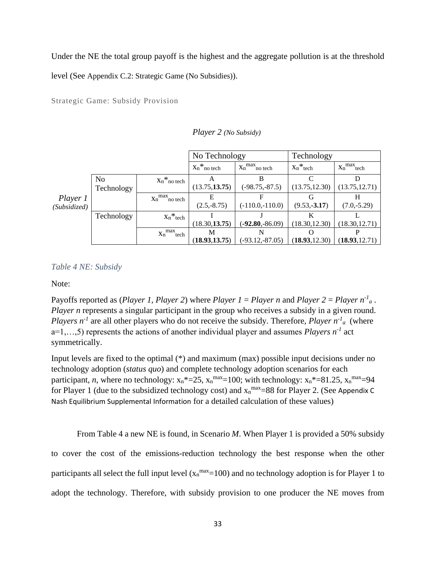Under the NE the total group payoff is the highest and the aggregate pollution is at the threshold level (See [Appendix C.2: Strategic Game \(No Subsidies\)](#page-89-0)).

Strategic Game: Subsidy Provision

|              |                |                        | No Technology   |                              | Technology     |                   |
|--------------|----------------|------------------------|-----------------|------------------------------|----------------|-------------------|
|              |                |                        | $X_n^*$ no tech | $X_n$ <sup>max</sup> no tech | $X_n^*$ tech   | $X_n^{\max}$ tech |
|              | N <sub>o</sub> | $X_n^*$ no tech        |                 | В                            |                |                   |
|              | Technology     |                        | (13.75, 13.75)  | $(-98.75,-87.5)$             | (13.75, 12.30) | (13.75, 12.71)    |
| Player 1     |                | $x_n^{max}$<br>no tech | Е               |                              |                | H                 |
| (Subsidized) |                |                        | $(2.5,-8.75)$   | $(-110.0,-110.0)$            | $(9.53,-3.17)$ | $(7.0,-5.29)$     |
|              | Technology     | $X_n^*$ tech           |                 |                              |                |                   |
|              |                |                        | (18.30, 13.75)  | $(-92.80,-86.09)$            | (18.30, 12.30) | (18.30, 12.71)    |
|              |                | $X_n^{max}$ tech       | М               | N                            |                |                   |
|              |                |                        | (18.93, 13.75)  | $(-93.12,-87.05)$            | (18.93, 12.30) | (18.93, 12.71)    |

*Player 2 (No Subsidy)*

## *Table 4 NE: Subsidy*

Note:

Payoffs reported as (*Player 1, Player 2*) where *Player 1* = *Player n* and *Player 2* = *Player n<sup>-1</sup><sub>a</sub>*. *Player n* represents a singular participant in the group who receives a subsidy in a given round. *Players n<sup>-1</sup>* are all other players who do not receive the subsidy. Therefore, *Player n<sup>-1</sup>*<sup>*a*</sup> (where a=1,…,5) represents the actions of another individual player and assumes *Players n-1* act symmetrically.

Input levels are fixed to the optimal (\*) and maximum (max) possible input decisions under no technology adoption (*status quo*) and complete technology adoption scenarios for each participant, *n*, where no technology:  $x_n^*=25$ ,  $x_n^{\text{max}}=100$ ; with technology:  $x_n^*=81.25$ ,  $x_n^{\text{max}}=94$ for Player 1 (due to the subsidized technology cost) and  $x_n^{\text{max}}=88$  for Player 2. (See [Appendix C](#page-88-1) [Nash Equilibrium Supplemental Information](#page-88-1) for a detailed calculation of these values)

From Table 4 a new NE is found, in Scenario *M*. When Player 1 is provided a 50% subsidy to cover the cost of the emissions-reduction technology the best response when the other participants all select the full input level  $(x_n^{max}=100)$  and no technology adoption is for Player 1 to adopt the technology. Therefore, with subsidy provision to one producer the NE moves from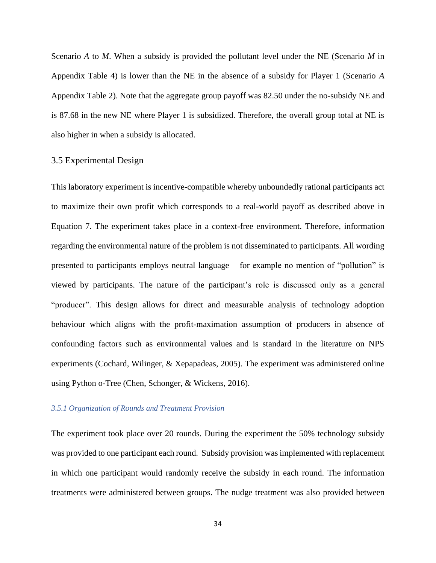Scenario *A* to *M*. When a subsidy is provided the pollutant level under the NE (Scenario *M* in [Appendix Table 4\)](#page-90-0) is lower than the NE in the absence of a subsidy for Player 1 (Scenario *A* Appendix Table 2). Note that the aggregate group payoff was 82.50 under the no-subsidy NE and is 87.68 in the new NE where Player 1 is subsidized. Therefore, the overall group total at NE is also higher in when a subsidy is allocated.

## 3.5 Experimental Design

This laboratory experiment is incentive-compatible whereby unboundedly rational participants act to maximize their own profit which corresponds to a real-world payoff as described above in Equation 7. The experiment takes place in a context-free environment. Therefore, information regarding the environmental nature of the problem is not disseminated to participants. All wording presented to participants employs neutral language – for example no mention of "pollution" is viewed by participants. The nature of the participant's role is discussed only as a general "producer". This design allows for direct and measurable analysis of technology adoption behaviour which aligns with the profit-maximation assumption of producers in absence of confounding factors such as environmental values and is standard in the literature on NPS experiments (Cochard, Wilinger, & Xepapadeas, 2005). The experiment was administered online using Python o-Tree (Chen, Schonger, & Wickens, 2016).

### *3.5.1 Organization of Rounds and Treatment Provision*

The experiment took place over 20 rounds. During the experiment the 50% technology subsidy was provided to one participant each round. Subsidy provision was implemented with replacement in which one participant would randomly receive the subsidy in each round. The information treatments were administered between groups. The nudge treatment was also provided between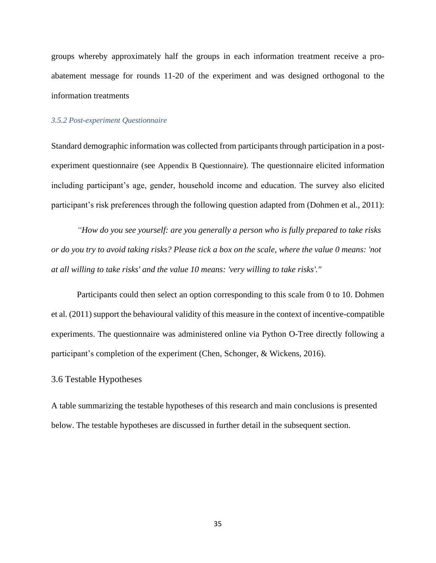groups whereby approximately half the groups in each information treatment receive a proabatement message for rounds 11-20 of the experiment and was designed orthogonal to the information treatments

#### *3.5.2 Post-experiment Questionnaire*

Standard demographic information was collected from participants through participation in a postexperiment questionnaire (see [Appendix B Questionnaire](#page-86-0)). The questionnaire elicited information including participant's age, gender, household income and education. The survey also elicited participant's risk preferences through the following question adapted from (Dohmen et al., 2011):

*"How do you see yourself: are you generally a person who is fully prepared to take risks or do you try to avoid taking risks? Please tick a box on the scale, where the value 0 means: 'not at all willing to take risks' and the value 10 means: 'very willing to take risks'."*

Participants could then select an option corresponding to this scale from 0 to 10. Dohmen et al. (2011) support the behavioural validity of this measure in the context of incentive-compatible experiments. The questionnaire was administered online via Python O-Tree directly following a participant's completion of the experiment (Chen, Schonger, & Wickens, 2016).

## 3.6 Testable Hypotheses

A table summarizing the testable hypotheses of this research and main conclusions is presented below. The testable hypotheses are discussed in further detail in the subsequent section.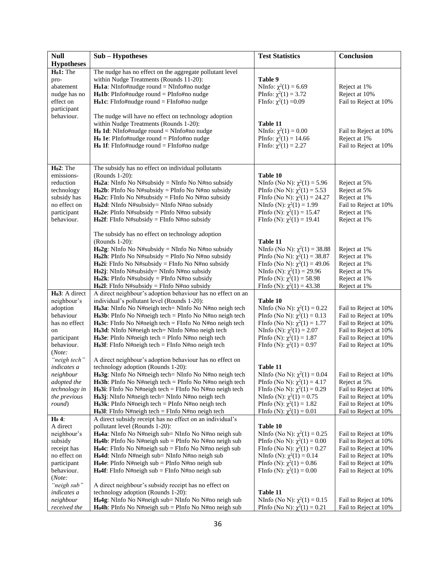| <b>Null</b>                     | Sub - Hypotheses                                                                                             | <b>Test Statistics</b>                                               | <b>Conclusion</b>                              |
|---------------------------------|--------------------------------------------------------------------------------------------------------------|----------------------------------------------------------------------|------------------------------------------------|
| <b>Hypotheses</b>               |                                                                                                              |                                                                      |                                                |
| $H01$ : The                     | The nudge has no effect on the aggregate pollutant level                                                     |                                                                      |                                                |
| pro-                            | within Nudge Treatments (Rounds 11-20):                                                                      | Table 9                                                              |                                                |
| abatement                       | $H01a$ : NInfo#nudge round = NInfo#no nudge                                                                  | NInfo: $\chi^2(1) = 6.69$<br>PInfo: $\chi^2(1) = 3.72$               | Reject at 1%                                   |
| nudge has no<br>effect on       | $H_01b$ : PInfo#nudge round = PInfo#no nudge<br>$H01c$ : FInfo#nudge round = FInfo#no nudge                  | FInfo: $\chi^2(1) = 0.09$                                            | Reject at 10%<br>Fail to Reject at 10%         |
| participant                     |                                                                                                              |                                                                      |                                                |
| behaviour.                      | The nudge will have no effect on technology adoption                                                         |                                                                      |                                                |
|                                 | within Nudge Treatments (Rounds 1-20):                                                                       | Table 11                                                             |                                                |
|                                 | $H_0$ 1d: NInfo#nudge round = NInfo#no nudge                                                                 | NInfo: $\chi^2(1) = 0.00$                                            | Fail to Reject at 10%                          |
|                                 | $H_0$ 1e: PInfo#nudge round = PInfo#no nudge                                                                 | PInfo: $\chi^2(1) = 14.66$                                           | Reject at 1%                                   |
|                                 | $H_0$ 1f: FInfo#nudge round = FInfo#no nudge                                                                 | FInfo: $\chi^2(1) = 2.27$                                            | Fail to Reject at 10%                          |
|                                 |                                                                                                              |                                                                      |                                                |
|                                 |                                                                                                              |                                                                      |                                                |
| $H02$ : The                     | The subsidy has no effect on individual pollutants                                                           |                                                                      |                                                |
| emissions-                      | (Rounds 1-20):                                                                                               | Table 10                                                             |                                                |
| reduction                       | $H02a$ : NInfo No N#subsidy = NInfo No N#no subsidy                                                          | NInfo (No N): $\chi^2(1) = 5.96$<br>PInfo (No N): $\chi^2(1) = 5.53$ | Reject at 5%                                   |
| technology<br>subsidy has       | $H_0 2b$ : PInfo No N#subsidy = PInfo No N#no subsidy<br>$H02c$ : FInfo No N#subsidy = FInfo No N#no subsidy | FInfo (No N): $\chi^2(1) = 24.27$                                    | Reject at 5%<br>Reject at 1%                   |
| no effect on                    | H <sub>0</sub> 2d: NInfo N#subsidy= NInfo N#no subsidy                                                       | NInfo (N): $\chi^2(1) = 1.99$                                        | Fail to Reject at 10%                          |
| participant                     | $H_0 2e$ : PInfo N#subsidy = PInfo N#no subsidy                                                              | PInfo (N): $\chi^2(1) = 15.47$                                       | Reject at 1%                                   |
| behaviour.                      | $H_02f$ : FInfo N#subsidy = FInfo N#no subsidy                                                               | FInfo (N): $\chi^2(1) = 19.41$                                       | Reject at 1%                                   |
|                                 |                                                                                                              |                                                                      |                                                |
|                                 | The subsidy has no effect on technology adoption                                                             |                                                                      |                                                |
|                                 | (Rounds 1-20):                                                                                               | Table 11                                                             |                                                |
|                                 | $H02g$ : NInfo No N#subsidy = NInfo No N#no subsidy                                                          | NInfo (No N): $\chi^2(1) = 38.88$                                    | Reject at 1%                                   |
|                                 | $H02h$ : PInfo No N#subsidy = PInfo No N#no subsidy                                                          | PInfo (No N): $\chi^2(1) = 38.87$                                    | Reject at 1%                                   |
|                                 | $H02i$ : FInfo No N#subsidy = FInfo No N#no subsidy                                                          | FInfo (No N): $\chi^2(1) = 49.06$                                    | Reject at 1%                                   |
|                                 | $H02j$ : NInfo N#subsidy= NInfo N#no subsidy                                                                 | NInfo (N): $\chi^2(1) = 29.96$                                       | Reject at 1%                                   |
|                                 | $H02k$ : PInfo N#subsidy = PInfo N#no subsidy<br>$H02l$ : FInfo N#subsidy = FInfo N#no subsidy               | PInfo (N): $\chi^2(1) = 58.98$<br>FInfo (N): $\chi^2(1) = 43.38$     | Reject at 1%<br>Reject at 1%                   |
| $H03$ : A direct                | A direct neighbour's adoption behaviour has no effect on an                                                  |                                                                      |                                                |
| neighbour's                     | individual's pollutant level (Rounds 1-20):                                                                  | Table 10                                                             |                                                |
| adoption                        | $H_0$ 3a: NInfo No N#neigh tech= NInfo No N#no neigh tech                                                    | NInfo (No N): $\chi^2(1) = 0.22$                                     | Fail to Reject at 10%                          |
| behaviour                       | $H03b$ : PInfo No N#neigh tech = PInfo No N#no neigh tech                                                    | PInfo (No N): $\chi^2(1) = 0.13$                                     | Fail to Reject at 10%                          |
| has no effect                   | $H_03c$ : FInfo No N#neigh tech = FInfo No N#no neigh tech                                                   | FInfo (No N): $\chi^2(1) = 1.77$                                     | Fail to Reject at 10%                          |
| on                              | H <sub>0</sub> 3d: NInfo N#neigh tech= NInfo N#no neigh tech                                                 | NInfo (N): $\chi^2(1) = 2.07$                                        | Fail to Reject at 10%                          |
| participant                     | $H_0$ 3e: PInfo N#neigh tech = PInfo N#no neigh tech                                                         | PInfo (N): $\chi^2(1) = 1.87$                                        | Fail to Reject at 10%                          |
| behaviour.                      | $H_0 3f$ : FInfo N#neigh tech = FInfo N#no neigh tech                                                        | FInfo (N): $\chi^2(1) = 0.97$                                        | Fail to Reject at 10%                          |
| (Note:                          |                                                                                                              |                                                                      |                                                |
| "neigh tech"                    | A direct neighbour's adoption behaviour has no effect on                                                     |                                                                      |                                                |
| <i>indicates a</i><br>neighbour | technology adoption (Rounds 1-20):<br>H <sub>0</sub> 3g: NInfo No N#neigh tech= NInfo No N#no neigh tech     | Table 11<br>NInfo (No N): $\chi^2(1) = 0.04$                         | Fail to Reject at 10%                          |
| adopted the                     | $H03h$ : PInfo No N#neigh tech = PInfo No N#no neigh tech                                                    | PInfo (No N): $\chi^2(1) = 4.17$                                     | Reject at 5%                                   |
| technology in                   | $H03i$ : FInfo No N#neigh tech = FInfo No N#no neigh tech                                                    | FInfo (No N): $\chi^2(1) = 0.29$                                     | Fail to Reject at 10%                          |
| the previous                    | $H03j$ : NInfo N#neigh tech= NInfo N#no neigh tech                                                           | NInfo (N): $\chi^2(1) = 0.75$                                        | Fail to Reject at 10%                          |
| round)                          | $H_03k$ : PInfo N#neigh tech = PInfo N#no neigh tech                                                         | PInfo (N): $\chi^2(1) = 1.82$                                        | Fail to Reject at 10%                          |
|                                 | $H03I$ : FInfo N#neigh tech = FInfo N#no neigh tech                                                          | FInfo (N): $\chi^2(1) = 0.01$                                        | Fail to Reject at 10%                          |
| $H_0$ 4:                        | A direct subsidy receipt has no effect on an individual's                                                    |                                                                      |                                                |
| A direct                        | pollutant level (Rounds 1-20):                                                                               | Table 10                                                             |                                                |
| neighbour's                     | H <sub>0</sub> 4a: NInfo No N#neigh sub= NInfo No N#no neigh sub                                             | NInfo (No N): $\chi^2(1) = 0.25$                                     | Fail to Reject at 10%                          |
| subsidy                         | $H_0 4b$ : PInfo No N#neigh sub = PInfo No N#no neigh sub                                                    | PInfo (No N): $\chi^2(1) = 0.00$                                     | Fail to Reject at 10%                          |
| receipt has<br>no effect on     | $H_0$ 4c: FInfo No N#neigh sub = FInfo No N#no neigh sub                                                     | FInfo (No N): $\chi^2(1) = 0.27$<br>NInfo (N): $\chi^2(1) = 0.14$    | Fail to Reject at 10%                          |
| participant                     | $H_04d$ : NInfo N#neigh sub= NInfo N#no neigh sub<br>$H_0$ 4e: PInfo N#neigh sub = PInfo N#no neigh sub      | PInfo (N): $\chi^2(1) = 0.86$                                        | Fail to Reject at 10%<br>Fail to Reject at 10% |
| behaviour.                      | $H_0$ 4f: FInfo N#neigh sub = FInfo N#no neigh sub                                                           | FInfo (N): $\chi^2(1) = 0.00$                                        | Fail to Reject at 10%                          |
| (Note:                          |                                                                                                              |                                                                      |                                                |
| "neigh sub"                     | A direct neighbour's subsidy receipt has no effect on                                                        |                                                                      |                                                |
| <i>indicates a</i>              | technology adoption (Rounds 1-20):                                                                           | Table 11                                                             |                                                |
| neighbour                       | $H_0$ 4g: NInfo No N#neigh sub= NInfo No N#no neigh sub                                                      | NInfo (No N): $\chi^2(1) = 0.15$                                     | Fail to Reject at 10%                          |
| received the                    | <b>H<sub>0</sub>4h</b> : PInfo No N#neigh sub = PInfo No N#no neigh sub                                      | PInfo (No N): $\chi^2(1) = 0.21$                                     | Fail to Reject at 10%                          |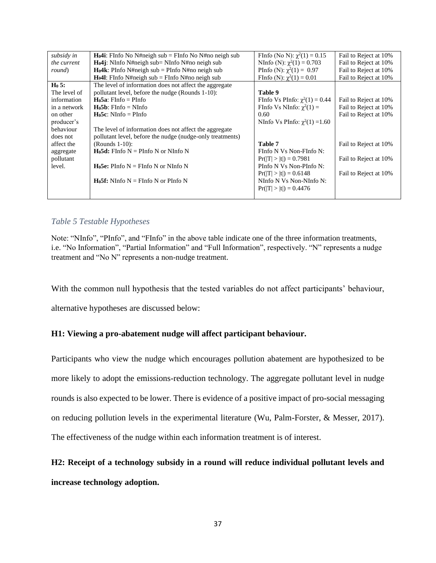| subsidy in   | <b>H</b> <sub>0</sub> 4 <b>i</b> : FInfo No N#neigh sub = FInfo No N#no neigh sub | FInfo (No N): $\chi^2(1) = 0.15$     | Fail to Reject at 10% |
|--------------|-----------------------------------------------------------------------------------|--------------------------------------|-----------------------|
| the current  | $H_04$ j: NInfo N#neigh sub= NInfo N#no neigh sub                                 | NInfo (N): $\chi^2(1) = 0.703$       | Fail to Reject at 10% |
| round)       | $H_04k$ : PInfo N#neigh sub = PInfo N#no neigh sub                                | PInfo (N): $\chi^2(1) = 0.97$        | Fail to Reject at 10% |
|              | $H_0$ 41: FInfo N#neigh sub = FInfo N#no neigh sub                                | FInfo (N): $\chi^2(1) = 0.01$        | Fail to Reject at 10% |
| $H0 5$ :     | The level of information does not affect the aggregate                            |                                      |                       |
| The level of | pollutant level, before the nudge (Rounds 1-10):                                  | Table 9                              |                       |
| information  | $H05a$ : FInfo = PInfo                                                            | FInfo Vs PInfo: $\chi^2(1) = 0.44$   | Fail to Reject at 10% |
| in a network | $H_0$ 5b: FInfo = NInfo                                                           | FInfo Vs NInfo: $\chi^2(1)$ =        | Fail to Reject at 10% |
| on other     | $H_0$ 5 $c$ : NInfo = PInfo                                                       | 0.60                                 | Fail to Reject at 10% |
| producer's   |                                                                                   | NInfo Vs PInfo: $\gamma^2(1) = 1.60$ |                       |
| behaviour    | The level of information does not affect the aggregate                            |                                      |                       |
| does not     | pollutant level, before the nudge (nudge-only treatments)                         |                                      |                       |
| affect the   | $(Rounds 1-10)$ :                                                                 | Table 7                              | Fail to Reject at 10% |
| aggregate    | $H_0$ 5d: FInfo N = PInfo N or NInfo N                                            | FInfo N Vs Non-FInfo N:              |                       |
| pollutant    |                                                                                   | $Pr( T  >  t ) = 0.7981$             | Fail to Reject at 10% |
| level.       | $H_0$ 5e: PInfo N = FInfo N or NInfo N                                            | PInfo N Vs Non-PInfo N:              |                       |
|              |                                                                                   | $Pr( T  >  t ) = 0.6148$             | Fail to Reject at 10% |
|              | $H_0$ 5f: NInfo N = FInfo N or PInfo N                                            | NInfo N Vs Non-NInfo N:              |                       |
|              |                                                                                   | $Pr( T  >  t ) = 0.4476$             |                       |
|              |                                                                                   |                                      |                       |

## *Table 5 Testable Hypotheses*

Note: "NInfo", "PInfo", and "FInfo" in the above table indicate one of the three information treatments, i.e. "No Information", "Partial Information" and "Full Information", respectively. "N" represents a nudge treatment and "No N" represents a non-nudge treatment.

With the common null hypothesis that the tested variables do not affect participants' behaviour,

alternative hypotheses are discussed below:

## **H1: Viewing a pro-abatement nudge will affect participant behaviour.**

Participants who view the nudge which encourages pollution abatement are hypothesized to be more likely to adopt the emissions-reduction technology. The aggregate pollutant level in nudge rounds is also expected to be lower. There is evidence of a positive impact of pro-social messaging on reducing pollution levels in the experimental literature (Wu, Palm-Forster, & Messer, 2017). The effectiveness of the nudge within each information treatment is of interest.

**H2: Receipt of a technology subsidy in a round will reduce individual pollutant levels and increase technology adoption.**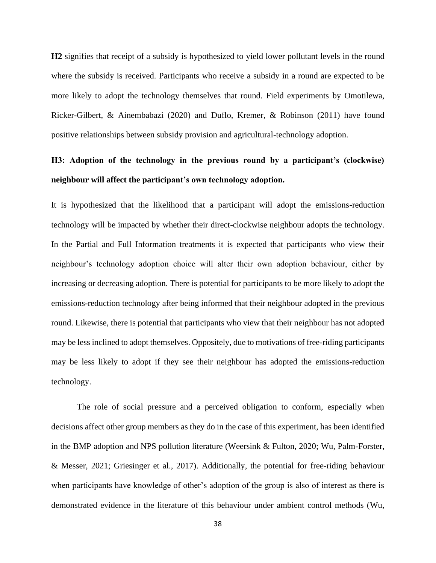**H2** signifies that receipt of a subsidy is hypothesized to yield lower pollutant levels in the round where the subsidy is received. Participants who receive a subsidy in a round are expected to be more likely to adopt the technology themselves that round. Field experiments by Omotilewa, Ricker-Gilbert, & Ainembabazi (2020) and Duflo, Kremer, & Robinson (2011) have found positive relationships between subsidy provision and agricultural-technology adoption.

# **H3: Adoption of the technology in the previous round by a participant's (clockwise) neighbour will affect the participant's own technology adoption.**

It is hypothesized that the likelihood that a participant will adopt the emissions-reduction technology will be impacted by whether their direct-clockwise neighbour adopts the technology. In the Partial and Full Information treatments it is expected that participants who view their neighbour's technology adoption choice will alter their own adoption behaviour, either by increasing or decreasing adoption. There is potential for participants to be more likely to adopt the emissions-reduction technology after being informed that their neighbour adopted in the previous round. Likewise, there is potential that participants who view that their neighbour has not adopted may be less inclined to adopt themselves. Oppositely, due to motivations of free-riding participants may be less likely to adopt if they see their neighbour has adopted the emissions-reduction technology.

The role of social pressure and a perceived obligation to conform, especially when decisions affect other group members as they do in the case of this experiment, has been identified in the BMP adoption and NPS pollution literature (Weersink & Fulton, 2020; Wu, Palm-Forster, & Messer, 2021; Griesinger et al., 2017). Additionally, the potential for free-riding behaviour when participants have knowledge of other's adoption of the group is also of interest as there is demonstrated evidence in the literature of this behaviour under ambient control methods (Wu,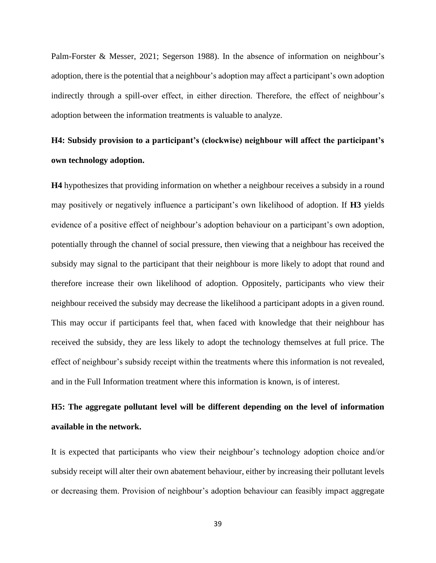Palm-Forster & Messer, 2021; Segerson 1988). In the absence of information on neighbour's adoption, there is the potential that a neighbour's adoption may affect a participant's own adoption indirectly through a spill-over effect, in either direction. Therefore, the effect of neighbour's adoption between the information treatments is valuable to analyze.

# **H4: Subsidy provision to a participant's (clockwise) neighbour will affect the participant's own technology adoption.**

**H4** hypothesizes that providing information on whether a neighbour receives a subsidy in a round may positively or negatively influence a participant's own likelihood of adoption. If **H3** yields evidence of a positive effect of neighbour's adoption behaviour on a participant's own adoption, potentially through the channel of social pressure, then viewing that a neighbour has received the subsidy may signal to the participant that their neighbour is more likely to adopt that round and therefore increase their own likelihood of adoption. Oppositely, participants who view their neighbour received the subsidy may decrease the likelihood a participant adopts in a given round. This may occur if participants feel that, when faced with knowledge that their neighbour has received the subsidy, they are less likely to adopt the technology themselves at full price. The effect of neighbour's subsidy receipt within the treatments where this information is not revealed, and in the Full Information treatment where this information is known, is of interest.

# **H5: The aggregate pollutant level will be different depending on the level of information available in the network.**

It is expected that participants who view their neighbour's technology adoption choice and/or subsidy receipt will alter their own abatement behaviour, either by increasing their pollutant levels or decreasing them. Provision of neighbour's adoption behaviour can feasibly impact aggregate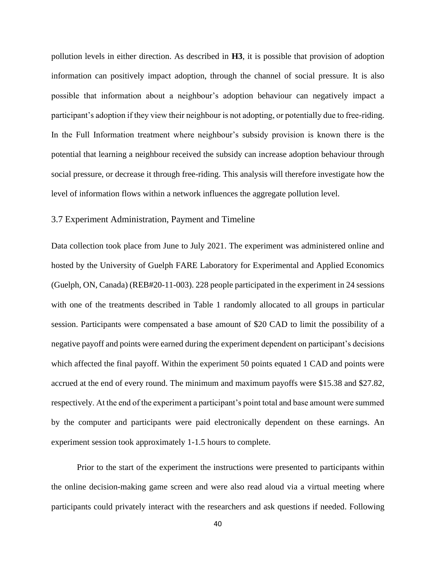pollution levels in either direction. As described in **H3**, it is possible that provision of adoption information can positively impact adoption, through the channel of social pressure. It is also possible that information about a neighbour's adoption behaviour can negatively impact a participant's adoption if they view their neighbour is not adopting, or potentially due to free-riding. In the Full Information treatment where neighbour's subsidy provision is known there is the potential that learning a neighbour received the subsidy can increase adoption behaviour through social pressure, or decrease it through free-riding. This analysis will therefore investigate how the level of information flows within a network influences the aggregate pollution level.

## 3.7 Experiment Administration, Payment and Timeline

Data collection took place from June to July 2021. The experiment was administered online and hosted by the University of Guelph FARE Laboratory for Experimental and Applied Economics (Guelph, ON, Canada) (REB#20-11-003). 228 people participated in the experiment in 24 sessions with one of the treatments described in Table 1 randomly allocated to all groups in particular session. Participants were compensated a base amount of \$20 CAD to limit the possibility of a negative payoff and points were earned during the experiment dependent on participant's decisions which affected the final payoff. Within the experiment 50 points equated 1 CAD and points were accrued at the end of every round. The minimum and maximum payoffs were \$15.38 and \$27.82, respectively. At the end of the experiment a participant's point total and base amount were summed by the computer and participants were paid electronically dependent on these earnings. An experiment session took approximately 1-1.5 hours to complete.

Prior to the start of the experiment the instructions were presented to participants within the online decision-making game screen and were also read aloud via a virtual meeting where participants could privately interact with the researchers and ask questions if needed. Following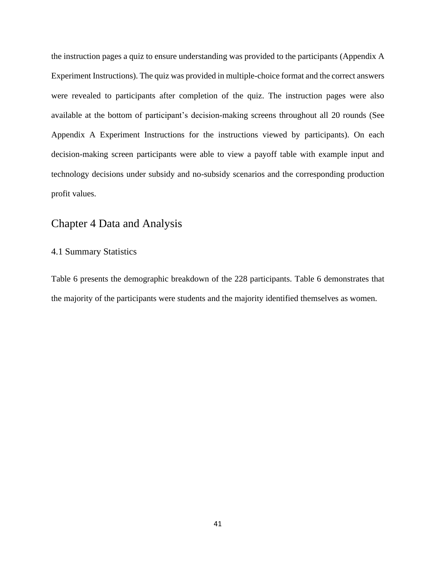the instruction pages a quiz to ensure understanding was provided to the participants [\(Appendix A](#page-82-0)  [Experiment Instructions\)](#page-82-0). The quiz was provided in multiple-choice format and the correct answers were revealed to participants after completion of the quiz. The instruction pages were also available at the bottom of participant's decision-making screens throughout all 20 rounds (See [Appendix A Experiment Instructions](#page-82-0) for the instructions viewed by participants). On each decision-making screen participants were able to view a payoff table with example input and technology decisions under subsidy and no-subsidy scenarios and the corresponding production profit values.

## Chapter 4 Data and Analysis

## 4.1 Summary Statistics

Table 6 presents the demographic breakdown of the 228 participants. Table 6 demonstrates that the majority of the participants were students and the majority identified themselves as women.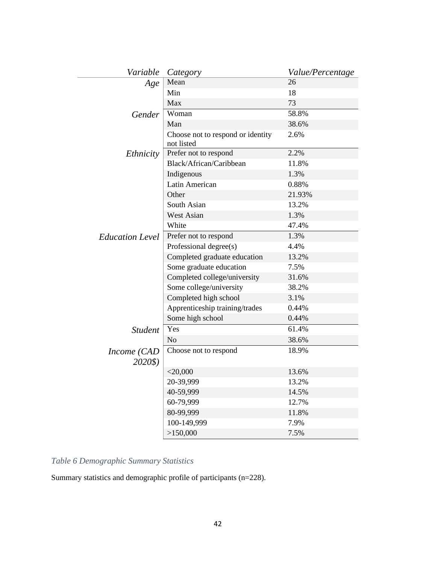| Variable               | Category                                        | Value/Percentage |
|------------------------|-------------------------------------------------|------------------|
| Age                    | Mean                                            | 26               |
|                        | Min                                             | 18               |
|                        | Max                                             | 73               |
| Gender                 | Woman                                           | 58.8%            |
|                        | Man                                             | 38.6%            |
|                        | Choose not to respond or identity<br>not listed | 2.6%             |
| Ethnicity              | Prefer not to respond                           | 2.2%             |
|                        | Black/African/Caribbean                         | 11.8%            |
|                        | Indigenous                                      | 1.3%             |
|                        | Latin American                                  | 0.88%            |
|                        | Other                                           | 21.93%           |
|                        | South Asian                                     | 13.2%            |
|                        | <b>West Asian</b>                               | 1.3%             |
|                        | White                                           | 47.4%            |
| <b>Education Level</b> | Prefer not to respond                           | 1.3%             |
|                        | Professional degree(s)                          | 4.4%             |
|                        | Completed graduate education                    | 13.2%            |
|                        | Some graduate education                         | 7.5%             |
|                        | Completed college/university                    | 31.6%            |
|                        | Some college/university                         | 38.2%            |
|                        | Completed high school                           | 3.1%             |
|                        | Apprenticeship training/trades                  | 0.44%            |
|                        | Some high school                                | 0.44%            |
| <b>Student</b>         | Yes                                             | 61.4%            |
|                        | N <sub>o</sub>                                  | 38.6%            |
| Income (CAD            | Choose not to respond                           | 18.9%            |
| 2020\$)                |                                                 |                  |
|                        | $<$ 20,000                                      | 13.6%            |
|                        | 20-39,999                                       | 13.2%            |
|                        | 40-59,999                                       | 14.5%            |
|                        | 60-79,999                                       | 12.7%            |
|                        | 80-99,999                                       | 11.8%            |
|                        | 100-149,999                                     | 7.9%             |
|                        | >150,000                                        | 7.5%             |

*Table 6 Demographic Summary Statistics*

Summary statistics and demographic profile of participants (n=228).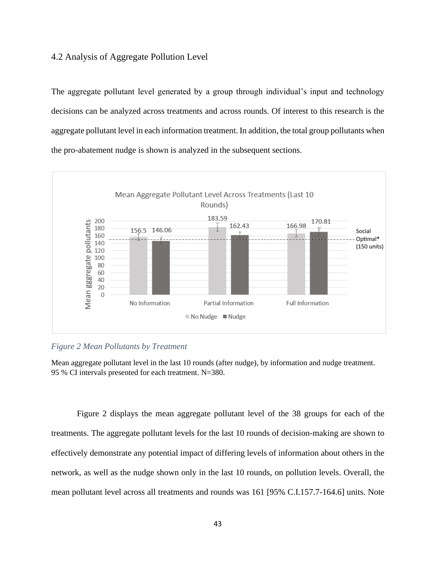## 4.2 Analysis of Aggregate Pollution Level

The aggregate pollutant level generated by a group through individual's input and technology decisions can be analyzed across treatments and across rounds. Of interest to this research is the aggregate pollutant level in each information treatment. In addition, the total group pollutants when the pro-abatement nudge is shown is analyzed in the subsequent sections.



#### *Figure 2 Mean Pollutants by Treatment*

Mean aggregate pollutant level in the last 10 rounds (after nudge), by information and nudge treatment. 95 % CI intervals presented for each treatment. N=380.

Figure 2 displays the mean aggregate pollutant level of the 38 groups for each of the treatments. The aggregate pollutant levels for the last 10 rounds of decision-making are shown to effectively demonstrate any potential impact of differing levels of information about others in the network, as well as the nudge shown only in the last 10 rounds, on pollution levels. Overall, the mean pollutant level across all treatments and rounds was 161 [95% C.I.157.7-164.6] units. Note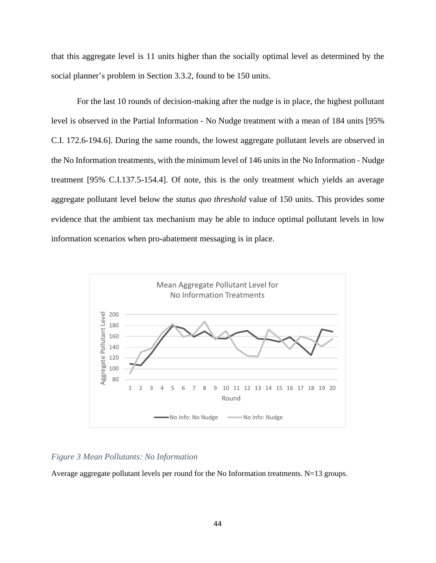that this aggregate level is 11 units higher than the socially optimal level as determined by the social planner's problem in Section 3.3.2, found to be 150 units.

For the last 10 rounds of decision-making after the nudge is in place, the highest pollutant level is observed in the Partial Information - No Nudge treatment with a mean of 184 units [95% C.I. 172.6-194.6]. During the same rounds, the lowest aggregate pollutant levels are observed in the No Information treatments, with the minimum level of 146 units in the No Information - Nudge treatment [95% C.I.137.5-154.4]. Of note, this is the only treatment which yields an average aggregate pollutant level below the *status quo threshold* value of 150 units. This provides some evidence that the ambient tax mechanism may be able to induce optimal pollutant levels in low information scenarios when pro-abatement messaging is in place.



## *Figure 3 Mean Pollutants: No Information*

Average aggregate pollutant levels per round for the No Information treatments. N=13 groups.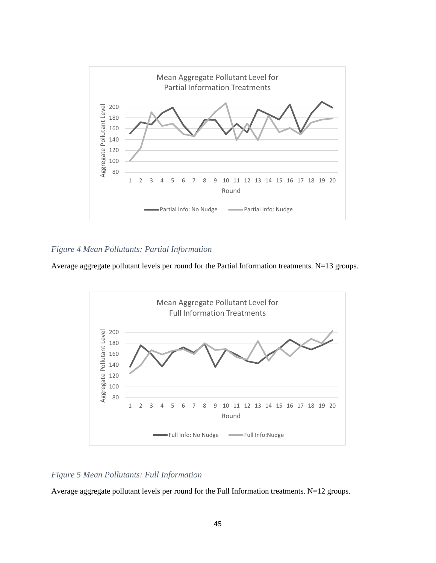

## *Figure 4 Mean Pollutants: Partial Information*

Average aggregate pollutant levels per round for the Partial Information treatments. N=13 groups.



## *Figure 5 Mean Pollutants: Full Information*

Average aggregate pollutant levels per round for the Full Information treatments. N=12 groups.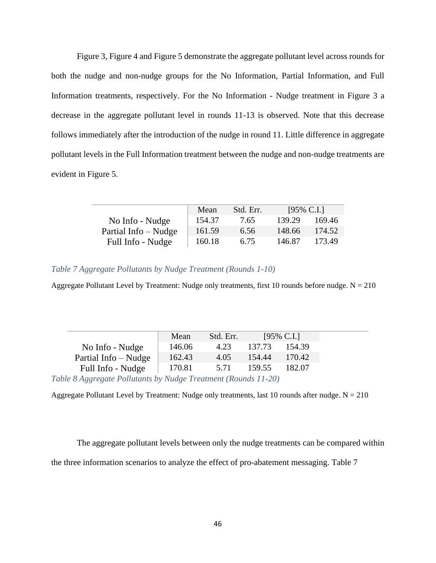Figure 3, Figure 4 and Figure 5 demonstrate the aggregate pollutant level across rounds for both the nudge and non-nudge groups for the No Information, Partial Information, and Full Information treatments, respectively. For the No Information - Nudge treatment in Figure 3 a decrease in the aggregate pollutant level in rounds 11-13 is observed. Note that this decrease follows immediately after the introduction of the nudge in round 11. Little difference in aggregate pollutant levels in the Full Information treatment between the nudge and non-nudge treatments are evident in Figure 5.

|                      | Mean   | Std. Err. | $[95\% \text{ C.I.}]$ |        |
|----------------------|--------|-----------|-----------------------|--------|
| No Info - Nudge      | 154.37 | 7.65      | 139.29                | 169.46 |
| Partial Info – Nudge | 161.59 | 6.56      | 148.66                | 174.52 |
| Full Info - Nudge    | 160.18 | 6.75      | 146.87                | 173.49 |

*Table 7 Aggregate Pollutants by Nudge Treatment (Rounds 1-10)*

Aggregate Pollutant Level by Treatment: Nudge only treatments, first 10 rounds before nudge.  $N = 210$ 

|                                                                | Mean   | Std. Err. |        | [95\% C.I.] |  |
|----------------------------------------------------------------|--------|-----------|--------|-------------|--|
| No Info - Nudge                                                | 146.06 | 4.23      | 137.73 | 154.39      |  |
| Partial Info – Nudge                                           | 162.43 | 4.05      | 154.44 | 170.42      |  |
| Full Info - Nudge                                              | 170.81 | 5.71      | 159.55 | 182.07      |  |
| Table 8 Aggregate Pollutants by Nudge Treatment (Rounds 11-20) |        |           |        |             |  |

Aggregate Pollutant Level by Treatment: Nudge only treatments, last 10 rounds after nudge.  $N = 210$ 

The aggregate pollutant levels between only the nudge treatments can be compared within

the three information scenarios to analyze the effect of pro-abatement messaging. Table 7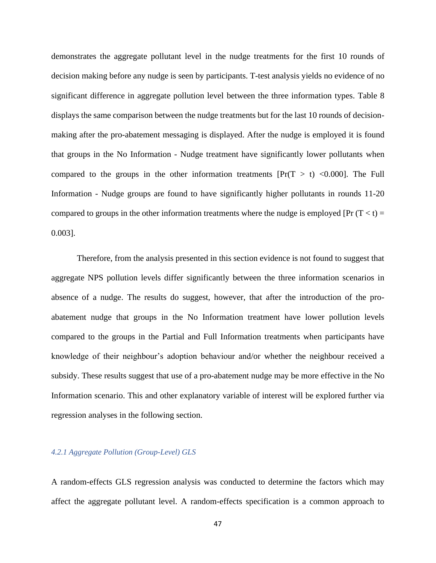demonstrates the aggregate pollutant level in the nudge treatments for the first 10 rounds of decision making before any nudge is seen by participants. T-test analysis yields no evidence of no significant difference in aggregate pollution level between the three information types. Table 8 displays the same comparison between the nudge treatments but for the last 10 rounds of decisionmaking after the pro-abatement messaging is displayed. After the nudge is employed it is found that groups in the No Information - Nudge treatment have significantly lower pollutants when compared to the groups in the other information treatments  $[Pr(T > t) < 0.000]$ . The Full Information - Nudge groups are found to have significantly higher pollutants in rounds 11-20 compared to groups in the other information treatments where the nudge is employed  $[Pr(T < t)]$ 0.003].

Therefore, from the analysis presented in this section evidence is not found to suggest that aggregate NPS pollution levels differ significantly between the three information scenarios in absence of a nudge. The results do suggest, however, that after the introduction of the proabatement nudge that groups in the No Information treatment have lower pollution levels compared to the groups in the Partial and Full Information treatments when participants have knowledge of their neighbour's adoption behaviour and/or whether the neighbour received a subsidy. These results suggest that use of a pro-abatement nudge may be more effective in the No Information scenario. This and other explanatory variable of interest will be explored further via regression analyses in the following section.

#### *4.2.1 Aggregate Pollution (Group-Level) GLS*

A random-effects GLS regression analysis was conducted to determine the factors which may affect the aggregate pollutant level. A random-effects specification is a common approach to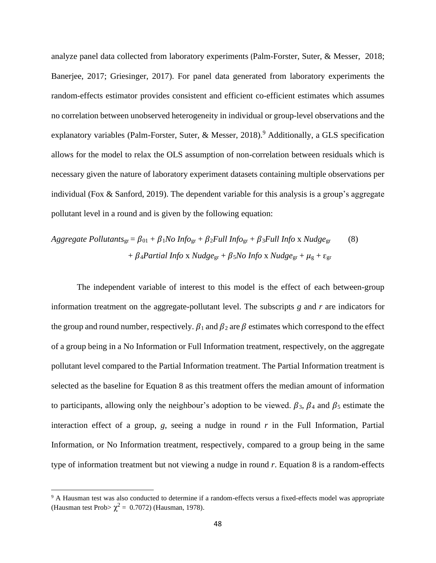analyze panel data collected from laboratory experiments (Palm-Forster, Suter, & Messer, 2018; Banerjee, 2017; Griesinger, 2017). For panel data generated from laboratory experiments the random-effects estimator provides consistent and efficient co-efficient estimates which assumes no correlation between unobserved heterogeneity in individual or group-level observations and the explanatory variables (Palm-Forster, Suter, & Messer, 2018).<sup>9</sup> Additionally, a GLS specification allows for the model to relax the OLS assumption of non-correlation between residuals which is necessary given the nature of laboratory experiment datasets containing multiple observations per individual (Fox & Sanford, 2019). The dependent variable for this analysis is a group's aggregate pollutant level in a round and is given by the following equation:

$$
Aggregate Pollutants_{gr} = \beta_{01} + \beta_{1}No Infog_{r} + \beta_{2}Full Infog_{r} + \beta_{3} Full Infog_{r} \times Nudge_{gr}
$$
 (8)  
+  $\beta_{4}Partial Infog_{r} \times Nudge_{gr} + \beta_{5}No Infog_{r} \times Nudge_{gr} + \mu_{g} + \varepsilon_{gr}$ 

The independent variable of interest to this model is the effect of each between-group information treatment on the aggregate-pollutant level. The subscripts *g* and *r* are indicators for the group and round number, respectively.  $\beta_1$  and  $\beta_2$  are  $\beta$  estimates which correspond to the effect of a group being in a No Information or Full Information treatment, respectively, on the aggregate pollutant level compared to the Partial Information treatment. The Partial Information treatment is selected as the baseline for Equation 8 as this treatment offers the median amount of information to participants, allowing only the neighbour's adoption to be viewed.  $\beta_3$ ,  $\beta_4$  and  $\beta_5$  estimate the interaction effect of a group, *g*, seeing a nudge in round *r* in the Full Information, Partial Information, or No Information treatment, respectively, compared to a group being in the same type of information treatment but not viewing a nudge in round *r*. Equation 8 is a random-effects

<sup>&</sup>lt;sup>9</sup> A Hausman test was also conducted to determine if a random-effects versus a fixed-effects model was appropriate (Hausman test Prob $> \chi^2 = 0.7072$ ) (Hausman, 1978).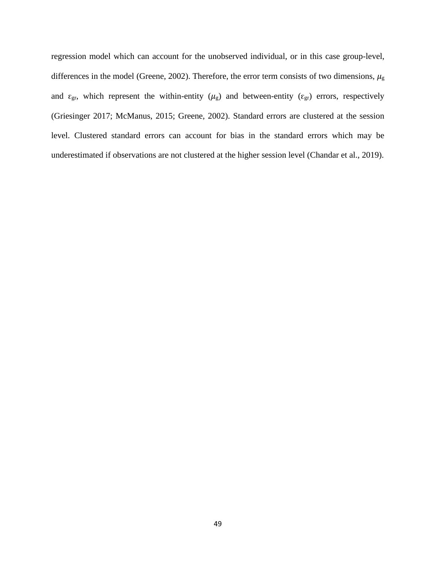regression model which can account for the unobserved individual, or in this case group-level, differences in the model (Greene, 2002). Therefore, the error term consists of two dimensions,  $\mu_{\rm g}$ and  $\varepsilon_{gr}$ , which represent the within-entity ( $\mu_g$ ) and between-entity ( $\varepsilon_{gr}$ ) errors, respectively (Griesinger 2017; McManus, 2015; Greene, 2002). Standard errors are clustered at the session level. Clustered standard errors can account for bias in the standard errors which may be underestimated if observations are not clustered at the higher session level (Chandar et al., 2019).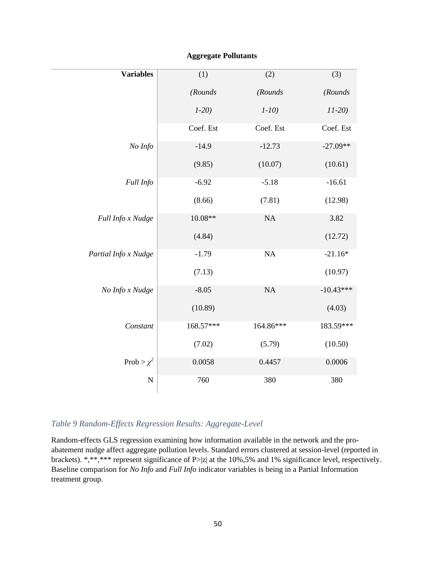| <b>Variables</b>     | (1)       | (2)       | (3)         |
|----------------------|-----------|-----------|-------------|
|                      | (Rounds   | (Rounds   | (Rounds     |
|                      | $1-20$    | $1-10$    | $11-20$     |
|                      | Coef. Est | Coef. Est | Coef. Est   |
| No Info              | $-14.9$   | $-12.73$  | $-27.09**$  |
|                      | (9.85)    | (10.07)   | (10.61)     |
| Full Info            | $-6.92$   | $-5.18$   | $-16.61$    |
|                      | (8.66)    | (7.81)    | (12.98)     |
| Full Info x Nudge    | 10.08**   | $\rm NA$  | 3.82        |
|                      | (4.84)    |           | (12.72)     |
| Partial Info x Nudge | $-1.79$   | NA        | $-21.16*$   |
|                      | (7.13)    |           | (10.97)     |
| No Info x Nudge      | $-8.05$   | $\rm NA$  | $-10.43***$ |
|                      | (10.89)   |           | (4.03)      |
| Constant             | 168.57*** | 164.86*** | 183.59***   |
|                      | (7.02)    | (5.79)    | (10.50)     |
| Prob > $\chi^2$      | 0.0058    | 0.4457    | 0.0006      |
| $\mathbf N$          | 760       | 380       | 380         |

## **Aggregate Pollutants**

## *Table 9 Random-Effects Regression Results: Aggregate-Level*

Random-effects GLS regression examining how information available in the network and the proabatement nudge affect aggregate pollution levels. Standard errors clustered at session-level (reported in brackets). \*,\*\*,\*\*\* represent significance of P>|z| at the 10%,5% and 1% significance level, respectively. Baseline comparison for *No Info* and *Full Info* indicator variables is being in a Partial Information treatment group.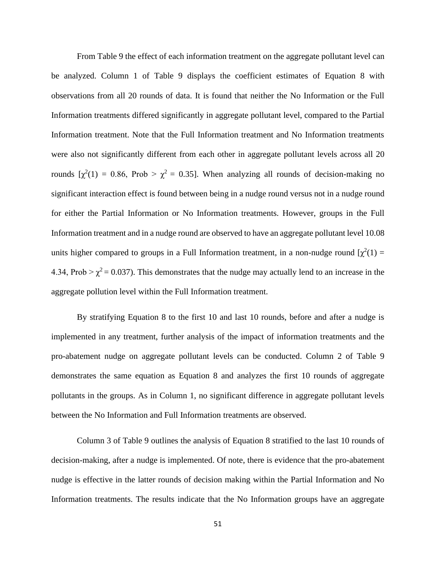From Table 9 the effect of each information treatment on the aggregate pollutant level can be analyzed. Column 1 of Table 9 displays the coefficient estimates of Equation 8 with observations from all 20 rounds of data. It is found that neither the No Information or the Full Information treatments differed significantly in aggregate pollutant level, compared to the Partial Information treatment. Note that the Full Information treatment and No Information treatments were also not significantly different from each other in aggregate pollutant levels across all 20 rounds  $[\chi^2(1) = 0.86, \text{Prob} > \chi^2 = 0.35]$ . When analyzing all rounds of decision-making no significant interaction effect is found between being in a nudge round versus not in a nudge round for either the Partial Information or No Information treatments. However, groups in the Full Information treatment and in a nudge round are observed to have an aggregate pollutant level 10.08 units higher compared to groups in a Full Information treatment, in a non-nudge round  $[\chi^2(1) =$ 4.34, Prob  $>\chi^2$  = 0.037). This demonstrates that the nudge may actually lend to an increase in the aggregate pollution level within the Full Information treatment.

By stratifying Equation 8 to the first 10 and last 10 rounds, before and after a nudge is implemented in any treatment, further analysis of the impact of information treatments and the pro-abatement nudge on aggregate pollutant levels can be conducted. Column 2 of Table 9 demonstrates the same equation as Equation 8 and analyzes the first 10 rounds of aggregate pollutants in the groups. As in Column 1, no significant difference in aggregate pollutant levels between the No Information and Full Information treatments are observed.

Column 3 of Table 9 outlines the analysis of Equation 8 stratified to the last 10 rounds of decision-making, after a nudge is implemented. Of note, there is evidence that the pro-abatement nudge is effective in the latter rounds of decision making within the Partial Information and No Information treatments. The results indicate that the No Information groups have an aggregate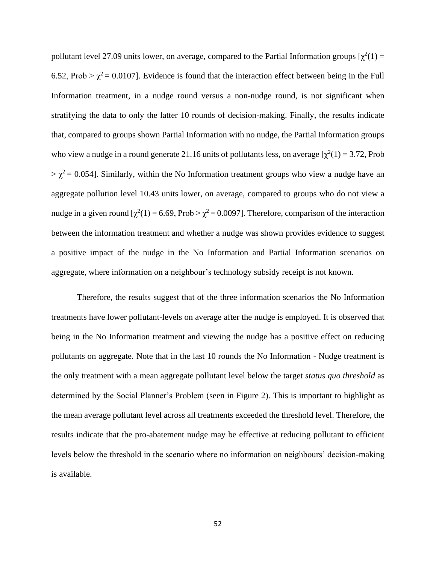pollutant level 27.09 units lower, on average, compared to the Partial Information groups  $[\chi^2(1) =$ 6.52, Prob >  $\chi^2$  = 0.0107]. Evidence is found that the interaction effect between being in the Full Information treatment, in a nudge round versus a non-nudge round, is not significant when stratifying the data to only the latter 10 rounds of decision-making. Finally, the results indicate that, compared to groups shown Partial Information with no nudge, the Partial Information groups who view a nudge in a round generate 21.16 units of pollutants less, on average  $[\chi^2(1) = 3.72$ , Prob  $>\chi^2$  = 0.054]. Similarly, within the No Information treatment groups who view a nudge have an aggregate pollution level 10.43 units lower, on average, compared to groups who do not view a nudge in a given round  $[\chi^2(1) = 6.69, \text{Prob} > \chi^2 = 0.0097]$ . Therefore, comparison of the interaction between the information treatment and whether a nudge was shown provides evidence to suggest a positive impact of the nudge in the No Information and Partial Information scenarios on aggregate, where information on a neighbour's technology subsidy receipt is not known.

Therefore, the results suggest that of the three information scenarios the No Information treatments have lower pollutant-levels on average after the nudge is employed. It is observed that being in the No Information treatment and viewing the nudge has a positive effect on reducing pollutants on aggregate. Note that in the last 10 rounds the No Information - Nudge treatment is the only treatment with a mean aggregate pollutant level below the target *status quo threshold* as determined by the Social Planner's Problem (seen in Figure 2). This is important to highlight as the mean average pollutant level across all treatments exceeded the threshold level. Therefore, the results indicate that the pro-abatement nudge may be effective at reducing pollutant to efficient levels below the threshold in the scenario where no information on neighbours' decision-making is available.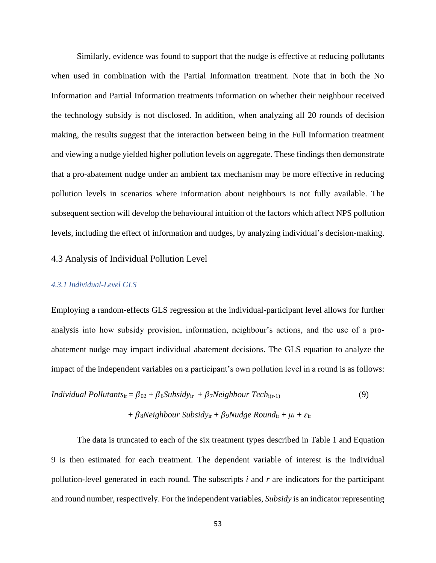Similarly, evidence was found to support that the nudge is effective at reducing pollutants when used in combination with the Partial Information treatment. Note that in both the No Information and Partial Information treatments information on whether their neighbour received the technology subsidy is not disclosed. In addition, when analyzing all 20 rounds of decision making, the results suggest that the interaction between being in the Full Information treatment and viewing a nudge yielded higher pollution levels on aggregate. These findings then demonstrate that a pro-abatement nudge under an ambient tax mechanism may be more effective in reducing pollution levels in scenarios where information about neighbours is not fully available. The subsequent section will develop the behavioural intuition of the factors which affect NPS pollution levels, including the effect of information and nudges, by analyzing individual's decision-making.

## 4.3 Analysis of Individual Pollution Level

#### *4.3.1 Individual-Level GLS*

Employing a random-effects GLS regression at the individual-participant level allows for further analysis into how subsidy provision, information, neighbour's actions, and the use of a proabatement nudge may impact individual abatement decisions. The GLS equation to analyze the impact of the independent variables on a participant's own pollution level in a round is as follows:

$$
Individual \text{ \textit{Pollutants}}_{ir} = \beta_{02} + \beta_{6} \text{Subsidy}_{ir} + \beta_{7} \text{Neighbour} \text{ \textit{Technic}}_{ir-1}
$$
\n
$$
+ \beta_{8} \text{Neighbour} \text{ \textit{Subsidy}}_{ir} + \beta_{9} \text{Nudge} \text{ \textit{Round}}_{ir} + \mu_{i} + \varepsilon_{ir}
$$
\n
$$
(9)
$$

The data is truncated to each of the six treatment types described in Table 1 and Equation 9 is then estimated for each treatment. The dependent variable of interest is the individual pollution-level generated in each round. The subscripts *i* and *r* are indicators for the participant and round number, respectively. For the independent variables, *Subsidy* is an indicator representing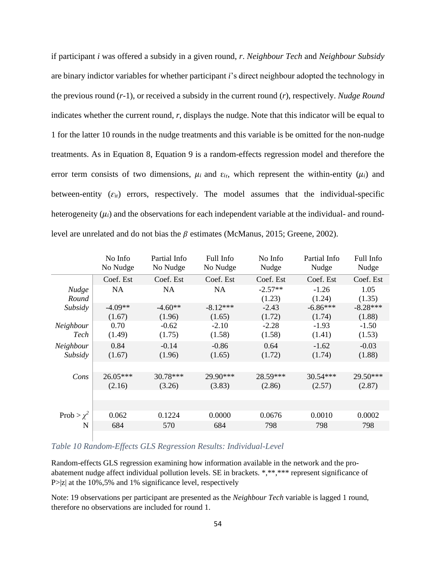if participant *i* was offered a subsidy in a given round, *r*. *Neighbour Tech* and *Neighbour Subsidy* are binary indictor variables for whether participant *i*'s direct neighbour adopted the technology in the previous round (*r*-1), or received a subsidy in the current round (*r*), respectively. *Nudge Round* indicates whether the current round, *r*, displays the nudge. Note that this indicator will be equal to 1 for the latter 10 rounds in the nudge treatments and this variable is be omitted for the non-nudge treatments. As in Equation 8, Equation 9 is a random-effects regression model and therefore the error term consists of two dimensions,  $\mu_i$  and  $\varepsilon_{i_r}$ , which represent the within-entity ( $\mu_i$ ) and between-entity  $(\varepsilon_{ir})$  errors, respectively. The model assumes that the individual-specific heterogeneity  $(\mu_i)$  and the observations for each independent variable at the individual- and roundlevel are unrelated and do not bias the  $\beta$  estimates (McManus, 2015; Greene, 2002).

|                 | No Info<br>No Nudge | Partial Info<br>No Nudge | Full Info<br>No Nudge | No Info<br>Nudge | Partial Info<br>Nudge | Full Info<br>Nudge |
|-----------------|---------------------|--------------------------|-----------------------|------------------|-----------------------|--------------------|
|                 | Coef. Est           | Coef. Est                | Coef. Est             | Coef. Est        | Coef. Est             | Coef. Est          |
| <b>Nudge</b>    | <b>NA</b>           | <b>NA</b>                | <b>NA</b>             | $-2.57**$        | $-1.26$               | 1.05               |
| Round           |                     |                          |                       | (1.23)           | (1.24)                | (1.35)             |
| Subsidy         | $-4.09**$           | $-4.60**$                | $-8.12***$            | $-2.43$          | $-6.86***$            | $-8.28***$         |
|                 | (1.67)              | (1.96)                   | (1.65)                | (1.72)           | (1.74)                | (1.88)             |
| Neighbour       | 0.70                | $-0.62$                  | $-2.10$               | $-2.28$          | $-1.93$               | $-1.50$            |
| Tech            | (1.49)              | (1.75)                   | (1.58)                | (1.58)           | (1.41)                | (1.53)             |
| Neighbour       | 0.84                | $-0.14$                  | $-0.86$               | 0.64             | $-1.62$               | $-0.03$            |
| Subsidy         | (1.67)              | (1.96)                   | (1.65)                | (1.72)           | (1.74)                | (1.88)             |
|                 |                     |                          |                       |                  |                       |                    |
| Cons            | 26.05***            | 30.78***                 | 29.90***              | 28.59***         | $30.54***$            | 29.50***           |
|                 | (2.16)              | (3.26)                   | (3.83)                | (2.86)           | (2.57)                | (2.87)             |
|                 |                     |                          |                       |                  |                       |                    |
|                 |                     |                          |                       |                  |                       |                    |
| Prob > $\chi^2$ | 0.062               | 0.1224                   | 0.0000                | 0.0676           | 0.0010                | 0.0002             |
| N               | 684                 | 570                      | 684                   | 798              | 798                   | 798                |
|                 |                     |                          |                       |                  |                       |                    |

# *Table 10 Random-Effects GLS Regression Results: Individual-Level*

Random-effects GLS regression examining how information available in the network and the proabatement nudge affect individual pollution levels. SE in brackets. \*,\*\*,\*\*\* represent significance of  $P>|z|$  at the 10%,5% and 1% significance level, respectively

Note: 19 observations per participant are presented as the *Neighbour Tech* variable is lagged 1 round, therefore no observations are included for round 1.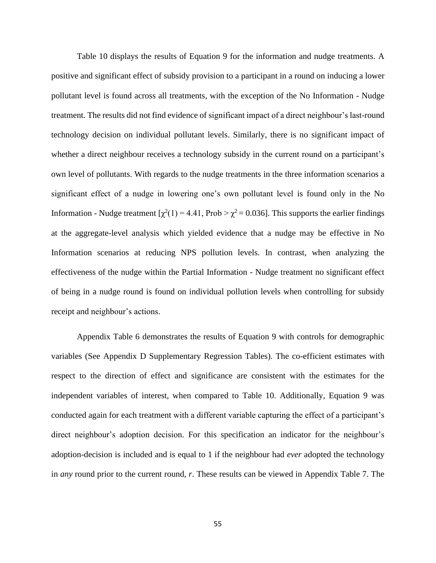Table 10 displays the results of Equation 9 for the information and nudge treatments. A positive and significant effect of subsidy provision to a participant in a round on inducing a lower pollutant level is found across all treatments, with the exception of the No Information - Nudge treatment. The results did not find evidence of significant impact of a direct neighbour's last-round technology decision on individual pollutant levels. Similarly, there is no significant impact of whether a direct neighbour receives a technology subsidy in the current round on a participant's own level of pollutants. With regards to the nudge treatments in the three information scenarios a significant effect of a nudge in lowering one's own pollutant level is found only in the No Information - Nudge treatment  $[\chi^2(1) = 4.41, Prob > \chi^2 = 0.036]$ . This supports the earlier findings at the aggregate-level analysis which yielded evidence that a nudge may be effective in No Information scenarios at reducing NPS pollution levels. In contrast, when analyzing the effectiveness of the nudge within the Partial Information - Nudge treatment no significant effect of being in a nudge round is found on individual pollution levels when controlling for subsidy receipt and neighbour's actions.

Appendix Table 6 demonstrates the results of Equation 9 with controls for demographic variables (See [Appendix D Supplementary Regression Tables\)](#page-92-0). The co-efficient estimates with respect to the direction of effect and significance are consistent with the estimates for the independent variables of interest, when compared to Table 10. Additionally, Equation 9 was conducted again for each treatment with a different variable capturing the effect of a participant's direct neighbour's adoption decision. For this specification an indicator for the neighbour's adoption-decision is included and is equal to 1 if the neighbour had *ever* adopted the technology in *any* round prior to the current round, *r*. These results can be viewed in Appendix Table 7. The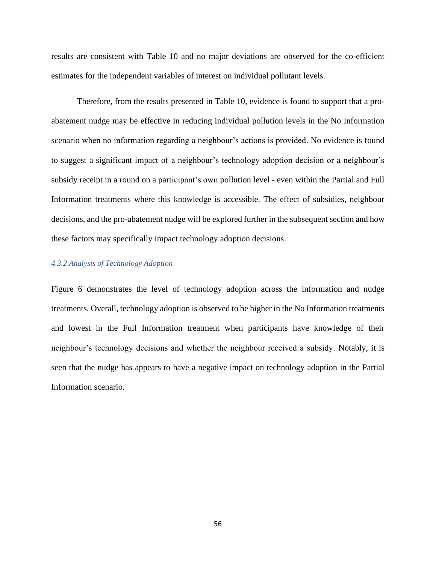results are consistent with Table 10 and no major deviations are observed for the co-efficient estimates for the independent variables of interest on individual pollutant levels.

Therefore, from the results presented in Table 10, evidence is found to support that a proabatement nudge may be effective in reducing individual pollution levels in the No Information scenario when no information regarding a neighbour's actions is provided. No evidence is found to suggest a significant impact of a neighbour's technology adoption decision or a neighbour's subsidy receipt in a round on a participant's own pollution level - even within the Partial and Full Information treatments where this knowledge is accessible. The effect of subsidies, neighbour decisions, and the pro-abatement nudge will be explored further in the subsequent section and how these factors may specifically impact technology adoption decisions.

### *4.3.2 Analysis of Technology Adoption*

Figure 6 demonstrates the level of technology adoption across the information and nudge treatments. Overall, technology adoption is observed to be higher in the No Information treatments and lowest in the Full Information treatment when participants have knowledge of their neighbour's technology decisions and whether the neighbour received a subsidy. Notably, it is seen that the nudge has appears to have a negative impact on technology adoption in the Partial Information scenario.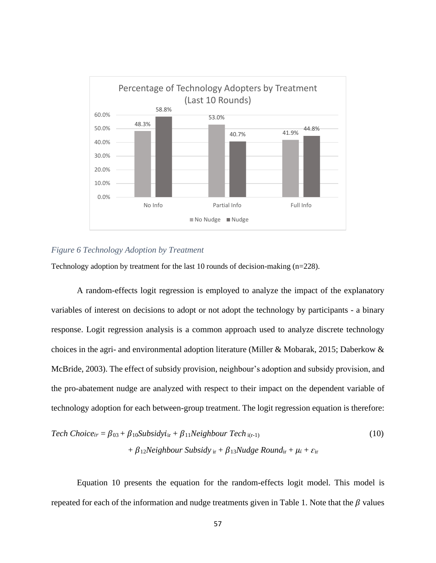

## *Figure 6 Technology Adoption by Treatment*

Technology adoption by treatment for the last 10 rounds of decision-making (n=228).

A random-effects logit regression is employed to analyze the impact of the explanatory variables of interest on decisions to adopt or not adopt the technology by participants - a binary response. Logit regression analysis is a common approach used to analyze discrete technology choices in the agri- and environmental adoption literature (Miller & Mobarak, 2015; Daberkow & McBride, 2003). The effect of subsidy provision, neighbour's adoption and subsidy provision, and the pro-abatement nudge are analyzed with respect to their impact on the dependent variable of technology adoption for each between-group treatment. The logit regression equation is therefore:

$$
Techn Choiceir = \beta_{03} + \beta_{10}Subsidyiir + \beta_{11}Neighbour Techi(r-1)
$$
  
+  $\beta_{12}Neighbour Subsidyir + \beta_{13}Nudge Roundir + \mui + \varepsilonir$  (10)

Equation 10 presents the equation for the random-effects logit model. This model is repeated for each of the information and nudge treatments given in Table 1. Note that the  $\beta$  values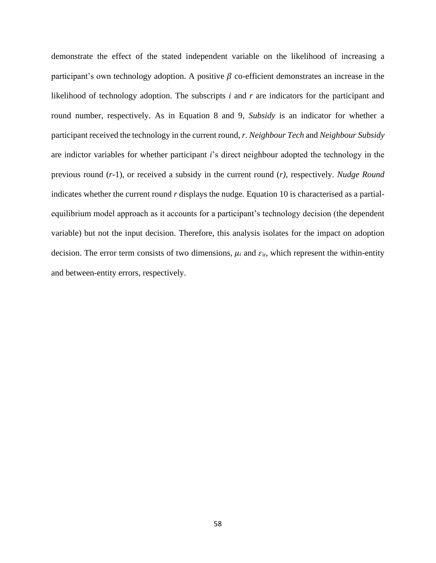demonstrate the effect of the stated independent variable on the likelihood of increasing a participant's own technology adoption. A positive  $\beta$  co-efficient demonstrates an increase in the likelihood of technology adoption. The subscripts *i* and *r* are indicators for the participant and round number, respectively. As in Equation 8 and 9, *Subsidy* is an indicator for whether a participant received the technology in the current round, *r*. *Neighbour Tech* and *Neighbour Subsidy* are indictor variables for whether participant *i*'s direct neighbour adopted the technology in the previous round (*r*-1), or received a subsidy in the current round (*r)*, respectively. *Nudge Round* indicates whether the current round *r* displays the nudge. Equation 10 is characterised as a partialequilibrium model approach as it accounts for a participant's technology decision (the dependent variable) but not the input decision. Therefore, this analysis isolates for the impact on adoption decision. The error term consists of two dimensions,  $\mu_i$  and  $\varepsilon_{ir}$ , which represent the within-entity and between-entity errors, respectively.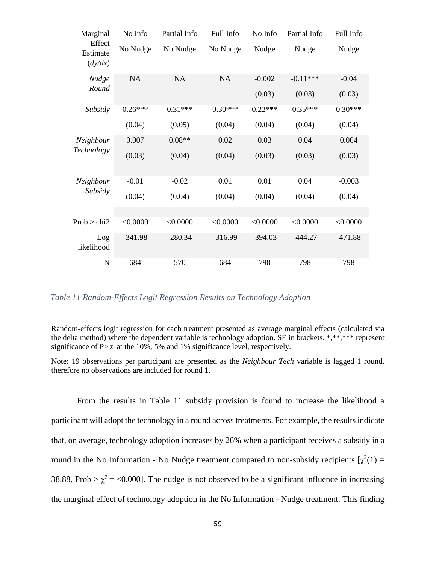| Marginal                      | No Info   | Partial Info | Full Info | No Info   | Partial Info | Full Info |
|-------------------------------|-----------|--------------|-----------|-----------|--------------|-----------|
| Effect<br>Estimate<br>(dy/dx) | No Nudge  | No Nudge     | No Nudge  | Nudge     | Nudge        | Nudge     |
| <b>Nudge</b>                  | NA        | NA           | NA        | $-0.002$  | $-0.11***$   | $-0.04$   |
| Round                         |           |              |           | (0.03)    | (0.03)       | (0.03)    |
| Subsidy                       | $0.26***$ | $0.31***$    | $0.30***$ | $0.22***$ | $0.35***$    | $0.30***$ |
|                               | (0.04)    | (0.05)       | (0.04)    | (0.04)    | (0.04)       | (0.04)    |
| Neighbour                     | 0.007     | $0.08**$     | 0.02      | 0.03      | 0.04         | 0.004     |
| Technology                    | (0.03)    | (0.04)       | (0.04)    | (0.03)    | (0.03)       | (0.03)    |
| Neighbour                     | $-0.01$   | $-0.02$      | 0.01      | 0.01      | 0.04         | $-0.003$  |
| Subsidy                       | (0.04)    | (0.04)       | (0.04)    | (0.04)    | (0.04)       | (0.04)    |
| Prob > chi2                   | < 0.0000  | < 0.0000     | < 0.0000  | < 0.0000  | < 0.0000     | < 0.0000  |
|                               |           |              |           |           |              |           |
| Log<br>likelihood             | $-341.98$ | $-280.34$    | $-316.99$ | $-394.03$ | $-444.27$    | $-471.88$ |
| ${\bf N}$                     | 684       | 570          | 684       | 798       | 798          | 798       |

*Table 11 Random-Effects Logit Regression Results on Technology Adoption*

Random-effects logit regression for each treatment presented as average marginal effects (calculated via the delta method) where the dependent variable is technology adoption. SE in brackets. \*,\*\*,\*\*\* represent significance of  $P > |z|$  at the 10%, 5% and 1% significance level, respectively.

Note: 19 observations per participant are presented as the *Neighbour Tech* variable is lagged 1 round, therefore no observations are included for round 1.

From the results in Table 11 subsidy provision is found to increase the likelihood a participant will adopt the technology in a round across treatments. For example, the results indicate that, on average, technology adoption increases by 26% when a participant receives a subsidy in a round in the No Information - No Nudge treatment compared to non-subsidy recipients  $[\chi^2(1) =$ 38.88, Prob >  $\chi^2$  = <0.000]. The nudge is not observed to be a significant influence in increasing the marginal effect of technology adoption in the No Information - Nudge treatment. This finding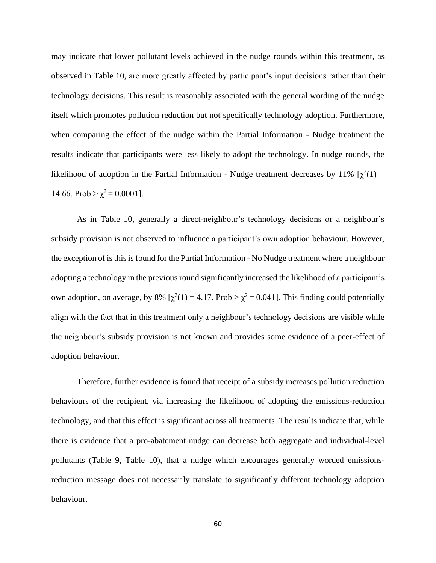may indicate that lower pollutant levels achieved in the nudge rounds within this treatment, as observed in Table 10, are more greatly affected by participant's input decisions rather than their technology decisions. This result is reasonably associated with the general wording of the nudge itself which promotes pollution reduction but not specifically technology adoption. Furthermore, when comparing the effect of the nudge within the Partial Information - Nudge treatment the results indicate that participants were less likely to adopt the technology. In nudge rounds, the likelihood of adoption in the Partial Information - Nudge treatment decreases by 11%  $[\chi^2(1) =$ 14.66, Prob  $> \chi^2 = 0.0001$ ].

As in Table 10, generally a direct-neighbour's technology decisions or a neighbour's subsidy provision is not observed to influence a participant's own adoption behaviour. However, the exception of isthis isfound for the Partial Information - No Nudge treatment where a neighbour adopting a technology in the previous round significantly increased the likelihood of a participant's own adoption, on average, by 8%  $[\chi^2(1) = 4.17$ , Prob  $>\chi^2 = 0.041$ ]. This finding could potentially align with the fact that in this treatment only a neighbour's technology decisions are visible while the neighbour's subsidy provision is not known and provides some evidence of a peer-effect of adoption behaviour.

Therefore, further evidence is found that receipt of a subsidy increases pollution reduction behaviours of the recipient, via increasing the likelihood of adopting the emissions-reduction technology, and that this effect is significant across all treatments. The results indicate that, while there is evidence that a pro-abatement nudge can decrease both aggregate and individual-level pollutants (Table 9, Table 10), that a nudge which encourages generally worded emissionsreduction message does not necessarily translate to significantly different technology adoption behaviour.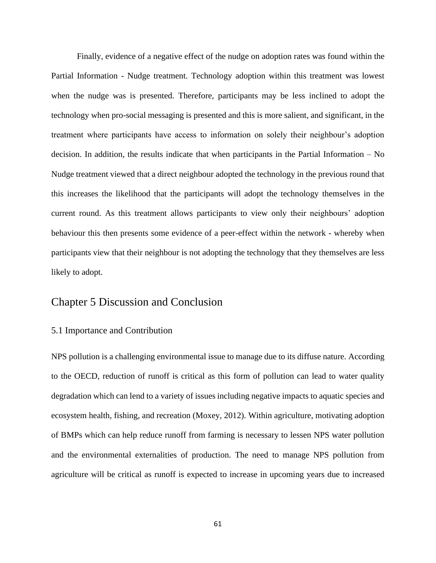Finally, evidence of a negative effect of the nudge on adoption rates was found within the Partial Information - Nudge treatment. Technology adoption within this treatment was lowest when the nudge was is presented. Therefore, participants may be less inclined to adopt the technology when pro-social messaging is presented and this is more salient, and significant, in the treatment where participants have access to information on solely their neighbour's adoption decision. In addition, the results indicate that when participants in the Partial Information – No Nudge treatment viewed that a direct neighbour adopted the technology in the previous round that this increases the likelihood that the participants will adopt the technology themselves in the current round. As this treatment allows participants to view only their neighbours' adoption behaviour this then presents some evidence of a peer-effect within the network - whereby when participants view that their neighbour is not adopting the technology that they themselves are less likely to adopt.

# Chapter 5 Discussion and Conclusion

#### 5.1 Importance and Contribution

NPS pollution is a challenging environmental issue to manage due to its diffuse nature. According to the OECD, reduction of runoff is critical as this form of pollution can lead to water quality degradation which can lend to a variety of issues including negative impacts to aquatic species and ecosystem health, fishing, and recreation (Moxey, 2012). Within agriculture, motivating adoption of BMPs which can help reduce runoff from farming is necessary to lessen NPS water pollution and the environmental externalities of production. The need to manage NPS pollution from agriculture will be critical as runoff is expected to increase in upcoming years due to increased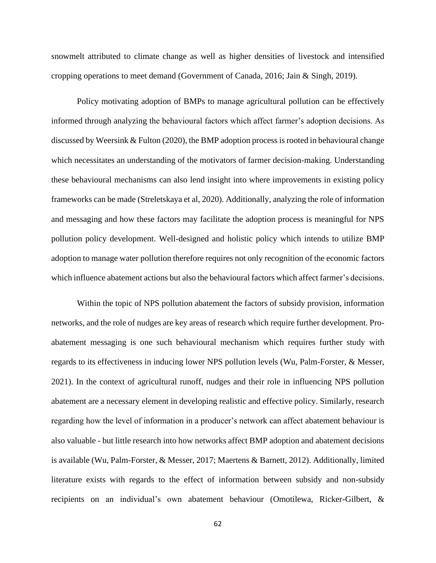snowmelt attributed to climate change as well as higher densities of livestock and intensified cropping operations to meet demand (Government of Canada, 2016; Jain & Singh, 2019).

Policy motivating adoption of BMPs to manage agricultural pollution can be effectively informed through analyzing the behavioural factors which affect farmer's adoption decisions. As discussed by Weersink & Fulton (2020), the BMP adoption process is rooted in behavioural change which necessitates an understanding of the motivators of farmer decision-making. Understanding these behavioural mechanisms can also lend insight into where improvements in existing policy frameworks can be made (Streletskaya et al, 2020). Additionally, analyzing the role of information and messaging and how these factors may facilitate the adoption process is meaningful for NPS pollution policy development. Well-designed and holistic policy which intends to utilize BMP adoption to manage water pollution therefore requires not only recognition of the economic factors which influence abatement actions but also the behavioural factors which affect farmer's decisions.

Within the topic of NPS pollution abatement the factors of subsidy provision, information networks, and the role of nudges are key areas of research which require further development. Proabatement messaging is one such behavioural mechanism which requires further study with regards to its effectiveness in inducing lower NPS pollution levels (Wu, Palm-Forster, & Messer, 2021). In the context of agricultural runoff, nudges and their role in influencing NPS pollution abatement are a necessary element in developing realistic and effective policy. Similarly, research regarding how the level of information in a producer's network can affect abatement behaviour is also valuable - but little research into how networks affect BMP adoption and abatement decisions is available (Wu, Palm-Forster, & Messer, 2017; Maertens & Barnett, 2012). Additionally, limited literature exists with regards to the effect of information between subsidy and non-subsidy recipients on an individual's own abatement behaviour (Omotilewa, Ricker-Gilbert, &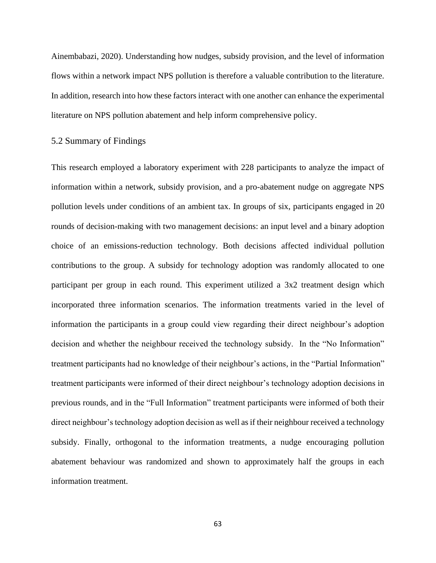Ainembabazi, 2020). Understanding how nudges, subsidy provision, and the level of information flows within a network impact NPS pollution is therefore a valuable contribution to the literature. In addition, research into how these factors interact with one another can enhance the experimental literature on NPS pollution abatement and help inform comprehensive policy.

## 5.2 Summary of Findings

This research employed a laboratory experiment with 228 participants to analyze the impact of information within a network, subsidy provision, and a pro-abatement nudge on aggregate NPS pollution levels under conditions of an ambient tax. In groups of six, participants engaged in 20 rounds of decision-making with two management decisions: an input level and a binary adoption choice of an emissions-reduction technology. Both decisions affected individual pollution contributions to the group. A subsidy for technology adoption was randomly allocated to one participant per group in each round. This experiment utilized a 3x2 treatment design which incorporated three information scenarios. The information treatments varied in the level of information the participants in a group could view regarding their direct neighbour's adoption decision and whether the neighbour received the technology subsidy. In the "No Information" treatment participants had no knowledge of their neighbour's actions, in the "Partial Information" treatment participants were informed of their direct neighbour's technology adoption decisions in previous rounds, and in the "Full Information" treatment participants were informed of both their direct neighbour's technology adoption decision as well as if their neighbour received a technology subsidy. Finally, orthogonal to the information treatments, a nudge encouraging pollution abatement behaviour was randomized and shown to approximately half the groups in each information treatment.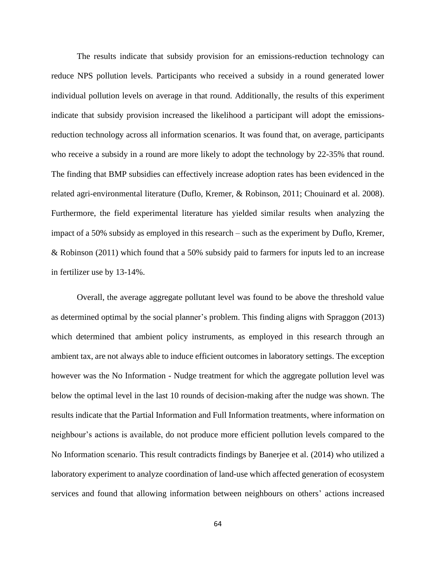The results indicate that subsidy provision for an emissions-reduction technology can reduce NPS pollution levels. Participants who received a subsidy in a round generated lower individual pollution levels on average in that round. Additionally, the results of this experiment indicate that subsidy provision increased the likelihood a participant will adopt the emissionsreduction technology across all information scenarios. It was found that, on average, participants who receive a subsidy in a round are more likely to adopt the technology by 22-35% that round. The finding that BMP subsidies can effectively increase adoption rates has been evidenced in the related agri-environmental literature (Duflo, Kremer, & Robinson, 2011; Chouinard et al. 2008). Furthermore, the field experimental literature has yielded similar results when analyzing the impact of a 50% subsidy as employed in this research – such as the experiment by Duflo, Kremer, & Robinson (2011) which found that a 50% subsidy paid to farmers for inputs led to an increase in fertilizer use by 13-14%.

Overall, the average aggregate pollutant level was found to be above the threshold value as determined optimal by the social planner's problem. This finding aligns with Spraggon (2013) which determined that ambient policy instruments, as employed in this research through an ambient tax, are not always able to induce efficient outcomes in laboratory settings. The exception however was the No Information - Nudge treatment for which the aggregate pollution level was below the optimal level in the last 10 rounds of decision-making after the nudge was shown. The results indicate that the Partial Information and Full Information treatments, where information on neighbour's actions is available, do not produce more efficient pollution levels compared to the No Information scenario. This result contradicts findings by Banerjee et al. (2014) who utilized a laboratory experiment to analyze coordination of land-use which affected generation of ecosystem services and found that allowing information between neighbours on others' actions increased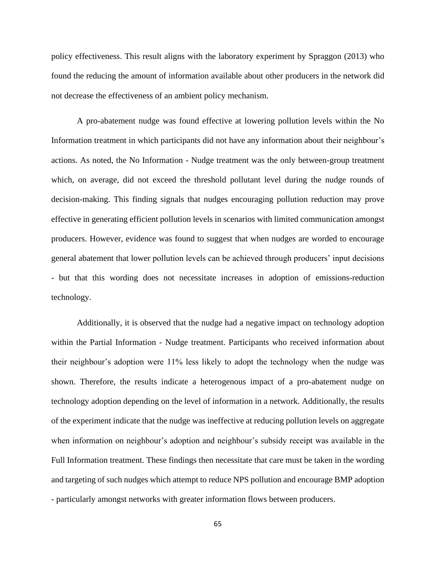policy effectiveness. This result aligns with the laboratory experiment by Spraggon (2013) who found the reducing the amount of information available about other producers in the network did not decrease the effectiveness of an ambient policy mechanism.

A pro-abatement nudge was found effective at lowering pollution levels within the No Information treatment in which participants did not have any information about their neighbour's actions. As noted, the No Information - Nudge treatment was the only between-group treatment which, on average, did not exceed the threshold pollutant level during the nudge rounds of decision-making. This finding signals that nudges encouraging pollution reduction may prove effective in generating efficient pollution levels in scenarios with limited communication amongst producers. However, evidence was found to suggest that when nudges are worded to encourage general abatement that lower pollution levels can be achieved through producers' input decisions - but that this wording does not necessitate increases in adoption of emissions-reduction technology.

Additionally, it is observed that the nudge had a negative impact on technology adoption within the Partial Information - Nudge treatment. Participants who received information about their neighbour's adoption were 11% less likely to adopt the technology when the nudge was shown. Therefore, the results indicate a heterogenous impact of a pro-abatement nudge on technology adoption depending on the level of information in a network. Additionally, the results of the experiment indicate that the nudge was ineffective at reducing pollution levels on aggregate when information on neighbour's adoption and neighbour's subsidy receipt was available in the Full Information treatment. These findings then necessitate that care must be taken in the wording and targeting of such nudges which attempt to reduce NPS pollution and encourage BMP adoption - particularly amongst networks with greater information flows between producers.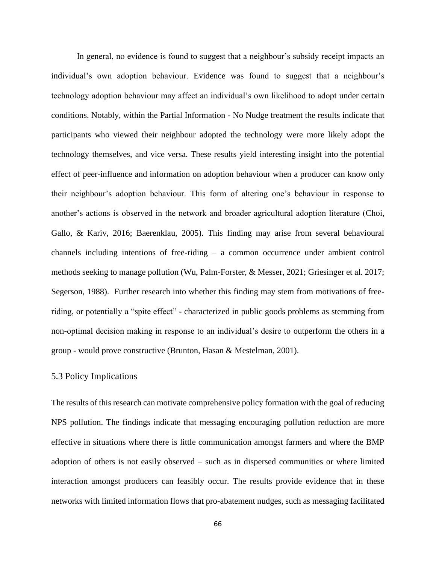In general, no evidence is found to suggest that a neighbour's subsidy receipt impacts an individual's own adoption behaviour. Evidence was found to suggest that a neighbour's technology adoption behaviour may affect an individual's own likelihood to adopt under certain conditions. Notably, within the Partial Information - No Nudge treatment the results indicate that participants who viewed their neighbour adopted the technology were more likely adopt the technology themselves, and vice versa. These results yield interesting insight into the potential effect of peer-influence and information on adoption behaviour when a producer can know only their neighbour's adoption behaviour. This form of altering one's behaviour in response to another's actions is observed in the network and broader agricultural adoption literature (Choi, Gallo, & Kariv, 2016; Baerenklau, 2005). This finding may arise from several behavioural channels including intentions of free-riding – a common occurrence under ambient control methods seeking to manage pollution (Wu, Palm-Forster, & Messer, 2021; Griesinger et al. 2017; Segerson, 1988). Further research into whether this finding may stem from motivations of freeriding, or potentially a "spite effect" - characterized in public goods problems as stemming from non-optimal decision making in response to an individual's desire to outperform the others in a group - would prove constructive (Brunton, Hasan & Mestelman, 2001).

#### 5.3 Policy Implications

The results of this research can motivate comprehensive policy formation with the goal of reducing NPS pollution. The findings indicate that messaging encouraging pollution reduction are more effective in situations where there is little communication amongst farmers and where the BMP adoption of others is not easily observed – such as in dispersed communities or where limited interaction amongst producers can feasibly occur. The results provide evidence that in these networks with limited information flows that pro-abatement nudges, such as messaging facilitated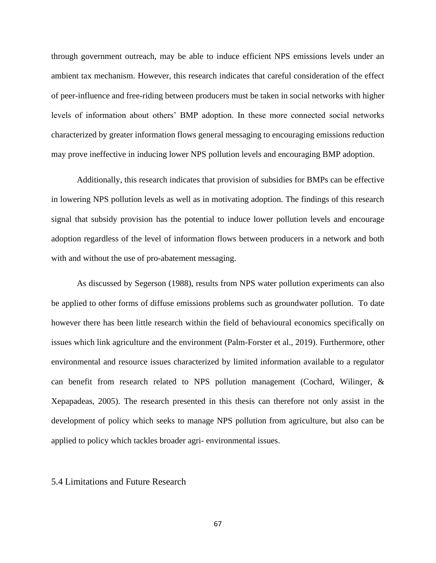through government outreach, may be able to induce efficient NPS emissions levels under an ambient tax mechanism. However, this research indicates that careful consideration of the effect of peer-influence and free-riding between producers must be taken in social networks with higher levels of information about others' BMP adoption. In these more connected social networks characterized by greater information flows general messaging to encouraging emissions reduction may prove ineffective in inducing lower NPS pollution levels and encouraging BMP adoption.

Additionally, this research indicates that provision of subsidies for BMPs can be effective in lowering NPS pollution levels as well as in motivating adoption. The findings of this research signal that subsidy provision has the potential to induce lower pollution levels and encourage adoption regardless of the level of information flows between producers in a network and both with and without the use of pro-abatement messaging.

As discussed by Segerson (1988), results from NPS water pollution experiments can also be applied to other forms of diffuse emissions problems such as groundwater pollution. To date however there has been little research within the field of behavioural economics specifically on issues which link agriculture and the environment (Palm-Forster et al., 2019). Furthermore, other environmental and resource issues characterized by limited information available to a regulator can benefit from research related to NPS pollution management (Cochard, Wilinger, & Xepapadeas, 2005). The research presented in this thesis can therefore not only assist in the development of policy which seeks to manage NPS pollution from agriculture, but also can be applied to policy which tackles broader agri- environmental issues.

#### 5.4 Limitations and Future Research

67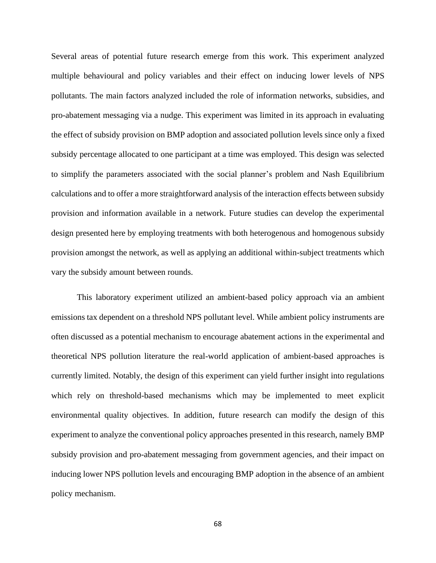Several areas of potential future research emerge from this work. This experiment analyzed multiple behavioural and policy variables and their effect on inducing lower levels of NPS pollutants. The main factors analyzed included the role of information networks, subsidies, and pro-abatement messaging via a nudge. This experiment was limited in its approach in evaluating the effect of subsidy provision on BMP adoption and associated pollution levels since only a fixed subsidy percentage allocated to one participant at a time was employed. This design was selected to simplify the parameters associated with the social planner's problem and Nash Equilibrium calculations and to offer a more straightforward analysis of the interaction effects between subsidy provision and information available in a network. Future studies can develop the experimental design presented here by employing treatments with both heterogenous and homogenous subsidy provision amongst the network, as well as applying an additional within-subject treatments which vary the subsidy amount between rounds.

This laboratory experiment utilized an ambient-based policy approach via an ambient emissions tax dependent on a threshold NPS pollutant level. While ambient policy instruments are often discussed as a potential mechanism to encourage abatement actions in the experimental and theoretical NPS pollution literature the real-world application of ambient-based approaches is currently limited. Notably, the design of this experiment can yield further insight into regulations which rely on threshold-based mechanisms which may be implemented to meet explicit environmental quality objectives. In addition, future research can modify the design of this experiment to analyze the conventional policy approaches presented in this research, namely BMP subsidy provision and pro-abatement messaging from government agencies, and their impact on inducing lower NPS pollution levels and encouraging BMP adoption in the absence of an ambient policy mechanism.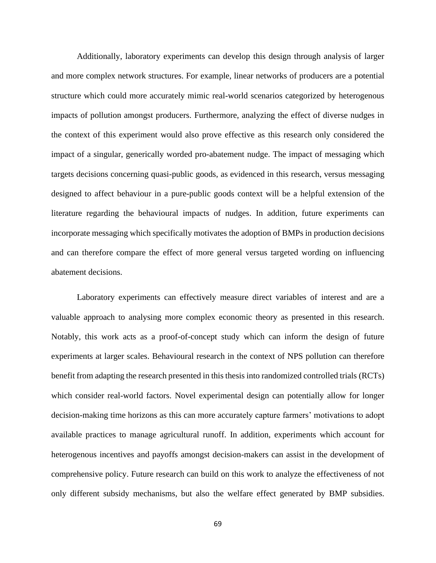Additionally, laboratory experiments can develop this design through analysis of larger and more complex network structures. For example, linear networks of producers are a potential structure which could more accurately mimic real-world scenarios categorized by heterogenous impacts of pollution amongst producers. Furthermore, analyzing the effect of diverse nudges in the context of this experiment would also prove effective as this research only considered the impact of a singular, generically worded pro-abatement nudge. The impact of messaging which targets decisions concerning quasi-public goods, as evidenced in this research, versus messaging designed to affect behaviour in a pure-public goods context will be a helpful extension of the literature regarding the behavioural impacts of nudges. In addition, future experiments can incorporate messaging which specifically motivates the adoption of BMPs in production decisions and can therefore compare the effect of more general versus targeted wording on influencing abatement decisions.

Laboratory experiments can effectively measure direct variables of interest and are a valuable approach to analysing more complex economic theory as presented in this research. Notably, this work acts as a proof-of-concept study which can inform the design of future experiments at larger scales. Behavioural research in the context of NPS pollution can therefore benefit from adapting the research presented in this thesis into randomized controlled trials (RCTs) which consider real-world factors. Novel experimental design can potentially allow for longer decision-making time horizons as this can more accurately capture farmers' motivations to adopt available practices to manage agricultural runoff. In addition, experiments which account for heterogenous incentives and payoffs amongst decision-makers can assist in the development of comprehensive policy. Future research can build on this work to analyze the effectiveness of not only different subsidy mechanisms, but also the welfare effect generated by BMP subsidies.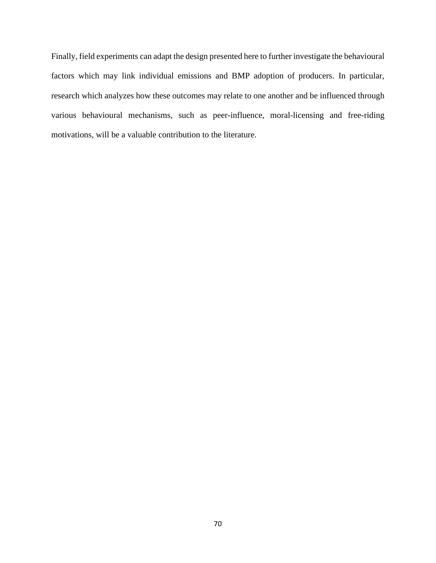Finally, field experiments can adapt the design presented here to further investigate the behavioural factors which may link individual emissions and BMP adoption of producers. In particular, research which analyzes how these outcomes may relate to one another and be influenced through various behavioural mechanisms, such as peer-influence, moral-licensing and free-riding motivations, will be a valuable contribution to the literature.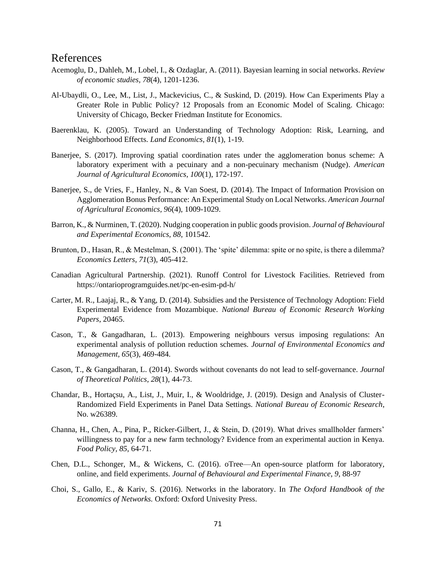### References

- Acemoglu, D., Dahleh, M., Lobel, I., & Ozdaglar, A. (2011). Bayesian learning in social networks. *Review of economic studies, 78*(4), 1201-1236.
- Al-Ubaydli, O., Lee, M., List, J., Mackevicius, C., & Suskind, D. (2019). How Can Experiments Play a Greater Role in Public Policy? 12 Proposals from an Economic Model of Scaling. Chicago: University of Chicago, Becker Friedman Institute for Economics.
- Baerenklau, K. (2005). Toward an Understanding of Technology Adoption: Risk, Learning, and Neighborhood Effects. *Land Economics, 81*(1), 1-19.
- Banerjee, S. (2017). Improving spatial coordination rates under the agglomeration bonus scheme: A laboratory experiment with a pecuinary and a non-pecuinary mechanism (Nudge). *American Journal of Agricultural Economics, 100*(1), 172-197.
- Banerjee, S., de Vries, F., Hanley, N., & Van Soest, D. (2014). The Impact of Information Provision on Agglomeration Bonus Performance: An Experimental Study on Local Networks. *American Journal of Agricultural Economics, 96*(4), 1009-1029.
- Barron, K., & Nurminen, T. (2020). Nudging cooperation in public goods provision. *Journal of Behavioural and Experimental Economics, 88*, 101542.
- Brunton, D., Hasan, R., & Mestelman, S. (2001). The 'spite' dilemma: spite or no spite, is there a dilemma? *Economics Letters, 71*(3), 405-412.
- Canadian Agricultural Partnership. (2021). Runoff Control for Livestock Facilities. Retrieved from https://ontarioprogramguides.net/pc-en-esim-pd-h/
- Carter, M. R., Laajaj, R., & Yang, D. (2014). Subsidies and the Persistence of Technology Adoption: Field Experimental Evidence from Mozambique. *National Bureau of Economic Research Working Papers*, 20465.
- Cason, T., & Gangadharan, L. (2013). Empowering neighbours versus imposing regulations: An experimental analysis of pollution reduction schemes. *Journal of Environmental Economics and Management, 65*(3), 469-484.
- Cason, T., & Gangadharan, L. (2014). Swords without covenants do not lead to self-governance. *Journal of Theoretical Politics, 28*(1), 44-73.
- Chandar, B., Hortaçsu, A., List, J., Muir, I., & Wooldridge, J. (2019). Design and Analysis of Cluster-Randomized Field Experiments in Panel Data Settings. *National Bureau of Economic Research*, No. w26389.
- Channa, H., Chen, A., Pina, P., Ricker-Gilbert, J., & Stein, D. (2019). What drives smallholder farmers' willingness to pay for a new farm technology? Evidence from an experimental auction in Kenya. *Food Policy, 85*, 64-71.
- Chen, D.L., Schonger, M., & Wickens, C. (2016). oTree—An open-source platform for laboratory, online, and field experiments. *Journal of Behavioural and Experimental Finance*, *9*, 88-97
- Choi, S., Gallo, E., & Kariv, S. (2016). Networks in the laboratory. In *The Oxford Handbook of the Economics of Networks.* Oxford: Oxford Univesity Press.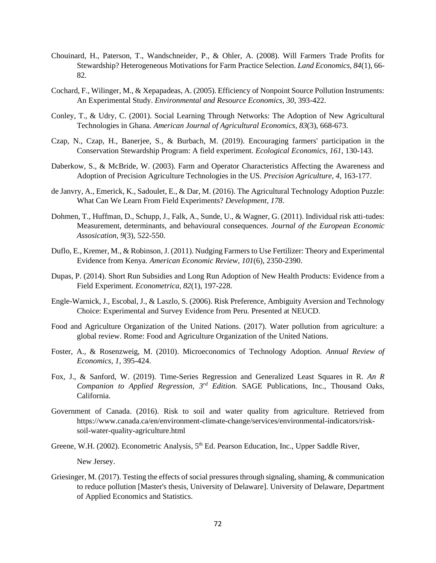- Chouinard, H., Paterson, T., Wandschneider, P., & Ohler, A. (2008). Will Farmers Trade Profits for Stewardship? Heterogeneous Motivations for Farm Practice Selection. *Land Economics, 84*(1), 66- 82.
- Cochard, F., Wilinger, M., & Xepapadeas, A. (2005). Efficiency of Nonpoint Source Pollution Instruments: An Experimental Study. *Environmental and Resource Economics, 30*, 393-422.
- Conley, T., & Udry, C. (2001). Social Learning Through Networks: The Adoption of New Agricultural Technologies in Ghana. *American Journal of Agricultural Economics, 83*(3), 668-673.
- Czap, N., Czap, H., Banerjee, S., & Burbach, M. (2019). Encouraging farmers' participation in the Conservation Stewardship Program: A field experiment. *Ecological Economics, 161*, 130-143.
- Daberkow, S., & McBride, W. (2003). Farm and Operator Characteristics Affecting the Awareness and Adoption of Precision Agriculture Technologies in the US. *Precision Agriculture, 4*, 163-177.
- de Janvry, A., Emerick, K., Sadoulet, E., & Dar, M. (2016). The Agricultural Technology Adoption Puzzle: What Can We Learn From Field Experiments? *Development, 178*.
- Dohmen, T., Huffman, D., Schupp, J., Falk, A., Sunde, U., & Wagner, G. (2011). Individual risk atti-tudes: Measurement, determinants, and behavioural consequences. *Journal of the European Economic Assosication, 9*(3), 522-550.
- Duflo, E., Kremer, M., & Robinson, J. (2011). Nudging Farmers to Use Fertilizer: Theory and Experimental Evidence from Kenya. *American Economic Review, 101*(6), 2350-2390.
- Dupas, P. (2014). Short Run Subsidies and Long Run Adoption of New Health Products: Evidence from a Field Experiment. *Econometrica, 82*(1), 197-228.
- Engle-Warnick, J., Escobal, J., & Laszlo, S. (2006). Risk Preference, Ambiguity Aversion and Technology Choice: Experimental and Survey Evidence from Peru. Presented at NEUCD.
- Food and Agriculture Organization of the United Nations. (2017). Water pollution from agriculture: a global review. Rome: Food and Agriculture Organization of the United Nations.
- Foster, A., & Rosenzweig, M. (2010). Microeconomics of Technology Adoption. *Annual Review of Economics, 1*, 395-424.
- Fox, J., & Sanford, W. (2019). Time-Series Regression and Generalized Least Squares in R. *An R Companion to Applied Regression, 3rd Edition.* SAGE Publications, Inc., Thousand Oaks, California.
- Government of Canada. (2016). Risk to soil and water quality from agriculture. Retrieved from https://www.canada.ca/en/environment-climate-change/services/environmental-indicators/risksoil-water-quality-agriculture.html

Greene, W.H. (2002). Econometric Analysis, 5<sup>th</sup> Ed. Pearson Education, Inc., Upper Saddle River,

New Jersey.

Griesinger, M. (2017). Testing the effects of social pressures through signaling, shaming, & communication to reduce pollution [Master's thesis, University of Delaware]. University of Delaware, Department of Applied Economics and Statistics.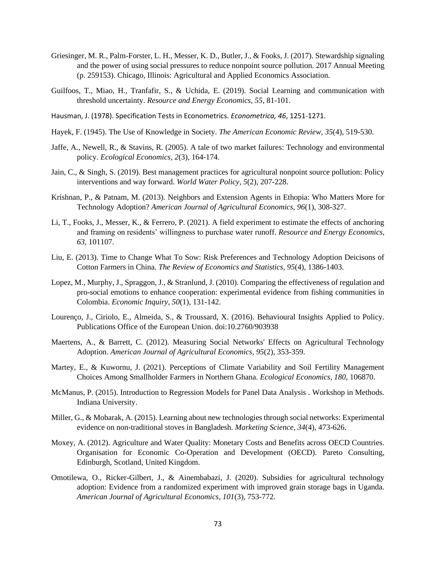- Griesinger, M. R., Palm-Forster, L. H., Messer, K. D., Butler, J., & Fooks, J. (2017). Stewardship signaling and the power of using social pressures to reduce nonpoint source pollution. 2017 Annual Meeting (p. 259153). Chicago, Illinois: Agricultural and Applied Economics Association.
- Guilfoos, T., Miao, H., Tranfafir, S., & Uchida, E. (2019). Social Learning and communication with threshold uncertainty. *Resource and Energy Economics, 55*, 81-101.
- Hausman, J. (1978). Specification Tests in Econometrics. *Econometrica, 46*, 1251-1271.
- Hayek, F. (1945). The Use of Knowledge in Society. *The American Economic Review, 35*(4), 519-530.
- Jaffe, A., Newell, R., & Stavins, R. (2005). A tale of two market failures: Technology and environmental policy. *Ecological Economics, 2*(3), 164-174.
- Jain, C., & Singh, S. (2019). Best management practices for agricultural nonpoint source pollution: Policy interventions and way forward. *World Water Policy, 5*(2), 207-228.
- Krishnan, P., & Patnam, M. (2013). Neighbors and Extension Agents in Ethopia: Who Matters More for Technology Adoption? *American Journal of Agricultural Economics, 96*(1), 308-327.
- Li, T., Fooks, J., Messer, K., & Ferrero, P. (2021). A field experiment to estimate the effects of anchoring and framing on residents' willingness to purchase water runoff. *Resource and Energy Economics, 63*, 101107.
- Liu, E. (2013). Time to Change What To Sow: Risk Preferences and Technology Adoption Deicisons of Cotton Farmers in China. *The Review of Economics and Statistics, 95*(4), 1386-1403.
- Lopez, M., Murphy, J., Spraggon, J., & Stranlund, J. (2010). Comparing the effectiveness of regulation and pro-social emotions to enhance cooperation: experimental evidence from fishing communities in Colombia. *Economic Inquiry, 50*(1), 131-142.
- Lourenço, J., Ciriolo, E., Almeida, S., & Troussard, X. (2016). Behavioural Insights Applied to Policy. Publications Office of the European Union. doi:10.2760/903938
- Maertens, A., & Barrett, C. (2012). Measuring Social Networks' Effects on Agricultural Technology Adoption. *American Journal of Agricultural Economics, 95*(2), 353-359.
- Martey, E., & Kuwornu, J. (2021). Perceptions of Climate Variability and Soil Fertility Management Choices Among Smallholder Farmers in Northern Ghana. *Ecological Economics, 180*, 106870.
- McManus, P. (2015). Introduction to Regression Models for Panel Data Analysis . Workshop in Methods. Indiana University.
- Miller, G., & Mobarak, A. (2015). Learning about new technologies through social networks: Experimental evidence on non-traditional stoves in Bangladesh. *Marketing Science, 34*(4), 473-626.
- Moxey, A. (2012). Agriculture and Water Quality: Monetary Costs and Benefits across OECD Countries. Organisation for Economic Co-Operation and Development (OECD). Pareto Consulting, Edinburgh, Scotland, United Kingdom.
- Omotilewa, O., Ricker-Gilbert, J., & Ainembabazi, J. (2020). Subsidies for agricultural technology adoption: Evidence from a randomized experiment with improved grain storage bags in Uganda. *American Journal of Agricultural Economics, 101*(3), 753-772.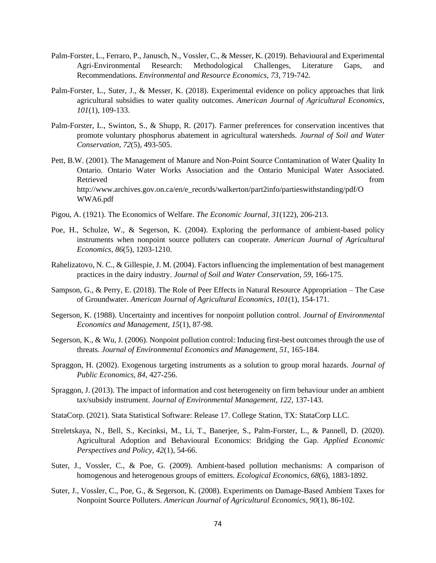- Palm-Forster, L., Ferraro, P., Janusch, N., Vossler, C., & Messer, K. (2019). Behavioural and Experimental Agri-Environmental Research: Methodological Challenges, Literature Gaps, and Recommendations. *Environmental and Resource Economics, 73*, 719-742.
- Palm-Forster, L., Suter, J., & Messer, K. (2018). Experimental evidence on policy approaches that link agricultural subsidies to water quality outcomes. *American Journal of Agricultural Economics, 101*(1), 109-133.
- Palm-Forster, L., Swinton, S., & Shupp, R. (2017). Farmer preferences for conservation incentives that promote voluntary phosphorus abatement in agricultural watersheds. *Journal of Soil and Water Conservation, 72*(5), 493-505.
- Pett, B.W. (2001). The Management of Manure and Non-Point Source Contamination of Water Quality In Ontario. Ontario Water Works Association and the Ontario Municipal Water Associated. Retrieved from the state of the state of the state of the state of the state of the state of the state of the state of the state of the state of the state of the state of the state of the state of the state of the state of http://www.archives.gov.on.ca/en/e\_records/walkerton/part2info/partieswithstanding/pdf/O WWA6.pdf
- Pigou, A. (1921). The Economics of Welfare. *The Economic Journal, 31*(122), 206-213.
- Poe, H., Schulze, W., & Segerson, K. (2004). Exploring the performance of ambient-based policy instruments when nonpoint source polluters can cooperate. *American Journal of Agricultural Economics, 86*(5), 1203-1210.
- Rahelizatovo, N. C., & Gillespie, J. M. (2004). Factors influencing the implementation of best management practices in the dairy industry. *Journal of Soil and Water Conservation, 59*, 166-175.
- Sampson, G., & Perry, E. (2018). The Role of Peer Effects in Natural Resource Appropriation The Case of Groundwater. *American Journal of Agricultural Economics, 101*(1), 154-171.
- Segerson, K. (1988). Uncertainty and incentives for nonpoint pollution control. *Journal of Environmental Economics and Management, 15*(1), 87-98.
- Segerson, K., & Wu, J. (2006). Nonpoint pollution control: Inducing first-best outcomes through the use of threats. *Journal of Environmental Economics and Management, 51*, 165-184.
- Spraggon, H. (2002). Exogenous targeting instruments as a solution to group moral hazards. *Journal of Public Economics, 84*, 427-256.
- Spraggon, J. (2013). The impact of information and cost heterogeneity on firm behaviour under an ambient tax/subsidy instrument. *Journal of Environmental Management, 122*, 137-143.
- StataCorp. (2021). Stata Statistical Software: Release 17. College Station, TX: StataCorp LLC.
- Streletskaya, N., Bell, S., Kecinksi, M., Li, T., Banerjee, S., Palm-Forster, L., & Pannell, D. (2020). Agricultural Adoption and Behavioural Economics: Bridging the Gap. *Applied Economic Perspectives and Policy, 42*(1), 54-66.
- Suter, J., Vossler, C., & Poe, G. (2009). Ambient-based pollution mechanisms: A comparison of homogenous and heterogenous groups of emitters. *Ecological Economics, 68*(6), 1883-1892.
- Suter, J., Vossler, C., Poe, G., & Segerson, K. (2008). Experiments on Damage-Based Ambient Taxes for Nonpoint Source Polluters. *American Journal of Agricultural Economics, 90*(1), 86-102.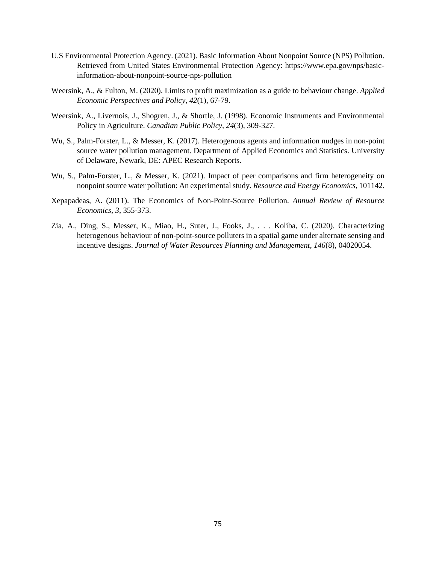- U.S Environmental Protection Agency. (2021)*.* Basic Information About Nonpoint Source (NPS) Pollution. Retrieved from United States Environmental Protection Agency: https://www.epa.gov/nps/basicinformation-about-nonpoint-source-nps-pollution
- Weersink, A., & Fulton, M. (2020). Limits to profit maximization as a guide to behaviour change. *Applied Economic Perspectives and Policy, 42*(1), 67-79.
- Weersink, A., Livernois, J., Shogren, J., & Shortle, J. (1998). Economic Instruments and Environmental Policy in Agriculture. *Canadian Public Policy, 24*(3), 309-327.
- Wu, S., Palm-Forster, L., & Messer, K. (2017). Heterogenous agents and information nudges in non-point source water pollution management. Department of Applied Economics and Statistics. University of Delaware, Newark, DE: APEC Research Reports.
- Wu, S., Palm-Forster, L., & Messer, K. (2021). Impact of peer comparisons and firm heterogeneity on nonpoint source water pollution: An experimental study. *Resource and Energy Economics*, 101142.
- Xepapadeas, A. (2011). The Economics of Non-Point-Source Pollution. *Annual Review of Resource Economics, 3*, 355-373.
- Zia, A., Ding, S., Messer, K., Miao, H., Suter, J., Fooks, J., . . . Koliba, C. (2020). Characterizing heterogenous behaviour of non-point-source polluters in a spatial game under alternate sensing and incentive designs. *Journal of Water Resources Planning and Management, 146*(8), 04020054.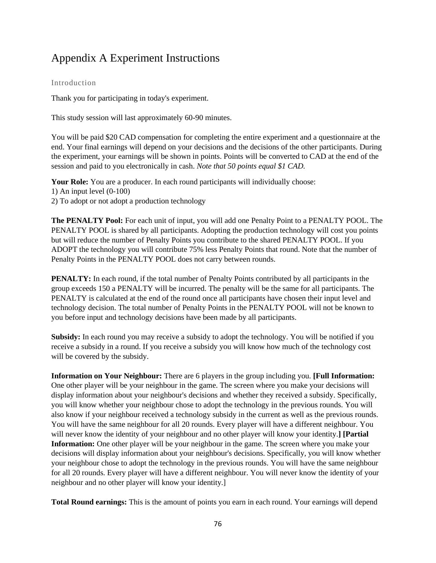# Appendix A Experiment Instructions

### Introduction

Thank you for participating in today's experiment.

This study session will last approximately 60-90 minutes.

You will be paid \$20 CAD compensation for completing the entire experiment and a questionnaire at the end. Your final earnings will depend on your decisions and the decisions of the other participants. During the experiment, your earnings will be shown in points. Points will be converted to CAD at the end of the session and paid to you electronically in cash. *Note that 50 points equal \$1 CAD.* 

**Your Role:** You are a producer. In each round participants will individually choose: 1) An input level (0-100) 2) To adopt or not adopt a production technology

**The PENALTY Pool:** For each unit of input, you will add one Penalty Point to a PENALTY POOL. The PENALTY POOL is shared by all participants. Adopting the production technology will cost you points but will reduce the number of Penalty Points you contribute to the shared PENALTY POOL. If you ADOPT the technology you will contribute 75% less Penalty Points that round. Note that the number of Penalty Points in the PENALTY POOL does not carry between rounds.

**PENALTY:** In each round, if the total number of Penalty Points contributed by all participants in the group exceeds 150 a PENALTY will be incurred. The penalty will be the same for all participants. The PENALTY is calculated at the end of the round once all participants have chosen their input level and technology decision. The total number of Penalty Points in the PENALTY POOL will not be known to you before input and technology decisions have been made by all participants.

**Subsidy:** In each round you may receive a subsidy to adopt the technology. You will be notified if you receive a subsidy in a round. If you receive a subsidy you will know how much of the technology cost will be covered by the subsidy.

**Information on Your Neighbour:** There are 6 players in the group including you. **[Full Information:**  One other player will be your neighbour in the game. The screen where you make your decisions will display information about your neighbour's decisions and whether they received a subsidy. Specifically, you will know whether your neighbour chose to adopt the technology in the previous rounds. You will also know if your neighbour received a technology subsidy in the current as well as the previous rounds. You will have the same neighbour for all 20 rounds. Every player will have a different neighbour. You will never know the identity of your neighbour and no other player will know your identity.**] [Partial**  Information: One other player will be your neighbour in the game. The screen where you make your decisions will display information about your neighbour's decisions. Specifically, you will know whether your neighbour chose to adopt the technology in the previous rounds. You will have the same neighbour for all 20 rounds. Every player will have a different neighbour. You will never know the identity of your neighbour and no other player will know your identity.]

**Total Round earnings:** This is the amount of points you earn in each round. Your earnings will depend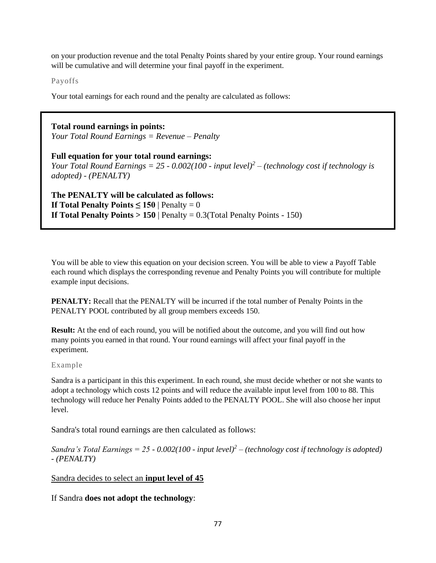on your production revenue and the total Penalty Points shared by your entire group. Your round earnings will be cumulative and will determine your final payoff in the experiment.

Payoffs

Your total earnings for each round and the penalty are calculated as follows:

**Total round earnings in points:** *Your Total Round Earnings = Revenue – Penalty*

**Full equation for your total round earnings:** *Your Total Round Earnings* =  $25 - 0.002(100 - input level)^2 - (technology cost if technology is$ *adopted) - (PENALTY)*

**The PENALTY will be calculated as follows: If Total Penalty Points**  $\leq 150$  **| Penalty = 0 If Total Penalty Points**  $> 150$  | Penalty = 0.3(Total Penalty Points - 150)

You will be able to view this equation on your decision screen. You will be able to view a Payoff Table each round which displays the corresponding revenue and Penalty Points you will contribute for multiple example input decisions.

**PENALTY:** Recall that the PENALTY will be incurred if the total number of Penalty Points in the PENALTY POOL contributed by all group members exceeds 150.

**Result:** At the end of each round, you will be notified about the outcome, and you will find out how many points you earned in that round. Your round earnings will affect your final payoff in the experiment.

### Example

Sandra is a participant in this this experiment. In each round, she must decide whether or not she wants to adopt a technology which costs 12 points and will reduce the available input level from 100 to 88. This technology will reduce her Penalty Points added to the PENALTY POOL. She will also choose her input level.

Sandra's total round earnings are then calculated as follows:

*Sandra's Total Earnings = 25 - 0.002(100 - input level)<sup>2</sup> – (technology cost if technology is adopted) - (PENALTY)*

### Sandra decides to select an **input level of 45**

If Sandra **does not adopt the technology**: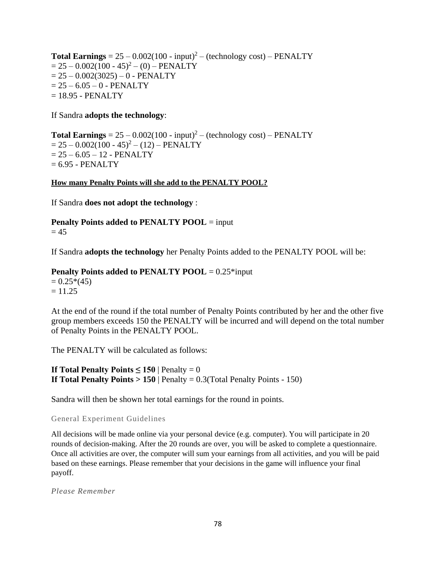**Total Earnings** =  $25 - 0.002(100 - input)^2$  – (technology cost) – PENALTY  $= 25 - 0.002(100 - 45)^{2} - (0) - PENALTY$  $= 25 - 0.002(3025) - 0$  - PENALTY  $= 25 - 6.05 - 0$  - PENALTY  $= 18.95$  - PENALTY

If Sandra **adopts the technology**:

**Total Earnings** =  $25 - 0.002(100 - input)^2$  – (technology cost) – PENALTY  $= 25 - 0.002(100 - 45)^{2} - (12) - PENALTY$  $= 25 - 6.05 - 12$  - PENALTY  $= 6.95$  - PENALTY

**How many Penalty Points will she add to the PENALTY POOL?**

If Sandra **does not adopt the technology** :

**Penalty Points added to PENALTY POOL** = input  $= 45$ 

If Sandra **adopts the technology** her Penalty Points added to the PENALTY POOL will be:

**Penalty Points added to PENALTY POOL** = 0.25\*input  $= 0.25*(45)$ 

 $= 11.25$ 

At the end of the round if the total number of Penalty Points contributed by her and the other five group members exceeds 150 the PENALTY will be incurred and will depend on the total number of Penalty Points in the PENALTY POOL.

The PENALTY will be calculated as follows:

**If Total Penalty Points**  $\leq 150$  **| Penalty = 0 If Total Penalty Points**  $> 150$  | Penalty = 0.3(Total Penalty Points - 150)

Sandra will then be shown her total earnings for the round in points.

General Experiment Guidelines

All decisions will be made online via your personal device (e.g. computer). You will participate in 20 rounds of decision-making. After the 20 rounds are over, you will be asked to complete a questionnaire. Once all activities are over, the computer will sum your earnings from all activities, and you will be paid based on these earnings. Please remember that your decisions in the game will influence your final payoff.

*Please Remember*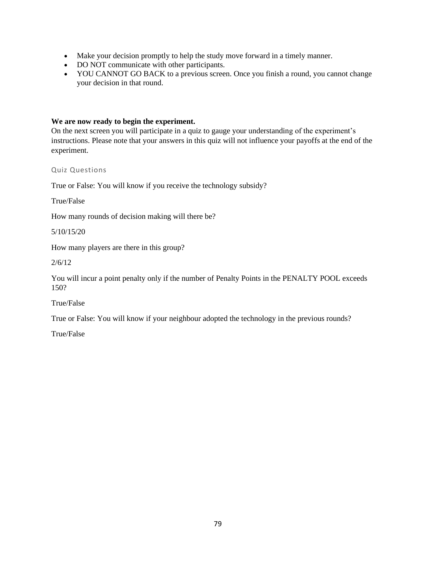- Make your decision promptly to help the study move forward in a timely manner.
- DO NOT communicate with other participants.
- YOU CANNOT GO BACK to a previous screen. Once you finish a round, you cannot change your decision in that round.

#### **We are now ready to begin the experiment.**

On the next screen you will participate in a quiz to gauge your understanding of the experiment's instructions. Please note that your answers in this quiz will not influence your payoffs at the end of the experiment.

Quiz Questions

True or False: You will know if you receive the technology subsidy?

True/False

How many rounds of decision making will there be?

5/10/15/20

How many players are there in this group?

2/6/12

You will incur a point penalty only if the number of Penalty Points in the PENALTY POOL exceeds 150?

True/False

True or False: You will know if your neighbour adopted the technology in the previous rounds?

True/False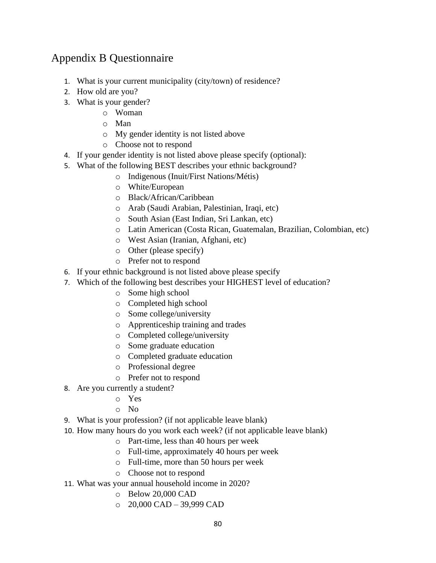# Appendix B Questionnaire

- 1. What is your current municipality (city/town) of residence?
- 2. How old are you?
- 3. What is your gender?
	- o Woman
		- o Man
	- o My gender identity is not listed above
	- o Choose not to respond
- 4. If your gender identity is not listed above please specify (optional):
- 5. What of the following BEST describes your ethnic background?
	- o Indigenous (Inuit/First Nations/Métis)
	- o White/European
	- o Black/African/Caribbean
	- o Arab (Saudi Arabian, Palestinian, Iraqi, etc)
	- o South Asian (East Indian, Sri Lankan, etc)
	- o Latin American (Costa Rican, Guatemalan, Brazilian, Colombian, etc)
	- o West Asian (Iranian, Afghani, etc)
	- o Other (please specify)
	- o Prefer not to respond
- 6. If your ethnic background is not listed above please specify
- 7. Which of the following best describes your HIGHEST level of education?
	- o Some high school
	- o Completed high school
	- o Some college/university
	- o Apprenticeship training and trades
	- o Completed college/university
	- o Some graduate education
	- o Completed graduate education
	- o Professional degree
	- o Prefer not to respond
- 8. Are you currently a student?
	- o Yes
	- o No
- 9. What is your profession? (if not applicable leave blank)
- 10. How many hours do you work each week? (if not applicable leave blank)
	- o Part-time, less than 40 hours per week
	- o Full-time, approximately 40 hours per week
	- o Full-time, more than 50 hours per week
	- o Choose not to respond
- 11. What was your annual household income in 2020?
	- o Below 20,000 CAD
	- $O$  20,000 CAD 39,999 CAD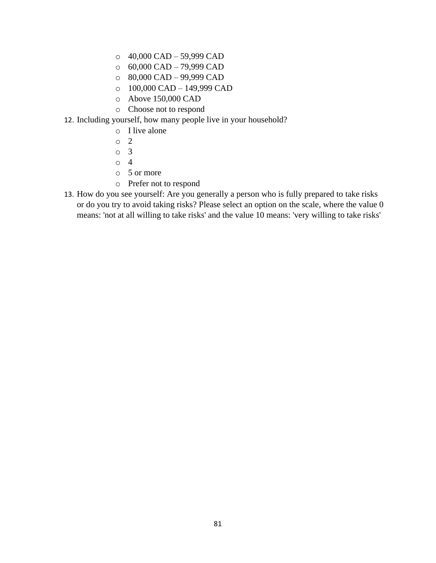- o 40,000 CAD 59,999 CAD
- $\circ$  60,000 CAD 79,999 CAD
- o 80,000 CAD 99,999 CAD
- o 100,000 CAD 149,999 CAD
- o Above 150,000 CAD
- o Choose not to respond
- 12. Including yourself, how many people live in your household?
	- o I live alone
	- o 2
	- o 3
	- o 4
	- o 5 or more
	- o Prefer not to respond
- 13. How do you see yourself: Are you generally a person who is fully prepared to take risks or do you try to avoid taking risks? Please select an option on the scale, where the value 0 means: 'not at all willing to take risks' and the value 10 means: 'very willing to take risks'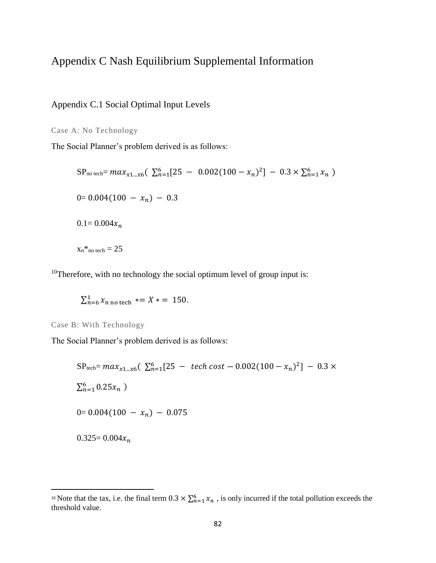# Appendix C Nash Equilibrium Supplemental Information

Appendix C.1 Social Optimal Input Levels

Case A: No Technology

The Social Planner's problem derived is as follows:

$$
SP_{\text{no tech}} = max_{x1\ldots x6} \left( \sum_{n=1}^{6} [25 - 0.002(100 - x_n)^2] - 0.3 \times \sum_{n=1}^{6} x_n \right)
$$
  
0= 0.004(100 - x<sub>n</sub>) - 0.3  
0.1= 0.004x<sub>n</sub>  

$$
x_n *_{\text{no tech}} = 25
$$

 $10$ Therefore, with no technology the social optimum level of group input is:

$$
\sum_{n=6}^{1} x_{n \text{ no tech}} = X \cdot 150.
$$

Case B: With Technology

The Social Planner's problem derived is as follows:

$$
SP_{\text{tech}} = max_{x1\ldots x6} \left( \sum_{n=1}^{6} [25 - \text{tech cost} - 0.002(100 - x_n)^2] - 0.3 \times \right)
$$
  

$$
S_{n=1}^{6} 0.25x_n
$$
  

$$
0 = 0.004(100 - x_n) - 0.075
$$
  

$$
0.325 = 0.004x_n
$$

<sup>&</sup>lt;sup>10</sup> Note that the tax, i.e. the final term  $0.3 \times \sum_{n=1}^{6} x_n$ , is only incurred if the total pollution exceeds the threshold value.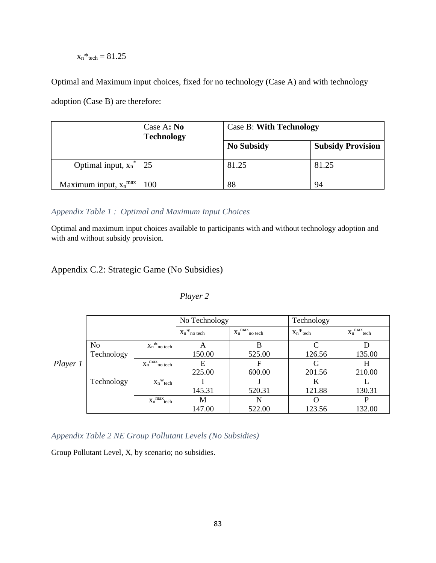$$
x_n*_{tech} = 81.25
$$

Optimal and Maximum input choices, fixed for no technology (Case A) and with technology

adoption (Case B) are therefore:

|                             | Case A: No<br><b>Technology</b> | <b>Case B: With Technology</b>                |       |  |  |
|-----------------------------|---------------------------------|-----------------------------------------------|-------|--|--|
|                             |                                 | <b>No Subsidy</b><br><b>Subsidy Provision</b> |       |  |  |
| Optimal input, $x_n^*$      | 25                              | 81.25                                         | 81.25 |  |  |
| Maximum input, $x_n^{\max}$ | 100                             | 88                                            | 94    |  |  |

*Appendix Table 1 : Optimal and Maximum Input Choices*

Optimal and maximum input choices available to participants with and without technology adoption and with and without subsidy provision.

Appendix C.2: Strategic Game (No Subsidies)

|          |                |                     | No Technology   |                     | Technology   |             |  |
|----------|----------------|---------------------|-----------------|---------------------|--------------|-------------|--|
|          |                |                     | $X_n^*$ no tech | $X_n^{max}$ no tech | $X_n^*$ tech | $X_n^{max}$ |  |
|          | N <sub>o</sub> | $X_n^*$ no tech     | A               | B                   | C            |             |  |
|          | Technology     |                     | 150.00          | 525.00              | 126.56       | 135.00      |  |
| Player 1 |                | $X_n^{max}$ no tech | Е               | F                   | G            | H           |  |
|          |                |                     | 225.00          | 600.00              | 201.56       | 210.00      |  |
|          | Technology     | $X_n^*$ tech        |                 |                     | K            |             |  |
|          |                |                     | 145.31          | 520.31              | 121.88       | 130.31      |  |
|          |                | $X_n^{max}$ tech    | M               | N                   | $\Omega$     | P           |  |
|          |                |                     | 147.00          | 522.00              | 123.56       | 132.00      |  |

### *Player 2*

*Appendix Table 2 NE Group Pollutant Levels (No Subsidies)*

Group Pollutant Level, X, by scenario; no subsidies.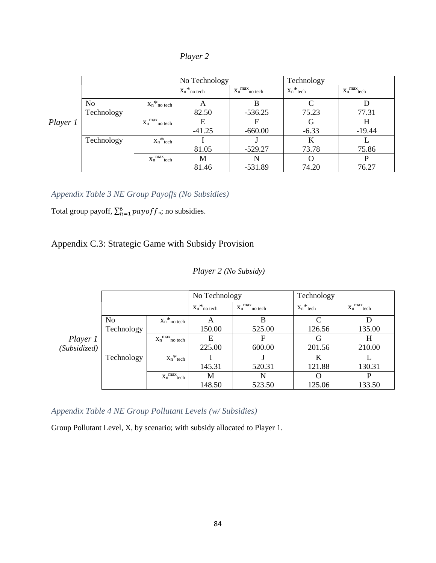| $\mu$ |  |
|-------|--|
|       |  |

|          |                |                     | No Technology   |                     | Technology   |                         |  |
|----------|----------------|---------------------|-----------------|---------------------|--------------|-------------------------|--|
|          |                |                     | $X_n^*$ no tech | $X_n^{max}$ no tech | $X_n^*$ tech | $X_n^{\text{max}}$ tech |  |
|          | N <sub>o</sub> | $X_n^*$ no tech     | А               | B                   | C            | D                       |  |
|          | Technology     |                     | 82.50           | $-536.25$           | 75.23        | 77.31                   |  |
| Player 1 |                | $X_n^{max}$ no tech | E               | F                   | G            | H                       |  |
|          |                |                     | $-41.25$        | $-660.00$           | $-6.33$      | $-19.44$                |  |
|          | Technology     | $X_n^*$ tech        |                 |                     | K            |                         |  |
|          |                |                     | 81.05           | $-529.27$           | 73.78        | 75.86                   |  |
|          |                | $x_n^{max}$         | M               | N                   | O            | P                       |  |
|          |                |                     | 81.46           | $-531.89$           | 74.20        | 76.27                   |  |

*Appendix Table 3 NE Group Payoffs (No Subsidies)*

Total group payoff,  $\sum_{n=1}^{6}$  payoff<sub>n</sub>; no subsidies.

# Appendix C.3: Strategic Game with Subsidy Provision

|              |                |                        | No Technology                                     |        | Technology   |             |
|--------------|----------------|------------------------|---------------------------------------------------|--------|--------------|-------------|
|              |                |                        | $X_n^{max}$ no tech<br>$X_n$ <sup>*</sup> no tech |        | $X_n^*$ tech | $X_n^{max}$ |
|              | N <sub>o</sub> | $X_n^*$ no tech        | A                                                 | B      | $\Gamma$     |             |
|              | Technology     |                        | 150.00                                            | 525.00 | 126.56       | 135.00      |
| Player 1     |                | $x_n^{max}$<br>no tech | E                                                 | F      | G            | H           |
| (Subsidized) |                |                        | 225.00                                            | 600.00 | 201.56       | 210.00      |
|              | Technology     | $X_n^*$ tech           |                                                   |        | K            |             |
|              |                |                        | 145.31                                            | 520.31 | 121.88       | 130.31      |
|              |                | $X_n^{max}$            | M                                                 | N      | $\theta$     |             |
|              |                |                        | 148.50                                            | 523.50 | 125.06       | 133.50      |

## *Player 2 (No Subsidy)*

*Appendix Table 4 NE Group Pollutant Levels (w/ Subsidies)*

Group Pollutant Level, X, by scenario; with subsidy allocated to Player 1.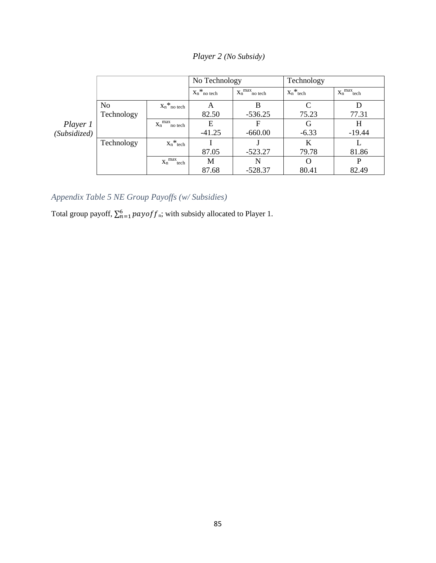|              |            |                             | No Technology   |                     | Technology   |                  |
|--------------|------------|-----------------------------|-----------------|---------------------|--------------|------------------|
|              |            |                             | $X_n^*$ no tech | $X_n^{max}$ no tech | $X_n^*$ tech | $X_n^{max}$ tech |
|              | <b>No</b>  | $X_n^*$ no tech             | A               | B                   | C            | D                |
|              | Technology |                             | 82.50           | $-536.25$           | 75.23        | 77.31            |
| Player 1     |            | $X_n^{max}$ no tech         | E               | F                   | G            | H                |
| (Subsidized) |            |                             | $-41.25$        | $-660.00$           | $-6.33$      | $-19.44$         |
|              | Technology | $X_n^*$ tech                |                 |                     | K            |                  |
|              |            |                             | 87.05           | $-523.27$           | 79.78        | 81.86            |
|              |            | $X_n^{max}$ <sub>tech</sub> | M               | N                   | $\Omega$     | P                |
|              |            |                             | 87.68           | $-528.37$           | 80.41        | 82.49            |

*Player 2 (No Subsidy)*

# *Appendix Table 5 NE Group Payoffs (w/ Subsidies)*

Total group payoff,  $\sum_{n=1}^{6}$  payoff<sub>n</sub>; with subsidy allocated to Player 1.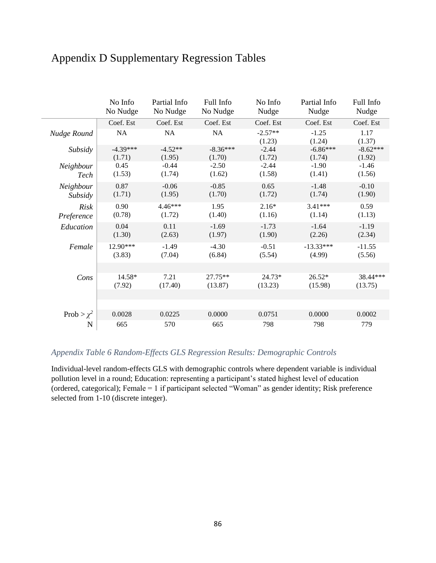|                 | No Info    | Partial Info | Full Info  | No Info             | Partial Info      | Full Info      |
|-----------------|------------|--------------|------------|---------------------|-------------------|----------------|
|                 | No Nudge   | No Nudge     | No Nudge   | Nudge               | Nudge             | Nudge          |
|                 | Coef. Est  | Coef. Est    | Coef. Est  | Coef. Est           | Coef. Est         | Coef. Est      |
| Nudge Round     | NA         | NA           | NA         | $-2.57**$<br>(1.23) | $-1.25$<br>(1.24) | 1.17<br>(1.37) |
| Subsidy         | $-4.39***$ | $-4.52**$    | $-8.36***$ | $-2.44$             | $-6.86***$        | $-8.62***$     |
|                 | (1.71)     | (1.95)       | (1.70)     | (1.72)              | (1.74)            | (1.92)         |
| Neighbour       | 0.45       | $-0.44$      | $-2.50$    | $-2.44$             | $-1.90$           | $-1.46$        |
| <b>Tech</b>     | (1.53)     | (1.74)       | (1.62)     | (1.58)              | (1.41)            | (1.56)         |
| Neighbour       | 0.87       | $-0.06$      | $-0.85$    | 0.65                | $-1.48$           | $-0.10$        |
| Subsidy         | (1.71)     | (1.95)       | (1.70)     | (1.72)              | (1.74)            | (1.90)         |
| <b>Risk</b>     | 0.90       | 4.46***      | 1.95       | $2.16*$             | 3.41***           | 0.59           |
| Preference      | (0.78)     | (1.72)       | (1.40)     | (1.16)              | (1.14)            | (1.13)         |
| Education       | 0.04       | 0.11         | $-1.69$    | $-1.73$             | $-1.64$           | $-1.19$        |
|                 | (1.30)     | (2.63)       | (1.97)     | (1.90)              | (2.26)            | (2.34)         |
| Female          | 12.90***   | $-1.49$      | $-4.30$    | $-0.51$             | $-13.33***$       | $-11.55$       |
|                 | (3.83)     | (7.04)       | (6.84)     | (5.54)              | (4.99)            | (5.56)         |
|                 |            |              |            |                     |                   |                |
| Cons            | 14.58*     | 7.21         | $27.75**$  | 24.73*              | $26.52*$          | 38.44***       |
|                 | (7.92)     | (17.40)      | (13.87)    | (13.23)             | (15.98)           | (13.75)        |
|                 |            |              |            |                     |                   |                |
| Prob > $\chi^2$ | 0.0028     | 0.0225       | 0.0000     | 0.0751              | 0.0000            | 0.0002         |
| N               | 665        | 570          | 665        | 798                 | 798               | 779            |

# Appendix D Supplementary Regression Tables

### *Appendix Table 6 Random-Effects GLS Regression Results: Demographic Controls*

Individual-level random-effects GLS with demographic controls where dependent variable is individual pollution level in a round; Education: representing a participant's stated highest level of education (ordered, categorical); Female = 1 if participant selected "Woman" as gender identity; Risk preference selected from 1-10 (discrete integer).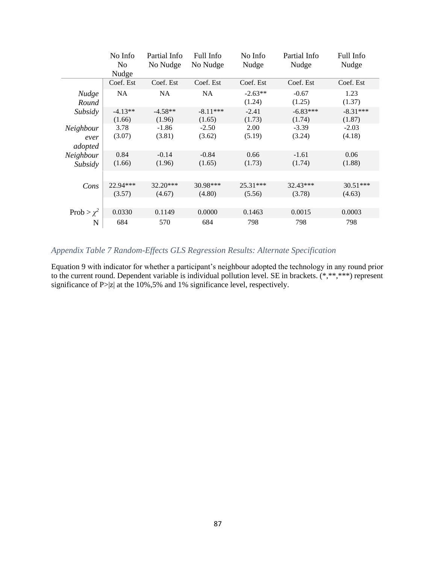|                              | No Info<br>N <sub>o</sub><br>Nudge | Partial Info<br>No Nudge | Full Info<br>No Nudge | No Info<br>Nudge    | Partial Info<br>Nudge | Full Info<br>Nudge   |
|------------------------------|------------------------------------|--------------------------|-----------------------|---------------------|-----------------------|----------------------|
|                              | Coef. Est                          | Coef. Est                | Coef. Est             | Coef. Est           | Coef. Est             | Coef. Est            |
| Nudge<br>Round               | <b>NA</b>                          | NA                       | NA                    | $-2.63**$<br>(1.24) | $-0.67$<br>(1.25)     | 1.23<br>(1.37)       |
| Subsidy                      | $-4.13**$<br>(1.66)                | $-4.58**$<br>(1.96)      | $-8.11***$<br>(1.65)  | $-2.41$<br>(1.73)   | $-6.83***$<br>(1.74)  | $-8.31***$<br>(1.87) |
| Neighbour<br>ever<br>adopted | 3.78<br>(3.07)                     | $-1.86$<br>(3.81)        | $-2.50$<br>(3.62)     | 2.00<br>(5.19)      | $-3.39$<br>(3.24)     | $-2.03$<br>(4.18)    |
| Neighbour<br>Subsidy         | 0.84<br>(1.66)                     | $-0.14$<br>(1.96)        | $-0.84$<br>(1.65)     | 0.66<br>(1.73)      | $-1.61$<br>(1.74)     | 0.06<br>(1.88)       |
|                              |                                    |                          |                       |                     |                       |                      |
| Cons                         | 22.94***<br>(3.57)                 | $32.20***$<br>(4.67)     | 30.98***<br>(4.80)    | 25.31***<br>(5.56)  | $32.43***$<br>(3.78)  | $30.51***$<br>(4.63) |
|                              |                                    |                          |                       |                     |                       |                      |
| Prob > $\chi^2$              | 0.0330                             | 0.1149                   | 0.0000                | 0.1463              | 0.0015                | 0.0003               |
| N                            | 684                                | 570                      | 684                   | 798                 | 798                   | 798                  |

### *Appendix Table 7 Random-Effects GLS Regression Results: Alternate Specification*

Equation 9 with indicator for whether a participant's neighbour adopted the technology in any round prior to the current round. Dependent variable is individual pollution level. SE in brackets. (\*,\*\*,\*\*\*) represent significance of P>|z| at the 10%,5% and 1% significance level, respectively.